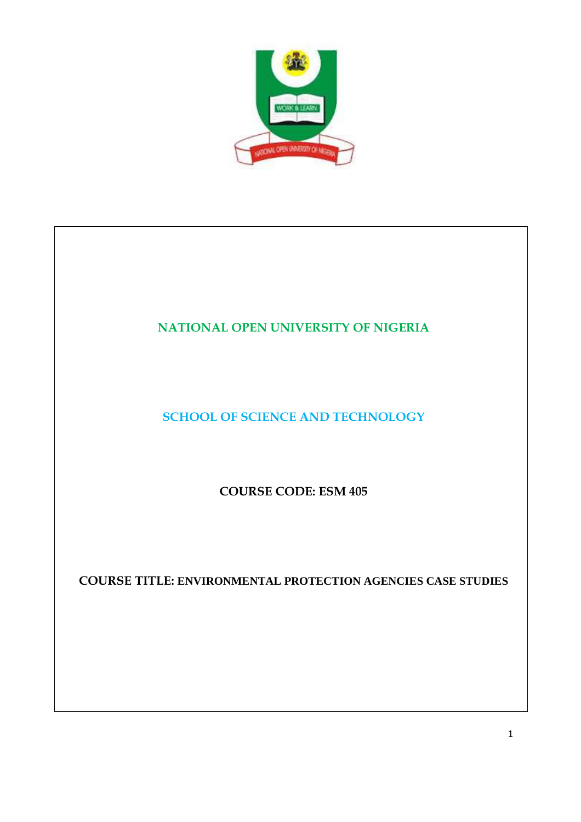

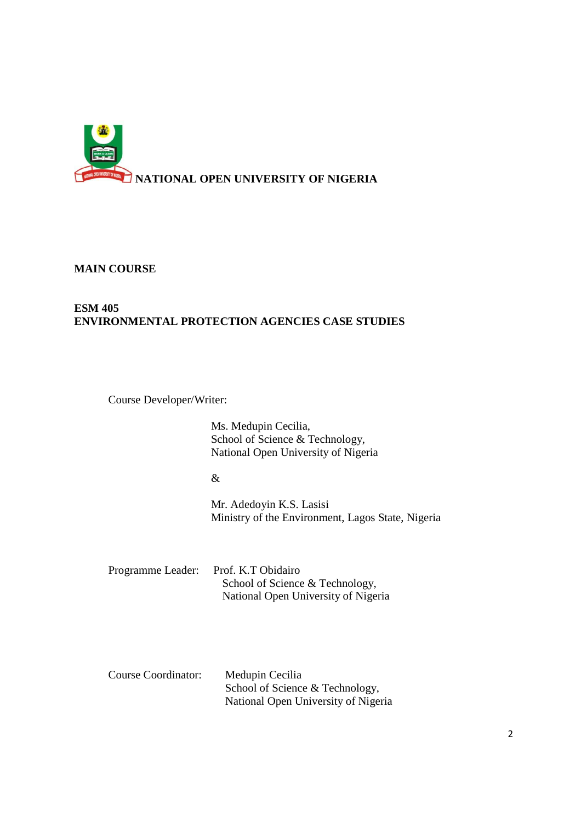

**MAIN COURSE** 

# **ESM 405 ENVIRONMENTAL PROTECTION AGENCIES CASE STUDIES**

Course Developer/Writer:

Ms. Medupin Cecilia, School of Science & Technology, National Open University of Nigeria

&

Mr. Adedoyin K.S. Lasisi Ministry of the Environment, Lagos State, Nigeria

Programme Leader: Prof. K.T Obidairo School of Science & Technology, National Open University of Nigeria

| Course Coordinator: | Medupin Cecilia                     |
|---------------------|-------------------------------------|
|                     | School of Science & Technology,     |
|                     | National Open University of Nigeria |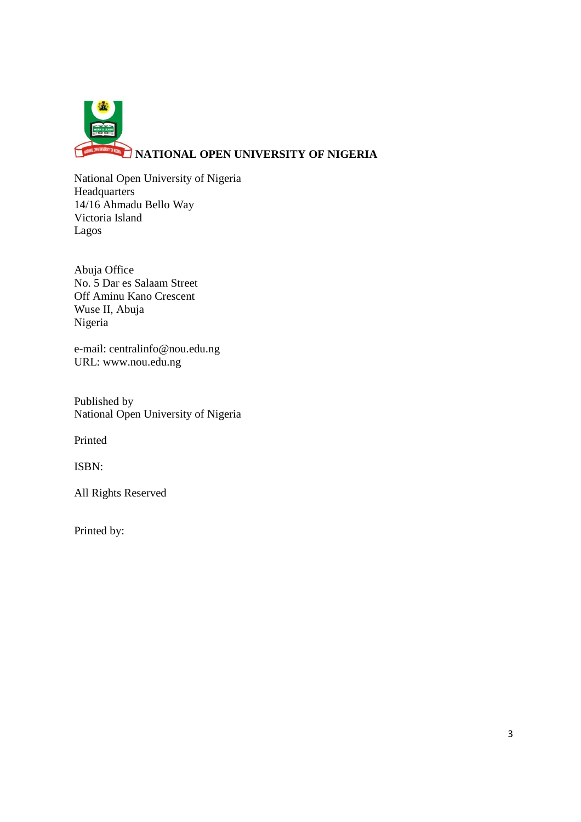

National Open University of Nigeria **Headquarters** 14/16 Ahmadu Bello Way Victoria Island Lagos

Abuja Office No. 5 Dar es Salaam Street Off Aminu Kano Crescent Wuse II, Abuja Nigeria

e-mail: centralinfo@nou.edu.ng URL: www.nou.edu.ng

Published by National Open University of Nigeria

Printed

ISBN:

All Rights Reserved

Printed by: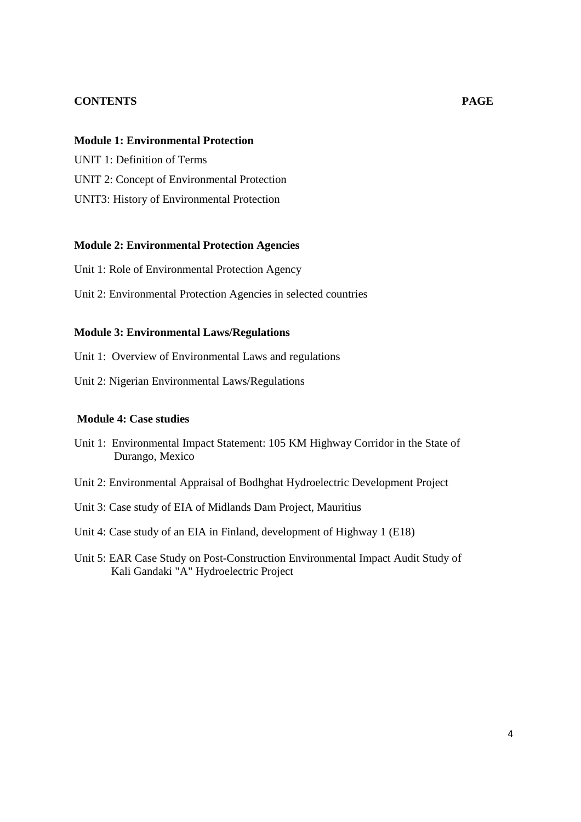## **CONTENTS PAGE**

#### **Module 1: Environmental Protection**

UNIT 1: Definition of Terms UNIT 2: Concept of Environmental Protection UNIT3: History of Environmental Protection

## **Module 2: Environmental Protection Agencies**

Unit 1: Role of Environmental Protection Agency

Unit 2: Environmental Protection Agencies in selected countries

## **Module 3: Environmental Laws/Regulations**

Unit 1: Overview of Environmental Laws and regulations

Unit 2: Nigerian Environmental Laws/Regulations

#### **Module 4: Case studies**

- Unit 1: Environmental Impact Statement: 105 KM Highway Corridor in the State of Durango, Mexico
- Unit 2: Environmental Appraisal of Bodhghat Hydroelectric Development Project
- Unit 3: Case study of EIA of Midlands Dam Project, Mauritius

Unit 4: Case study of an EIA in Finland, development of Highway 1 (E18)

Unit 5: EAR Case Study on Post-Construction Environmental Impact Audit Study of Kali Gandaki "A" Hydroelectric Project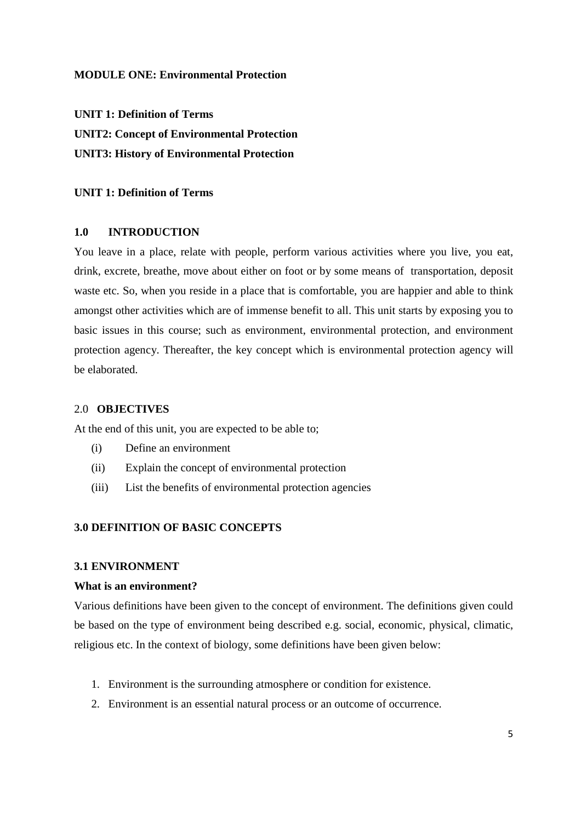# **MODULE ONE: Environmental Protection**

**UNIT 1: Definition of Terms UNIT2: Concept of Environmental Protection UNIT3: History of Environmental Protection** 

#### **UNIT 1: Definition of Terms**

#### **1.0 INTRODUCTION**

You leave in a place, relate with people, perform various activities where you live, you eat, drink, excrete, breathe, move about either on foot or by some means of transportation, deposit waste etc. So, when you reside in a place that is comfortable, you are happier and able to think amongst other activities which are of immense benefit to all. This unit starts by exposing you to basic issues in this course; such as environment, environmental protection, and environment protection agency. Thereafter, the key concept which is environmental protection agency will be elaborated.

#### 2.0 **OBJECTIVES**

At the end of this unit, you are expected to be able to;

- (i) Define an environment
- (ii) Explain the concept of environmental protection
- (iii) List the benefits of environmental protection agencies

#### **3.0 DEFINITION OF BASIC CONCEPTS**

### **3.1 ENVIRONMENT**

#### **What is an environment?**

Various definitions have been given to the concept of environment. The definitions given could be based on the type of environment being described e.g. social, economic, physical, climatic, religious etc. In the context of biology, some definitions have been given below:

- 1. Environment is the surrounding atmosphere or condition for existence.
- 2. Environment is an essential natural process or an outcome of occurrence.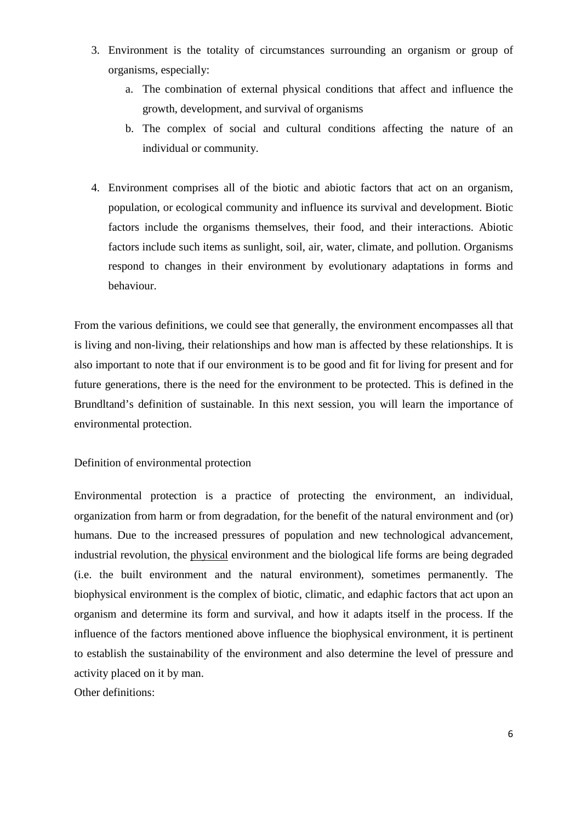- 3. Environment is the totality of circumstances surrounding an organism or group of organisms, especially:
	- a. The combination of external physical conditions that affect and influence the growth, development, and survival of organisms
	- b. The complex of social and cultural conditions affecting the nature of an individual or community.
- 4. Environment comprises all of the biotic and abiotic factors that act on an organism, population, or ecological community and influence its survival and development. Biotic factors include the organisms themselves, their food, and their interactions. Abiotic factors include such items as sunlight, soil, air, water, climate, and pollution. Organisms respond to changes in their environment by evolutionary adaptations in forms and behaviour.

From the various definitions, we could see that generally, the environment encompasses all that is living and non-living, their relationships and how man is affected by these relationships. It is also important to note that if our environment is to be good and fit for living for present and for future generations, there is the need for the environment to be protected. This is defined in the Brundltand's definition of sustainable. In this next session, you will learn the importance of environmental protection.

Definition of environmental protection

Environmental protection is a practice of protecting the environment, an individual, organization from harm or from degradation, for the benefit of the natural environment and (or) humans. Due to the increased pressures of population and new technological advancement, industrial revolution, the physical environment and the biological life forms are being degraded (i.e. the built environment and the natural environment), sometimes permanently. The biophysical environment is the complex of biotic, climatic, and edaphic factors that act upon an organism and determine its form and survival, and how it adapts itself in the process. If the influence of the factors mentioned above influence the biophysical environment, it is pertinent to establish the sustainability of the environment and also determine the level of pressure and activity placed on it by man.

Other definitions: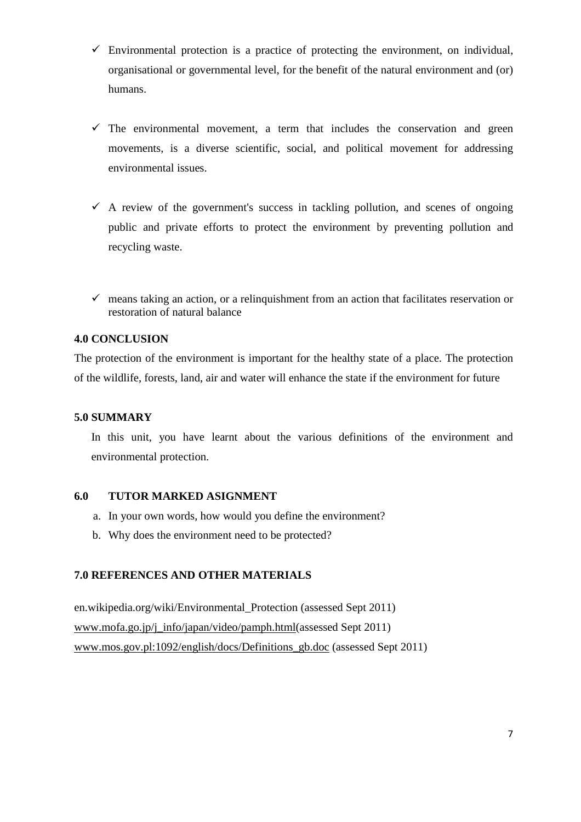- $\checkmark$  Environmental protection is a practice of protecting the environment, on individual, organisational or governmental level, for the benefit of the natural environment and (or) humans.
- The environmental movement, a term that includes the conservation and green movements, is a diverse scientific, social, and political movement for addressing environmental issues.
- $\checkmark$  A review of the government's success in tackling pollution, and scenes of ongoing public and private efforts to protect the environment by preventing pollution and recycling waste.
- $\checkmark$  means taking an action, or a relinquishment from an action that facilitates reservation or restoration of natural balance

## **4.0 CONCLUSION**

The protection of the environment is important for the healthy state of a place. The protection of the wildlife, forests, land, air and water will enhance the state if the environment for future

#### **5.0 SUMMARY**

In this unit, you have learnt about the various definitions of the environment and environmental protection.

## **6.0 TUTOR MARKED ASIGNMENT**

- a. In your own words, how would you define the environment?
- b. Why does the environment need to be protected?

## **7.0 REFERENCES AND OTHER MATERIALS**

en.wikipedia.org/wiki/Environmental\_Protection (assessed Sept 2011) www.mofa.go.jp/j\_info/japan/video/pamph.html(assessed Sept 2011) www.mos.gov.pl:1092/english/docs/Definitions\_gb.doc (assessed Sept 2011)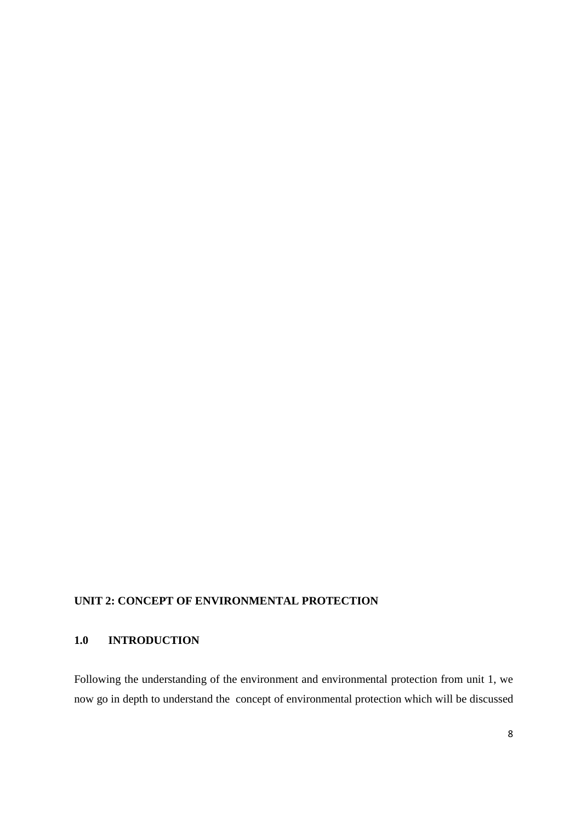# **UNIT 2: CONCEPT OF ENVIRONMENTAL PROTECTION**

# **1.0 INTRODUCTION**

Following the understanding of the environment and environmental protection from unit 1, we now go in depth to understand the concept of environmental protection which will be discussed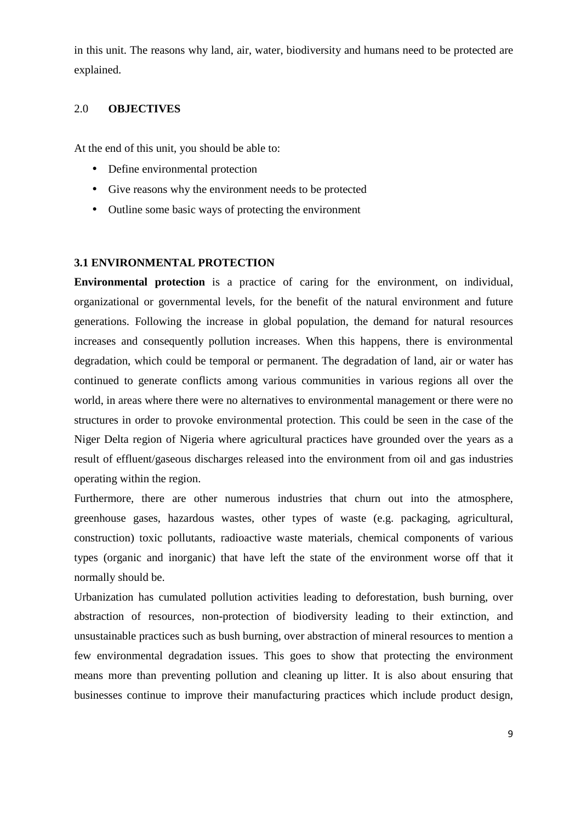in this unit. The reasons why land, air, water, biodiversity and humans need to be protected are explained.

## 2.0 **OBJECTIVES**

At the end of this unit, you should be able to:

- Define environmental protection
- Give reasons why the environment needs to be protected
- Outline some basic ways of protecting the environment

## **3.1 ENVIRONMENTAL PROTECTION**

**Environmental protection** is a practice of caring for the environment, on individual, organizational or governmental levels, for the benefit of the natural environment and future generations. Following the increase in global population, the demand for natural resources increases and consequently pollution increases. When this happens, there is environmental degradation, which could be temporal or permanent. The degradation of land, air or water has continued to generate conflicts among various communities in various regions all over the world, in areas where there were no alternatives to environmental management or there were no structures in order to provoke environmental protection. This could be seen in the case of the Niger Delta region of Nigeria where agricultural practices have grounded over the years as a result of effluent/gaseous discharges released into the environment from oil and gas industries operating within the region.

Furthermore, there are other numerous industries that churn out into the atmosphere, greenhouse gases, hazardous wastes, other types of waste (e.g. packaging, agricultural, construction) toxic pollutants, radioactive waste materials, chemical components of various types (organic and inorganic) that have left the state of the environment worse off that it normally should be.

Urbanization has cumulated pollution activities leading to deforestation, bush burning, over abstraction of resources, non-protection of biodiversity leading to their extinction, and unsustainable practices such as bush burning, over abstraction of mineral resources to mention a few environmental degradation issues. This goes to show that protecting the environment means more than preventing pollution and cleaning up litter. It is also about ensuring that businesses continue to improve their manufacturing practices which include product design,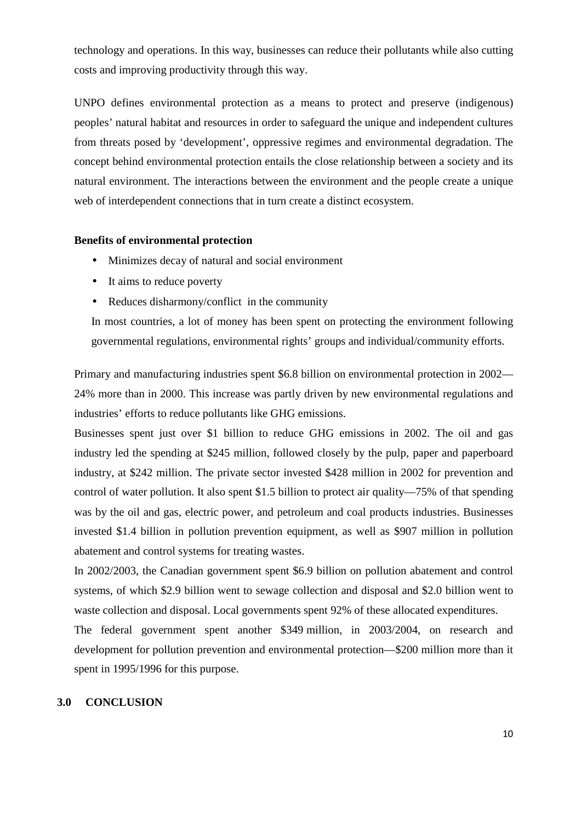technology and operations. In this way, businesses can reduce their pollutants while also cutting costs and improving productivity through this way.

UNPO defines environmental protection as a means to protect and preserve (indigenous) peoples' natural habitat and resources in order to safeguard the unique and independent cultures from threats posed by 'development', oppressive regimes and environmental degradation. The concept behind environmental protection entails the close relationship between a society and its natural environment. The interactions between the environment and the people create a unique web of interdependent connections that in turn create a distinct ecosystem.

#### **Benefits of environmental protection**

- Minimizes decay of natural and social environment
- It aims to reduce poverty
- Reduces disharmony/conflict in the community

In most countries, a lot of money has been spent on protecting the environment following governmental regulations, environmental rights' groups and individual/community efforts.

Primary and manufacturing industries spent \$6.8 billion on environmental protection in 2002— 24% more than in 2000. This increase was partly driven by new environmental regulations and industries' efforts to reduce pollutants like GHG emissions.

Businesses spent just over \$1 billion to reduce GHG emissions in 2002. The oil and gas industry led the spending at \$245 million, followed closely by the pulp, paper and paperboard industry, at \$242 million. The private sector invested \$428 million in 2002 for prevention and control of water pollution. It also spent \$1.5 billion to protect air quality—75% of that spending was by the oil and gas, electric power, and petroleum and coal products industries. Businesses invested \$1.4 billion in pollution prevention equipment, as well as \$907 million in pollution abatement and control systems for treating wastes.

In 2002/2003, the Canadian government spent \$6.9 billion on pollution abatement and control systems, of which \$2.9 billion went to sewage collection and disposal and \$2.0 billion went to waste collection and disposal. Local governments spent 92% of these allocated expenditures.

The federal government spent another \$349 million, in 2003/2004, on research and development for pollution prevention and environmental protection—\$200 million more than it spent in 1995/1996 for this purpose.

### **3.0 CONCLUSION**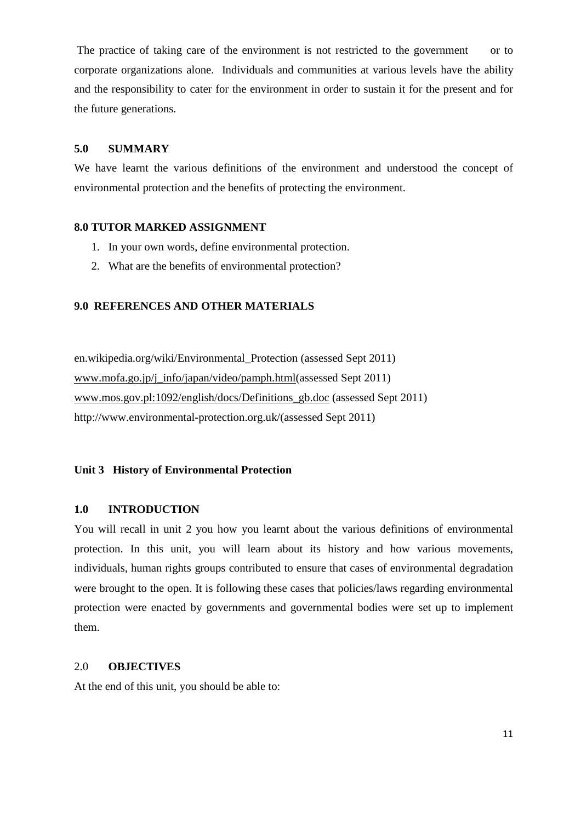The practice of taking care of the environment is not restricted to the government or to corporate organizations alone. Individuals and communities at various levels have the ability and the responsibility to cater for the environment in order to sustain it for the present and for the future generations.

## **5.0 SUMMARY**

We have learnt the various definitions of the environment and understood the concept of environmental protection and the benefits of protecting the environment.

#### **8.0 TUTOR MARKED ASSIGNMENT**

- 1. In your own words, define environmental protection.
- 2. What are the benefits of environmental protection?

## **9.0 REFERENCES AND OTHER MATERIALS**

en.wikipedia.org/wiki/Environmental\_Protection (assessed Sept 2011) www.mofa.go.jp/j\_info/japan/video/pamph.html(assessed Sept 2011) www.mos.gov.pl:1092/english/docs/Definitions\_gb.doc (assessed Sept 2011) http://www.environmental-protection.org.uk/(assessed Sept 2011)

#### **Unit 3 History of Environmental Protection**

#### **1.0 INTRODUCTION**

You will recall in unit 2 you how you learnt about the various definitions of environmental protection. In this unit, you will learn about its history and how various movements, individuals, human rights groups contributed to ensure that cases of environmental degradation were brought to the open. It is following these cases that policies/laws regarding environmental protection were enacted by governments and governmental bodies were set up to implement them.

#### 2.0 **OBJECTIVES**

At the end of this unit, you should be able to: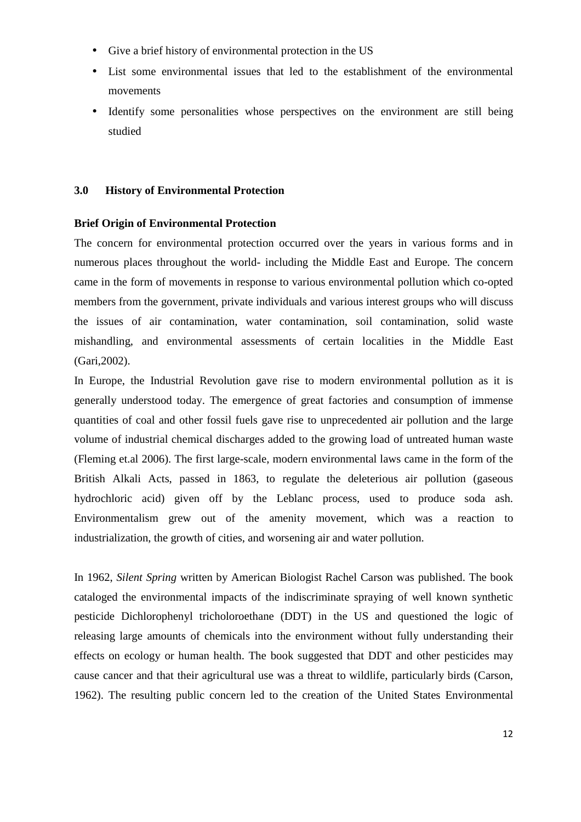- Give a brief history of environmental protection in the US
- List some environmental issues that led to the establishment of the environmental movements
- Identify some personalities whose perspectives on the environment are still being studied

## **3.0 History of Environmental Protection**

## **Brief Origin of Environmental Protection**

The concern for environmental protection occurred over the years in various forms and in numerous places throughout the world- including the Middle East and Europe. The concern came in the form of movements in response to various environmental pollution which co-opted members from the government, private individuals and various interest groups who will discuss the issues of air contamination, water contamination, soil contamination, solid waste mishandling, and environmental assessments of certain localities in the Middle East (Gari,2002).

In Europe, the Industrial Revolution gave rise to modern environmental pollution as it is generally understood today. The emergence of great factories and consumption of immense quantities of coal and other fossil fuels gave rise to unprecedented air pollution and the large volume of industrial chemical discharges added to the growing load of untreated human waste (Fleming et.al 2006). The first large-scale, modern environmental laws came in the form of the British Alkali Acts, passed in 1863, to regulate the deleterious air pollution (gaseous hydrochloric acid) given off by the Leblanc process, used to produce soda ash. Environmentalism grew out of the amenity movement, which was a reaction to industrialization, the growth of cities, and worsening air and water pollution.

In 1962, *Silent Spring* written by American Biologist Rachel Carson was published. The book cataloged the environmental impacts of the indiscriminate spraying of well known synthetic pesticide Dichlorophenyl tricholoroethane (DDT) in the US and questioned the logic of releasing large amounts of chemicals into the environment without fully understanding their effects on ecology or human health. The book suggested that DDT and other pesticides may cause cancer and that their agricultural use was a threat to wildlife, particularly birds (Carson, 1962). The resulting public concern led to the creation of the United States Environmental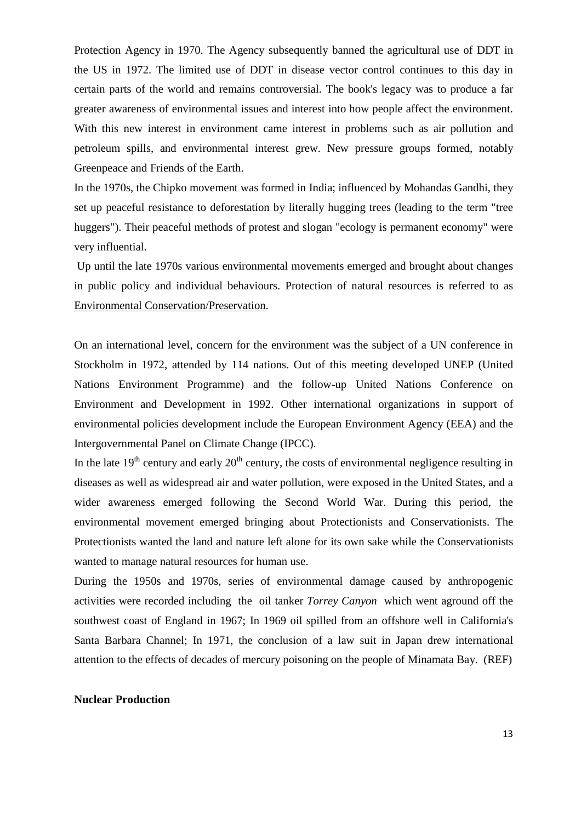Protection Agency in 1970. The Agency subsequently banned the agricultural use of DDT in the US in 1972. The limited use of DDT in disease vector control continues to this day in certain parts of the world and remains controversial. The book's legacy was to produce a far greater awareness of environmental issues and interest into how people affect the environment. With this new interest in environment came interest in problems such as air pollution and petroleum spills, and environmental interest grew. New pressure groups formed, notably Greenpeace and Friends of the Earth.

In the 1970s, the Chipko movement was formed in India; influenced by Mohandas Gandhi, they set up peaceful resistance to deforestation by literally hugging trees (leading to the term "tree huggers"). Their peaceful methods of protest and slogan "ecology is permanent economy" were very influential.

 Up until the late 1970s various environmental movements emerged and brought about changes in public policy and individual behaviours. Protection of natural resources is referred to as Environmental Conservation/Preservation.

On an international level, concern for the environment was the subject of a UN conference in Stockholm in 1972, attended by 114 nations. Out of this meeting developed UNEP (United Nations Environment Programme) and the follow-up United Nations Conference on Environment and Development in 1992. Other international organizations in support of environmental policies development include the European Environment Agency (EEA) and the Intergovernmental Panel on Climate Change (IPCC).

In the late  $19<sup>th</sup>$  century and early  $20<sup>th</sup>$  century, the costs of environmental negligence resulting in diseases as well as widespread air and water pollution, were exposed in the United States, and a wider awareness emerged following the Second World War. During this period, the environmental movement emerged bringing about Protectionists and Conservationists. The Protectionists wanted the land and nature left alone for its own sake while the Conservationists wanted to manage natural resources for human use.

During the 1950s and 1970s, series of environmental damage caused by anthropogenic activities were recorded including the oil tanker *Torrey Canyon* which went aground off the southwest coast of England in 1967; In 1969 oil spilled from an offshore well in California's Santa Barbara Channel; In 1971, the conclusion of a law suit in Japan drew international attention to the effects of decades of mercury poisoning on the people of Minamata Bay. (REF)

## **Nuclear Production**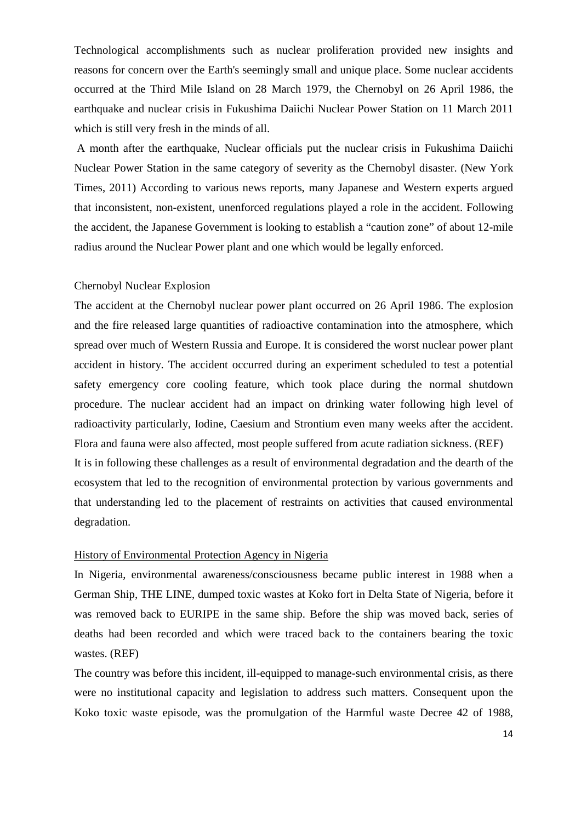Technological accomplishments such as nuclear proliferation provided new insights and reasons for concern over the Earth's seemingly small and unique place. Some nuclear accidents occurred at the Third Mile Island on 28 March 1979, the Chernobyl on 26 April 1986, the earthquake and nuclear crisis in Fukushima Daiichi Nuclear Power Station on 11 March 2011 which is still very fresh in the minds of all.

 A month after the earthquake, Nuclear officials put the nuclear crisis in Fukushima Daiichi Nuclear Power Station in the same category of severity as the Chernobyl disaster. (New York Times, 2011) According to various news reports, many Japanese and Western experts argued that inconsistent, non-existent, unenforced regulations played a role in the accident. Following the accident, the Japanese Government is looking to establish a "caution zone" of about 12-mile radius around the Nuclear Power plant and one which would be legally enforced.

#### Chernobyl Nuclear Explosion

The accident at the Chernobyl nuclear power plant occurred on 26 April 1986. The explosion and the fire released large quantities of radioactive contamination into the atmosphere, which spread over much of Western Russia and Europe. It is considered the worst nuclear power plant accident in history. The accident occurred during an experiment scheduled to test a potential safety emergency core cooling feature, which took place during the normal shutdown procedure. The nuclear accident had an impact on drinking water following high level of radioactivity particularly, Iodine, Caesium and Strontium even many weeks after the accident. Flora and fauna were also affected, most people suffered from acute radiation sickness. (REF) It is in following these challenges as a result of environmental degradation and the dearth of the ecosystem that led to the recognition of environmental protection by various governments and that understanding led to the placement of restraints on activities that caused environmental degradation.

#### History of Environmental Protection Agency in Nigeria

In Nigeria, environmental awareness/consciousness became public interest in 1988 when a German Ship, THE LINE, dumped toxic wastes at Koko fort in Delta State of Nigeria, before it was removed back to EURIPE in the same ship. Before the ship was moved back, series of deaths had been recorded and which were traced back to the containers bearing the toxic wastes. (REF)

The country was before this incident, ill-equipped to manage-such environmental crisis, as there were no institutional capacity and legislation to address such matters. Consequent upon the Koko toxic waste episode, was the promulgation of the Harmful waste Decree 42 of 1988,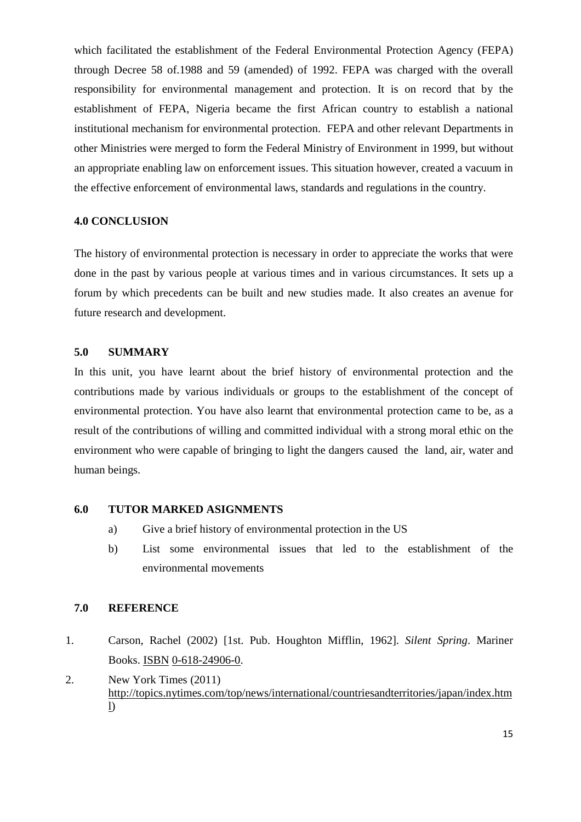which facilitated the establishment of the Federal Environmental Protection Agency (FEPA) through Decree 58 of.1988 and 59 (amended) of 1992. FEPA was charged with the overall responsibility for environmental management and protection. It is on record that by the establishment of FEPA, Nigeria became the first African country to establish a national institutional mechanism for environmental protection. FEPA and other relevant Departments in other Ministries were merged to form the Federal Ministry of Environment in 1999, but without an appropriate enabling law on enforcement issues. This situation however, created a vacuum in the effective enforcement of environmental laws, standards and regulations in the country.

## **4.0 CONCLUSION**

The history of environmental protection is necessary in order to appreciate the works that were done in the past by various people at various times and in various circumstances. It sets up a forum by which precedents can be built and new studies made. It also creates an avenue for future research and development.

#### **5.0 SUMMARY**

In this unit, you have learnt about the brief history of environmental protection and the contributions made by various individuals or groups to the establishment of the concept of environmental protection. You have also learnt that environmental protection came to be, as a result of the contributions of willing and committed individual with a strong moral ethic on the environment who were capable of bringing to light the dangers caused the land, air, water and human beings.

## **6.0 TUTOR MARKED ASIGNMENTS**

- a) Give a brief history of environmental protection in the US
- b) List some environmental issues that led to the establishment of the environmental movements

# **7.0 REFERENCE**

- 1. Carson, Rachel (2002) [1st. Pub. Houghton Mifflin, 1962]. *Silent Spring*. Mariner Books. ISBN 0-618-24906-0.
- 2. New York Times (2011) http://topics.nytimes.com/top/news/international/countriesandterritories/japan/index.htm l)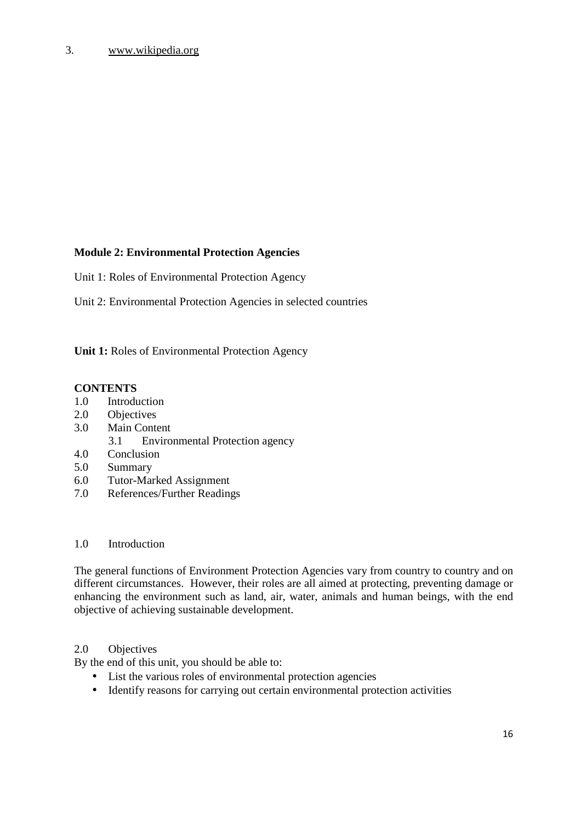# 3. www.wikipedia.org

## **Module 2: Environmental Protection Agencies**

Unit 1: Roles of Environmental Protection Agency

Unit 2: Environmental Protection Agencies in selected countries

**Unit 1:** Roles of Environmental Protection Agency

## **CONTENTS**

- 1.0 Introduction
- 2.0 Objectives
- 3.0 Main Content
	- 3.1 Environmental Protection agency
- 4.0 Conclusion
- 5.0 Summary
- 6.0 Tutor-Marked Assignment
- 7.0 References/Further Readings

## 1.0 Introduction

The general functions of Environment Protection Agencies vary from country to country and on different circumstances. However, their roles are all aimed at protecting, preventing damage or enhancing the environment such as land, air, water, animals and human beings, with the end objective of achieving sustainable development.

#### 2.0 Objectives

By the end of this unit, you should be able to:

- List the various roles of environmental protection agencies
- Identify reasons for carrying out certain environmental protection activities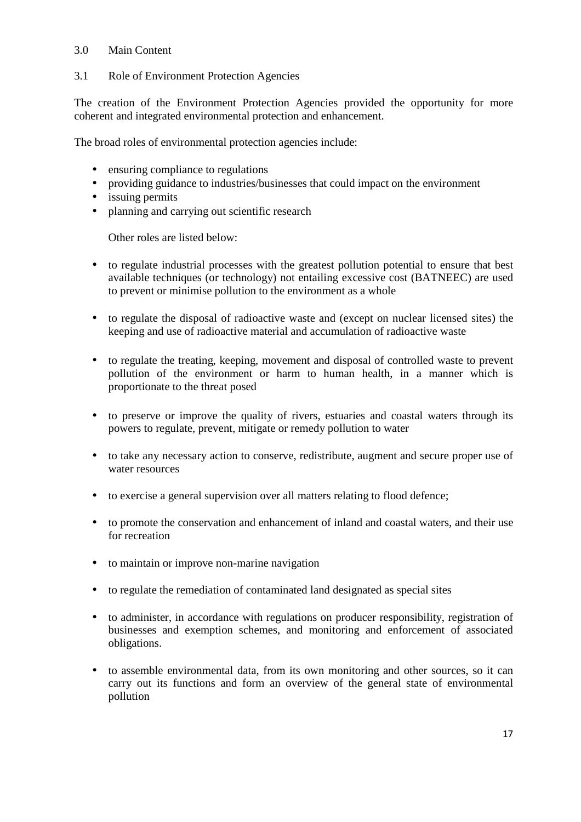## 3.0 Main Content

# 3.1 Role of Environment Protection Agencies

The creation of the Environment Protection Agencies provided the opportunity for more coherent and integrated environmental protection and enhancement.

The broad roles of environmental protection agencies include:

- ensuring compliance to regulations
- providing guidance to industries/businesses that could impact on the environment
- issuing permits
- planning and carrying out scientific research

Other roles are listed below:

- to regulate industrial processes with the greatest pollution potential to ensure that best available techniques (or technology) not entailing excessive cost (BATNEEC) are used to prevent or minimise pollution to the environment as a whole
- to regulate the disposal of radioactive waste and (except on nuclear licensed sites) the keeping and use of radioactive material and accumulation of radioactive waste
- to regulate the treating, keeping, movement and disposal of controlled waste to prevent pollution of the environment or harm to human health, in a manner which is proportionate to the threat posed
- to preserve or improve the quality of rivers, estuaries and coastal waters through its powers to regulate, prevent, mitigate or remedy pollution to water
- to take any necessary action to conserve, redistribute, augment and secure proper use of water resources
- to exercise a general supervision over all matters relating to flood defence;
- to promote the conservation and enhancement of inland and coastal waters, and their use for recreation
- to maintain or improve non-marine navigation
- to regulate the remediation of contaminated land designated as special sites
- to administer, in accordance with regulations on producer responsibility, registration of businesses and exemption schemes, and monitoring and enforcement of associated obligations.
- to assemble environmental data, from its own monitoring and other sources, so it can carry out its functions and form an overview of the general state of environmental pollution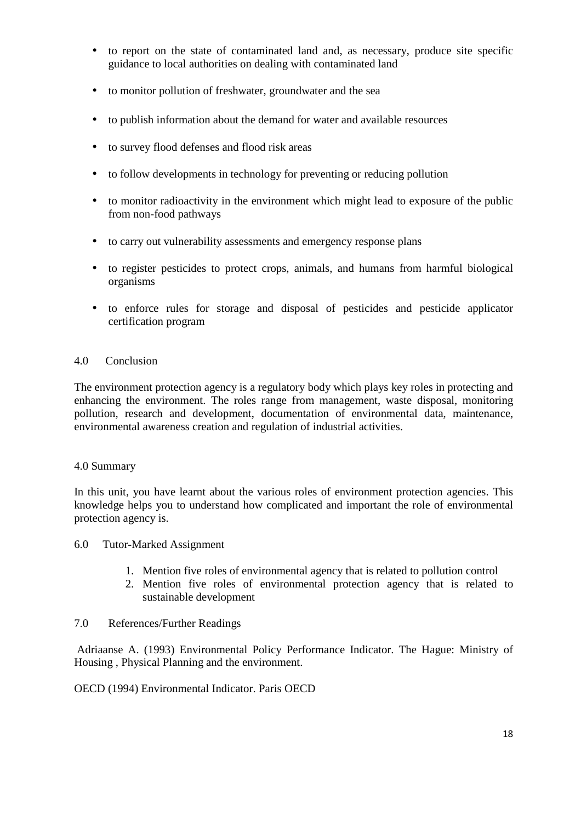- to report on the state of contaminated land and, as necessary, produce site specific guidance to local authorities on dealing with contaminated land
- to monitor pollution of freshwater, groundwater and the sea
- to publish information about the demand for water and available resources
- to survey flood defenses and flood risk areas
- to follow developments in technology for preventing or reducing pollution
- to monitor radioactivity in the environment which might lead to exposure of the public from non-food pathways
- to carry out vulnerability assessments and emergency response plans
- to register pesticides to protect crops, animals, and humans from harmful biological organisms
- to enforce rules for storage and disposal of pesticides and pesticide applicator certification program

### 4.0 Conclusion

The environment protection agency is a regulatory body which plays key roles in protecting and enhancing the environment. The roles range from management, waste disposal, monitoring pollution, research and development, documentation of environmental data, maintenance, environmental awareness creation and regulation of industrial activities.

#### 4.0 Summary

In this unit, you have learnt about the various roles of environment protection agencies. This knowledge helps you to understand how complicated and important the role of environmental protection agency is.

- 6.0 Tutor-Marked Assignment
	- 1. Mention five roles of environmental agency that is related to pollution control
	- 2. Mention five roles of environmental protection agency that is related to sustainable development

#### 7.0 References/Further Readings

 Adriaanse A. (1993) Environmental Policy Performance Indicator. The Hague: Ministry of Housing , Physical Planning and the environment.

OECD (1994) Environmental Indicator. Paris OECD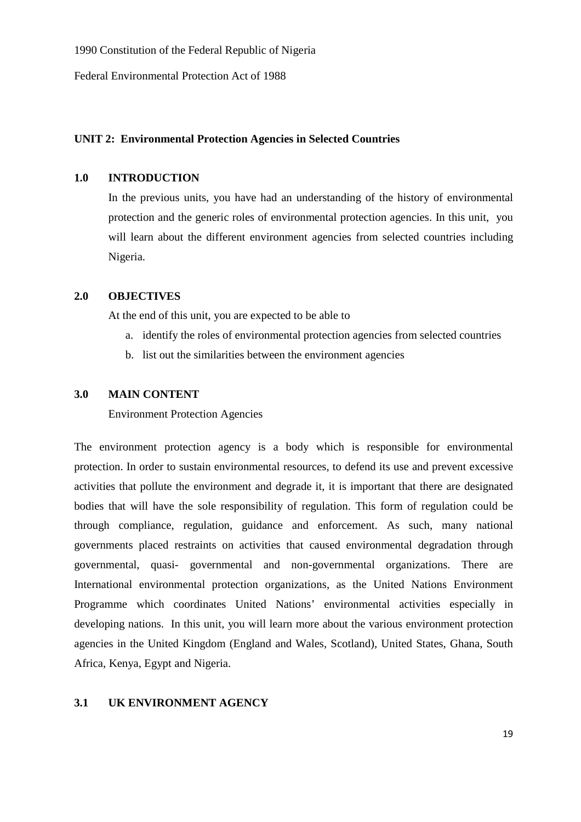1990 Constitution of the Federal Republic of Nigeria

Federal Environmental Protection Act of 1988

## **UNIT 2: Environmental Protection Agencies in Selected Countries**

## **1.0 INTRODUCTION**

In the previous units, you have had an understanding of the history of environmental protection and the generic roles of environmental protection agencies. In this unit, you will learn about the different environment agencies from selected countries including Nigeria.

## **2.0 OBJECTIVES**

At the end of this unit, you are expected to be able to

- a. identify the roles of environmental protection agencies from selected countries
- b. list out the similarities between the environment agencies

## **3.0 MAIN CONTENT**

Environment Protection Agencies

The environment protection agency is a body which is responsible for environmental protection. In order to sustain environmental resources, to defend its use and prevent excessive activities that pollute the environment and degrade it, it is important that there are designated bodies that will have the sole responsibility of regulation. This form of regulation could be through compliance, regulation, guidance and enforcement. As such, many national governments placed restraints on activities that caused environmental degradation through governmental, quasi- governmental and non-governmental organizations. There are International environmental protection organizations, as the United Nations Environment Programme which coordinates United Nations' environmental activities especially in developing nations. In this unit, you will learn more about the various environment protection agencies in the United Kingdom (England and Wales, Scotland), United States, Ghana, South Africa, Kenya, Egypt and Nigeria.

## **3.1 UK ENVIRONMENT AGENCY**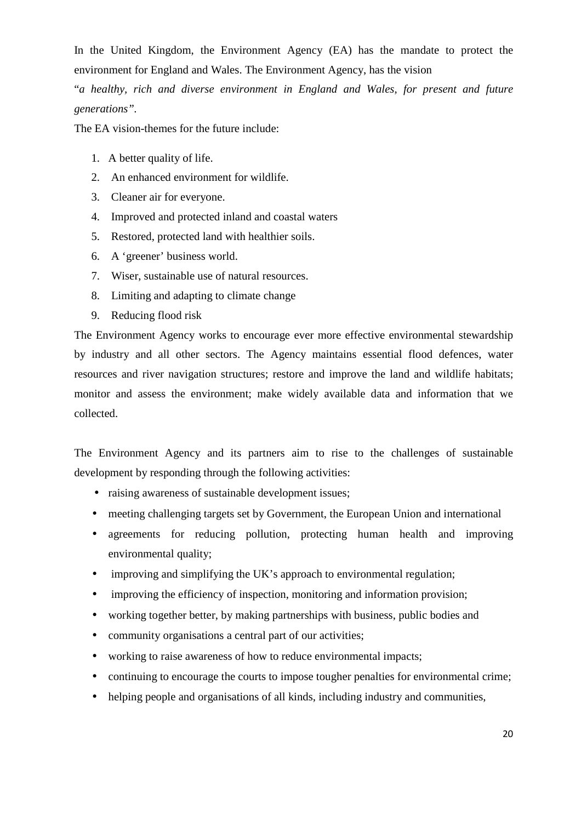In the United Kingdom, the Environment Agency (EA) has the mandate to protect the environment for England and Wales. The Environment Agency, has the vision

"*a healthy, rich and diverse environment in England and Wales, for present and future generations".*

The EA vision-themes for the future include:

- 1. A better quality of life.
- 2. An enhanced environment for wildlife.
- 3. Cleaner air for everyone.
- 4. Improved and protected inland and coastal waters
- 5. Restored, protected land with healthier soils.
- 6. A 'greener' business world.
- 7. Wiser, sustainable use of natural resources.
- 8. Limiting and adapting to climate change
- 9. Reducing flood risk

The Environment Agency works to encourage ever more effective environmental stewardship by industry and all other sectors. The Agency maintains essential flood defences, water resources and river navigation structures; restore and improve the land and wildlife habitats; monitor and assess the environment; make widely available data and information that we collected.

The Environment Agency and its partners aim to rise to the challenges of sustainable development by responding through the following activities:

- raising awareness of sustainable development issues;
- meeting challenging targets set by Government, the European Union and international
- agreements for reducing pollution, protecting human health and improving environmental quality;
- improving and simplifying the UK's approach to environmental regulation;
- improving the efficiency of inspection, monitoring and information provision;
- working together better, by making partnerships with business, public bodies and
- community organisations a central part of our activities;
- working to raise awareness of how to reduce environmental impacts;
- continuing to encourage the courts to impose tougher penalties for environmental crime;
- helping people and organisations of all kinds, including industry and communities,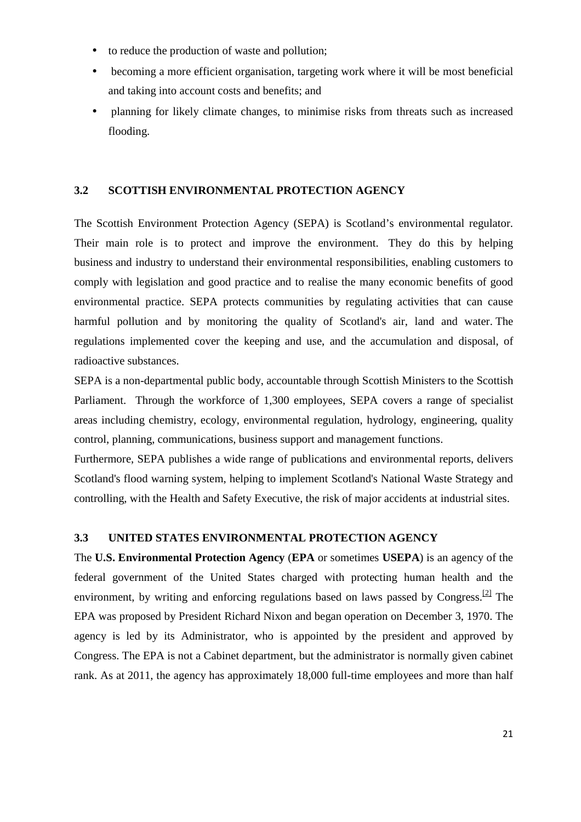- to reduce the production of waste and pollution;
- becoming a more efficient organisation, targeting work where it will be most beneficial and taking into account costs and benefits; and
- planning for likely climate changes, to minimise risks from threats such as increased flooding.

## **3.2 SCOTTISH ENVIRONMENTAL PROTECTION AGENCY**

The Scottish Environment Protection Agency (SEPA) is Scotland's environmental regulator. Their main role is to protect and improve the environment. They do this by helping business and industry to understand their environmental responsibilities, enabling customers to comply with legislation and good practice and to realise the many economic benefits of good environmental practice. SEPA protects communities by regulating activities that can cause harmful pollution and by monitoring the quality of Scotland's air, land and water. The regulations implemented cover the keeping and use, and the accumulation and disposal, of radioactive substances.

SEPA is a non-departmental public body, accountable through Scottish Ministers to the Scottish Parliament. Through the workforce of 1,300 employees, SEPA covers a range of specialist areas including chemistry, ecology, environmental regulation, hydrology, engineering, quality control, planning, communications, business support and management functions.

Furthermore, SEPA publishes a wide range of publications and environmental reports, delivers Scotland's flood warning system, helping to implement Scotland's National Waste Strategy and controlling, with the Health and Safety Executive, the risk of major accidents at industrial sites.

#### **3.3 UNITED STATES ENVIRONMENTAL PROTECTION AGENCY**

The **U.S. Environmental Protection Agency** (**EPA** or sometimes **USEPA**) is an agency of the federal government of the United States charged with protecting human health and the environment, by writing and enforcing regulations based on laws passed by Congress.<sup>[2]</sup> The EPA was proposed by President Richard Nixon and began operation on December 3, 1970. The agency is led by its Administrator, who is appointed by the president and approved by Congress. The EPA is not a Cabinet department, but the administrator is normally given cabinet rank. As at 2011, the agency has approximately 18,000 full-time employees and more than half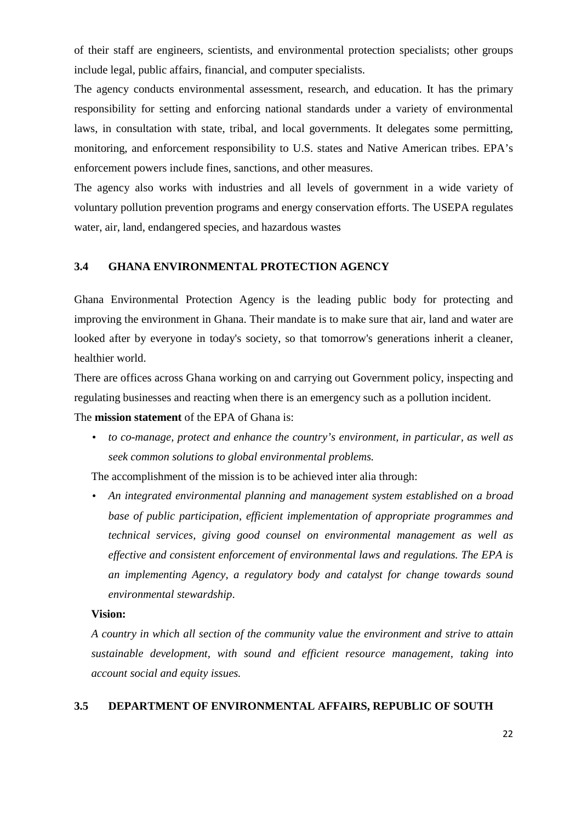of their staff are engineers, scientists, and environmental protection specialists; other groups include legal, public affairs, financial, and computer specialists.

The agency conducts environmental assessment, research, and education. It has the primary responsibility for setting and enforcing national standards under a variety of environmental laws, in consultation with state, tribal, and local governments. It delegates some permitting, monitoring, and enforcement responsibility to U.S. states and Native American tribes. EPA's enforcement powers include fines, sanctions, and other measures.

The agency also works with industries and all levels of government in a wide variety of voluntary pollution prevention programs and energy conservation efforts. The USEPA regulates water, air, land, endangered species, and hazardous wastes

#### **3.4 GHANA ENVIRONMENTAL PROTECTION AGENCY**

Ghana Environmental Protection Agency is the leading public body for protecting and improving the environment in Ghana. Their mandate is to make sure that air, land and water are looked after by everyone in today's society, so that tomorrow's generations inherit a cleaner, healthier world.

There are offices across Ghana working on and carrying out Government policy, inspecting and regulating businesses and reacting when there is an emergency such as a pollution incident.

The **mission statement** of the EPA of Ghana is:

• *to co-manage, protect and enhance the country's environment, in particular, as well as seek common solutions to global environmental problems.*

The accomplishment of the mission is to be achieved inter alia through:

• *An integrated environmental planning and management system established on a broad base of public participation, efficient implementation of appropriate programmes and technical services, giving good counsel on environmental management as well as effective and consistent enforcement of environmental laws and regulations. The EPA is an implementing Agency, a regulatory body and catalyst for change towards sound environmental stewardship*.

#### **Vision:**

*A country in which all section of the community value the environment and strive to attain sustainable development, with sound and efficient resource management, taking into account social and equity issues.*

#### **3.5 DEPARTMENT OF ENVIRONMENTAL AFFAIRS, REPUBLIC OF SOUTH**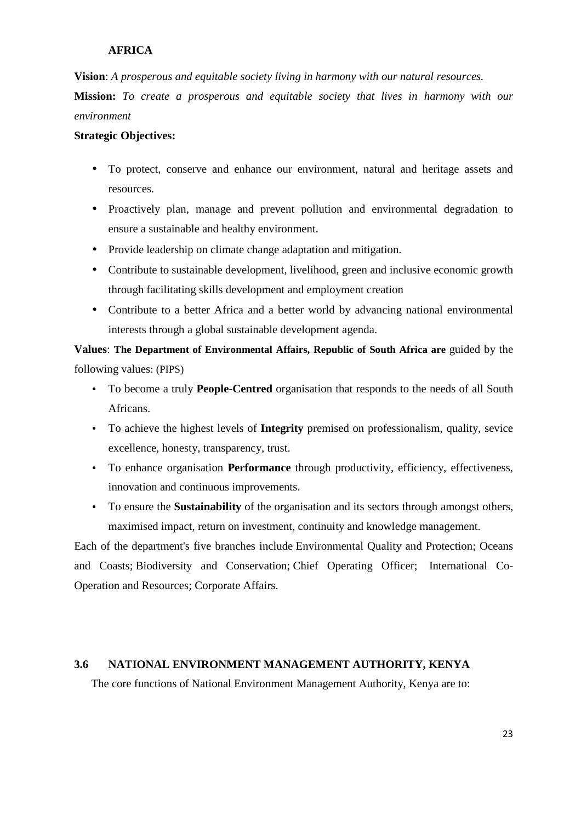# **AFRICA**

**Vision**: *A prosperous and equitable society living in harmony with our natural resources.* 

**Mission:** *To create a prosperous and equitable society that lives in harmony with our environment* 

# **Strategic Objectives:**

- To protect, conserve and enhance our environment, natural and heritage assets and resources.
- Proactively plan, manage and prevent pollution and environmental degradation to ensure a sustainable and healthy environment.
- Provide leadership on climate change adaptation and mitigation.
- Contribute to sustainable development, livelihood, green and inclusive economic growth through facilitating skills development and employment creation
- Contribute to a better Africa and a better world by advancing national environmental interests through a global sustainable development agenda.

**Values**: **The Department of Environmental Affairs, Republic of South Africa are** guided by the following values: (PIPS)

- To become a truly **People-Centred** organisation that responds to the needs of all South Africans.
- To achieve the highest levels of **Integrity** premised on professionalism, quality, sevice excellence, honesty, transparency, trust.
- To enhance organisation **Performance** through productivity, efficiency, effectiveness, innovation and continuous improvements.
- To ensure the **Sustainability** of the organisation and its sectors through amongst others, maximised impact, return on investment, continuity and knowledge management.

Each of the department's five branches include Environmental Quality and Protection; Oceans and Coasts; Biodiversity and Conservation; Chief Operating Officer; International Co-Operation and Resources; Corporate Affairs.

## **3.6 NATIONAL ENVIRONMENT MANAGEMENT AUTHORITY, KENYA**

The core functions of National Environment Management Authority, Kenya are to: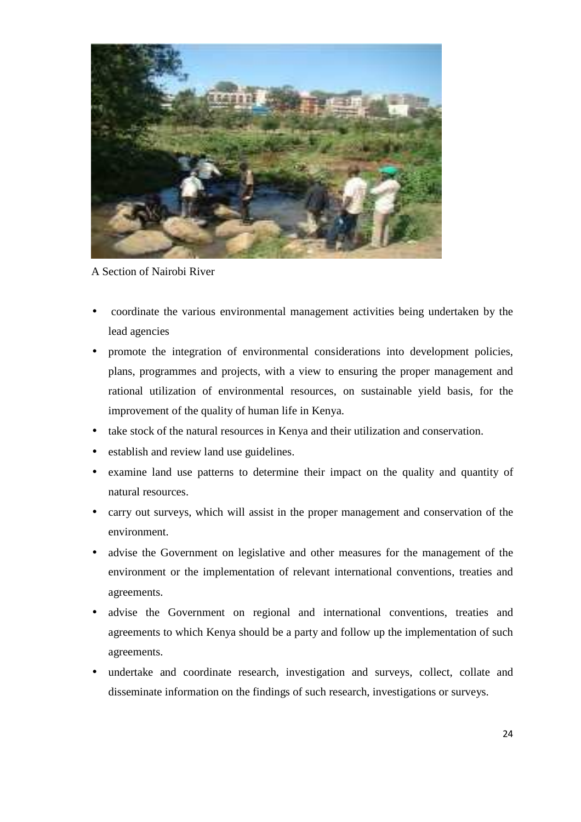

A Section of Nairobi River

- coordinate the various environmental management activities being undertaken by the lead agencies
- promote the integration of environmental considerations into development policies, plans, programmes and projects, with a view to ensuring the proper management and rational utilization of environmental resources, on sustainable yield basis, for the improvement of the quality of human life in Kenya.
- take stock of the natural resources in Kenya and their utilization and conservation.
- establish and review land use guidelines.
- examine land use patterns to determine their impact on the quality and quantity of natural resources.
- carry out surveys, which will assist in the proper management and conservation of the environment.
- advise the Government on legislative and other measures for the management of the environment or the implementation of relevant international conventions, treaties and agreements.
- advise the Government on regional and international conventions, treaties and agreements to which Kenya should be a party and follow up the implementation of such agreements.
- undertake and coordinate research, investigation and surveys, collect, collate and disseminate information on the findings of such research, investigations or surveys.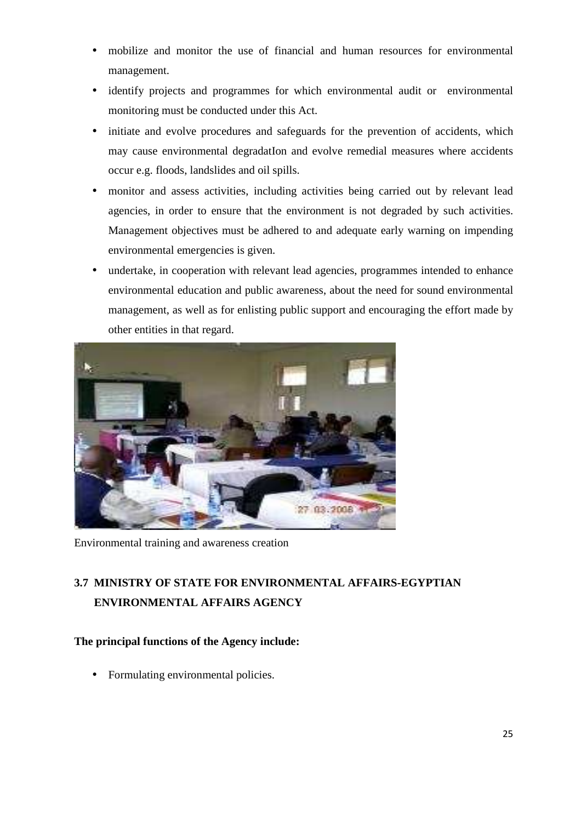- mobilize and monitor the use of financial and human resources for environmental management.
- identify projects and programmes for which environmental audit or environmental monitoring must be conducted under this Act.
- initiate and evolve procedures and safeguards for the prevention of accidents, which may cause environmental degradatIon and evolve remedial measures where accidents occur e.g. floods, landslides and oil spills.
- monitor and assess activities, including activities being carried out by relevant lead agencies, in order to ensure that the environment is not degraded by such activities. Management objectives must be adhered to and adequate early warning on impending environmental emergencies is given.
- undertake, in cooperation with relevant lead agencies, programmes intended to enhance environmental education and public awareness, about the need for sound environmental management, as well as for enlisting public support and encouraging the effort made by other entities in that regard.



Environmental training and awareness creation

# **3.7 MINISTRY OF STATE FOR ENVIRONMENTAL AFFAIRS-EGYPTIAN ENVIRONMENTAL AFFAIRS AGENCY**

# **The principal functions of the Agency include:**

• Formulating environmental policies.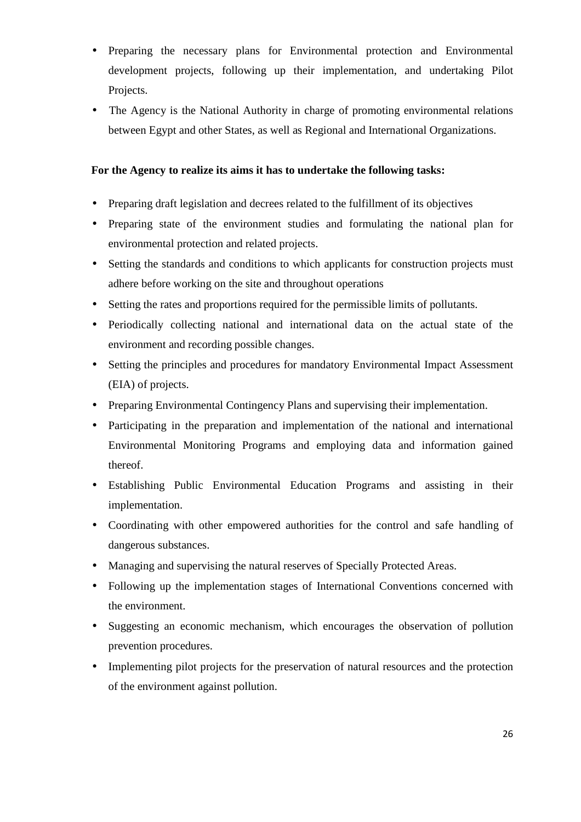- Preparing the necessary plans for Environmental protection and Environmental development projects, following up their implementation, and undertaking Pilot Projects.
- The Agency is the National Authority in charge of promoting environmental relations between Egypt and other States, as well as Regional and International Organizations.

# **For the Agency to realize its aims it has to undertake the following tasks:**

- Preparing draft legislation and decrees related to the fulfillment of its objectives
- Preparing state of the environment studies and formulating the national plan for environmental protection and related projects.
- Setting the standards and conditions to which applicants for construction projects must adhere before working on the site and throughout operations
- Setting the rates and proportions required for the permissible limits of pollutants.
- Periodically collecting national and international data on the actual state of the environment and recording possible changes.
- Setting the principles and procedures for mandatory Environmental Impact Assessment (EIA) of projects.
- Preparing Environmental Contingency Plans and supervising their implementation.
- Participating in the preparation and implementation of the national and international Environmental Monitoring Programs and employing data and information gained thereof.
- Establishing Public Environmental Education Programs and assisting in their implementation.
- Coordinating with other empowered authorities for the control and safe handling of dangerous substances.
- Managing and supervising the natural reserves of Specially Protected Areas.
- Following up the implementation stages of International Conventions concerned with the environment.
- Suggesting an economic mechanism, which encourages the observation of pollution prevention procedures.
- Implementing pilot projects for the preservation of natural resources and the protection of the environment against pollution.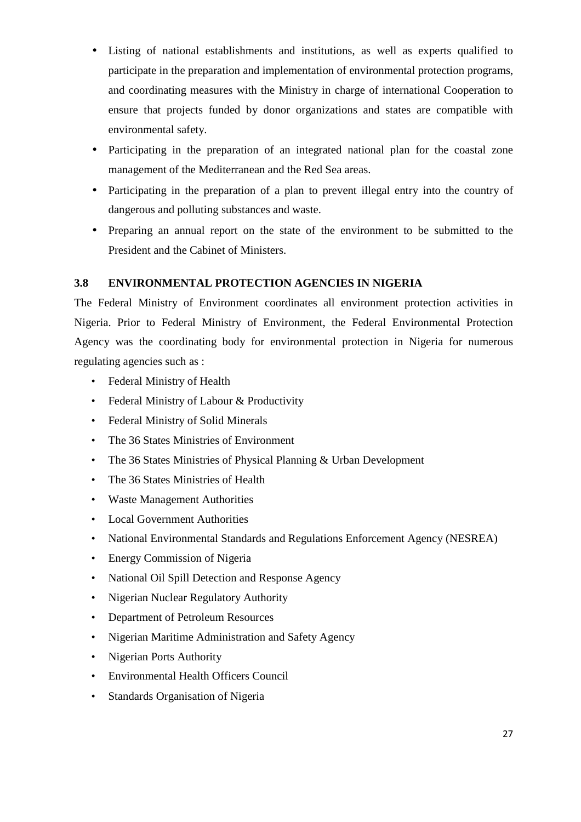- Listing of national establishments and institutions, as well as experts qualified to participate in the preparation and implementation of environmental protection programs, and coordinating measures with the Ministry in charge of international Cooperation to ensure that projects funded by donor organizations and states are compatible with environmental safety.
- Participating in the preparation of an integrated national plan for the coastal zone management of the Mediterranean and the Red Sea areas.
- Participating in the preparation of a plan to prevent illegal entry into the country of dangerous and polluting substances and waste.
- Preparing an annual report on the state of the environment to be submitted to the President and the Cabinet of Ministers.

# **3.8 ENVIRONMENTAL PROTECTION AGENCIES IN NIGERIA**

The Federal Ministry of Environment coordinates all environment protection activities in Nigeria. Prior to Federal Ministry of Environment, the Federal Environmental Protection Agency was the coordinating body for environmental protection in Nigeria for numerous regulating agencies such as :

- Federal Ministry of Health
- Federal Ministry of Labour & Productivity
- Federal Ministry of Solid Minerals
- The 36 States Ministries of Environment
- The 36 States Ministries of Physical Planning & Urban Development
- The 36 States Ministries of Health
- Waste Management Authorities
- Local Government Authorities
- National Environmental Standards and Regulations Enforcement Agency (NESREA)
- Energy Commission of Nigeria
- National Oil Spill Detection and Response Agency
- Nigerian Nuclear Regulatory Authority
- Department of Petroleum Resources
- Nigerian Maritime Administration and Safety Agency
- Nigerian Ports Authority
- Environmental Health Officers Council
- Standards Organisation of Nigeria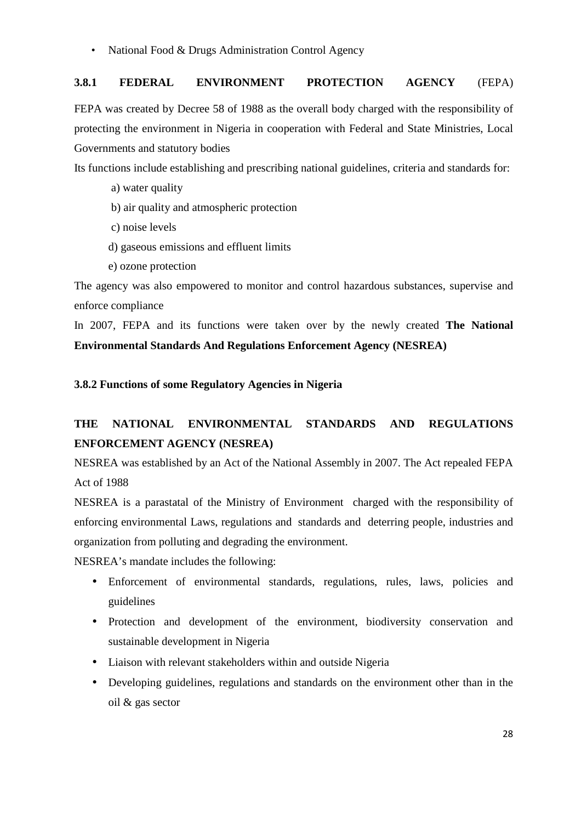• National Food & Drugs Administration Control Agency

# **3.8.1 FEDERAL ENVIRONMENT PROTECTION AGENCY** (FEPA)

FEPA was created by Decree 58 of 1988 as the overall body charged with the responsibility of protecting the environment in Nigeria in cooperation with Federal and State Ministries, Local Governments and statutory bodies

Its functions include establishing and prescribing national guidelines, criteria and standards for:

- a) water quality
- b) air quality and atmospheric protection
- c) noise levels
- d) gaseous emissions and effluent limits
- e) ozone protection

The agency was also empowered to monitor and control hazardous substances, supervise and enforce compliance

In 2007, FEPA and its functions were taken over by the newly created **The National Environmental Standards And Regulations Enforcement Agency (NESREA)** 

**3.8.2 Functions of some Regulatory Agencies in Nigeria** 

# **THE NATIONAL ENVIRONMENTAL STANDARDS AND REGULATIONS ENFORCEMENT AGENCY (NESREA)**

NESREA was established by an Act of the National Assembly in 2007. The Act repealed FEPA Act of 1988

NESREA is a parastatal of the Ministry of Environment charged with the responsibility of enforcing environmental Laws, regulations and standards and deterring people, industries and organization from polluting and degrading the environment.

NESREA's mandate includes the following:

- Enforcement of environmental standards, regulations, rules, laws, policies and guidelines
- Protection and development of the environment, biodiversity conservation and sustainable development in Nigeria
- Liaison with relevant stakeholders within and outside Nigeria
- Developing guidelines, regulations and standards on the environment other than in the oil & gas sector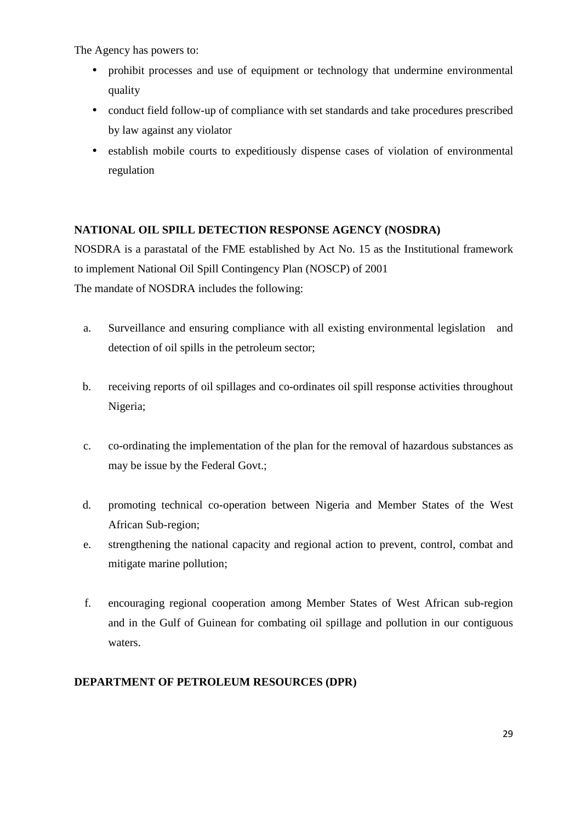The Agency has powers to:

- prohibit processes and use of equipment or technology that undermine environmental quality
- conduct field follow-up of compliance with set standards and take procedures prescribed by law against any violator
- establish mobile courts to expeditiously dispense cases of violation of environmental regulation

# **NATIONAL OIL SPILL DETECTION RESPONSE AGENCY (NOSDRA)**

NOSDRA is a parastatal of the FME established by Act No. 15 as the Institutional framework to implement National Oil Spill Contingency Plan (NOSCP) of 2001 The mandate of NOSDRA includes the following:

- a. Surveillance and ensuring compliance with all existing environmental legislation and detection of oil spills in the petroleum sector;
- b. receiving reports of oil spillages and co-ordinates oil spill response activities throughout Nigeria;
- c. co-ordinating the implementation of the plan for the removal of hazardous substances as may be issue by the Federal Govt.;
- d. promoting technical co-operation between Nigeria and Member States of the West African Sub-region;
- e. strengthening the national capacity and regional action to prevent, control, combat and mitigate marine pollution;
- f. encouraging regional cooperation among Member States of West African sub-region and in the Gulf of Guinean for combating oil spillage and pollution in our contiguous waters.

# **DEPARTMENT OF PETROLEUM RESOURCES (DPR)**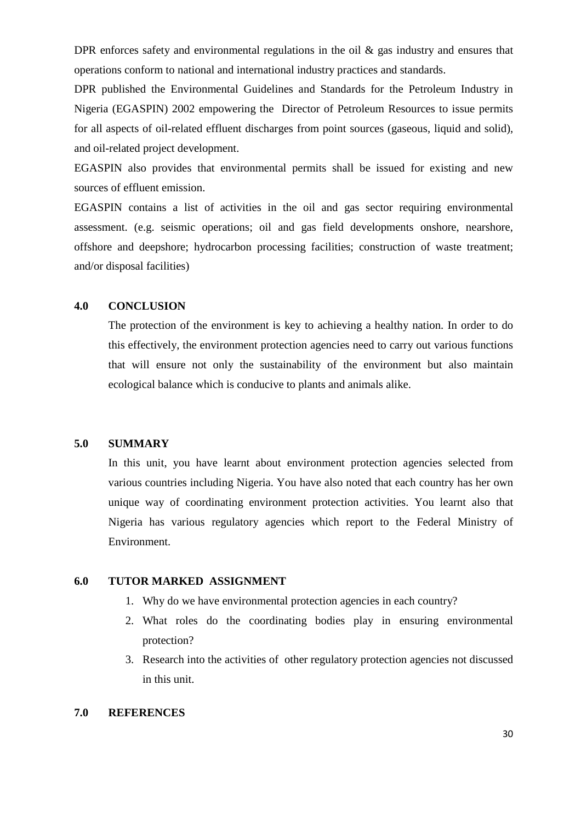DPR enforces safety and environmental regulations in the oil  $\&$  gas industry and ensures that operations conform to national and international industry practices and standards.

DPR published the Environmental Guidelines and Standards for the Petroleum Industry in Nigeria (EGASPIN) 2002 empowering the Director of Petroleum Resources to issue permits for all aspects of oil-related effluent discharges from point sources (gaseous, liquid and solid), and oil-related project development.

EGASPIN also provides that environmental permits shall be issued for existing and new sources of effluent emission.

EGASPIN contains a list of activities in the oil and gas sector requiring environmental assessment. (e.g. seismic operations; oil and gas field developments onshore, nearshore, offshore and deepshore; hydrocarbon processing facilities; construction of waste treatment; and/or disposal facilities)

## **4.0 CONCLUSION**

The protection of the environment is key to achieving a healthy nation. In order to do this effectively, the environment protection agencies need to carry out various functions that will ensure not only the sustainability of the environment but also maintain ecological balance which is conducive to plants and animals alike.

## **5.0 SUMMARY**

In this unit, you have learnt about environment protection agencies selected from various countries including Nigeria. You have also noted that each country has her own unique way of coordinating environment protection activities. You learnt also that Nigeria has various regulatory agencies which report to the Federal Ministry of Environment.

#### **6.0 TUTOR MARKED ASSIGNMENT**

- 1. Why do we have environmental protection agencies in each country?
- 2. What roles do the coordinating bodies play in ensuring environmental protection?
- 3. Research into the activities of other regulatory protection agencies not discussed in this unit.

## **7.0 REFERENCES**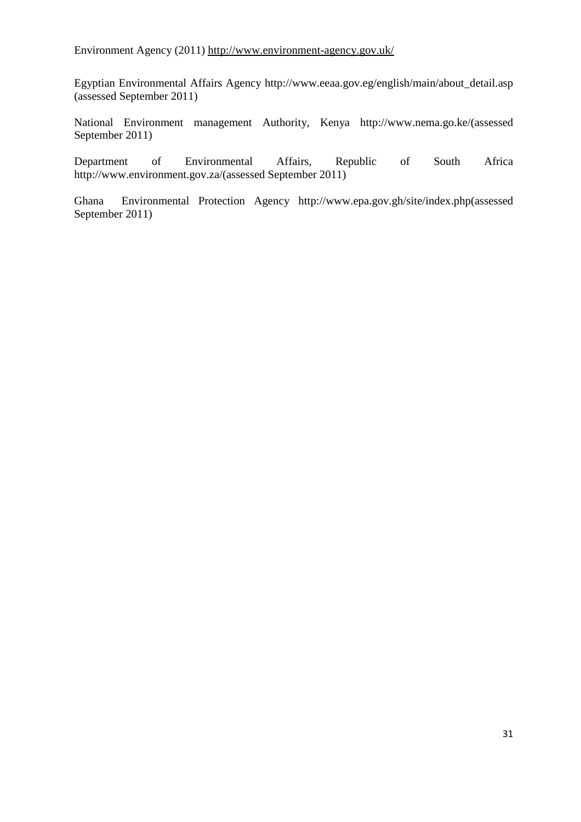Environment Agency (2011) http://www.environment-agency.gov.uk/

Egyptian Environmental Affairs Agency http://www.eeaa.gov.eg/english/main/about\_detail.asp (assessed September 2011)

National Environment management Authority, Kenya http://www.nema.go.ke/(assessed September 2011)

Department of Environmental Affairs, Republic of South Africa http://www.environment.gov.za/(assessed September 2011)

Ghana Environmental Protection Agency http://www.epa.gov.gh/site/index.php(assessed September 2011)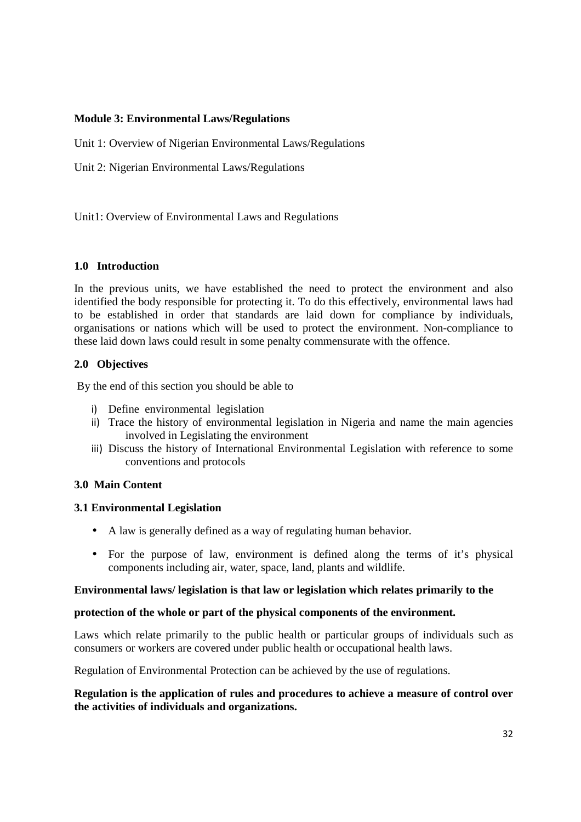## **Module 3: Environmental Laws/Regulations**

Unit 1: Overview of Nigerian Environmental Laws/Regulations

Unit 2: Nigerian Environmental Laws/Regulations

Unit1: Overview of Environmental Laws and Regulations

# **1.0 Introduction**

In the previous units, we have established the need to protect the environment and also identified the body responsible for protecting it. To do this effectively, environmental laws had to be established in order that standards are laid down for compliance by individuals, organisations or nations which will be used to protect the environment. Non-compliance to these laid down laws could result in some penalty commensurate with the offence.

# **2.0 Objectives**

By the end of this section you should be able to

- i) Define environmental legislation
- ii) Trace the history of environmental legislation in Nigeria and name the main agencies involved in Legislating the environment
- iii) Discuss the history of International Environmental Legislation with reference to some conventions and protocols

# **3.0 Main Content**

# **3.1 Environmental Legislation**

- A law is generally defined as a way of regulating human behavior.
- For the purpose of law, environment is defined along the terms of it's physical components including air, water, space, land, plants and wildlife.

## **Environmental laws/ legislation is that law or legislation which relates primarily to the**

## **protection of the whole or part of the physical components of the environment.**

Laws which relate primarily to the public health or particular groups of individuals such as consumers or workers are covered under public health or occupational health laws.

Regulation of Environmental Protection can be achieved by the use of regulations.

## **Regulation is the application of rules and procedures to achieve a measure of control over the activities of individuals and organizations.**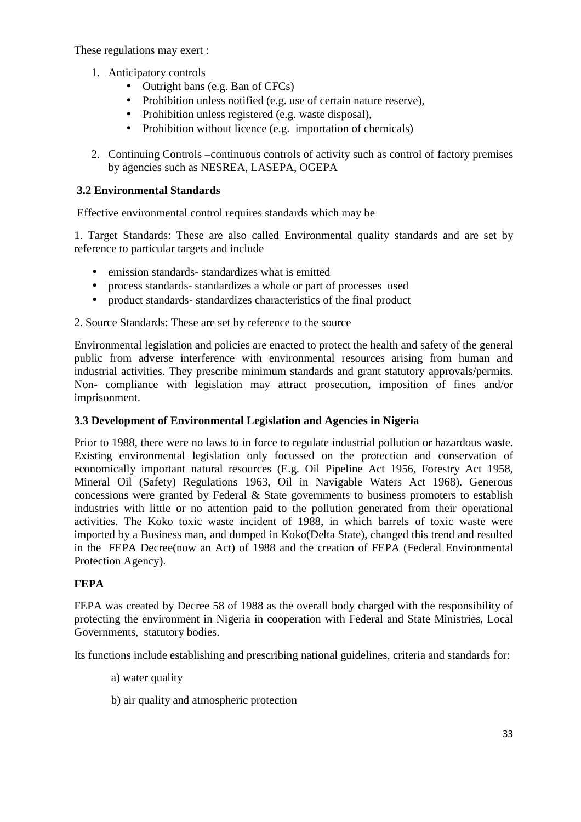These regulations may exert :

- 1. Anticipatory controls
	- Outright bans (e.g. Ban of CFCs)
	- Prohibition unless notified (e.g. use of certain nature reserve),
	- Prohibition unless registered (e.g. waste disposal),
	- Prohibition without licence (e.g. importation of chemicals)
- 2. Continuing Controls –continuous controls of activity such as control of factory premises by agencies such as NESREA, LASEPA, OGEPA

# **3.2 Environmental Standards**

Effective environmental control requires standards which may be

1. Target Standards: These are also called Environmental quality standards and are set by reference to particular targets and include

- emission standards-standardizes what is emitted
- process standards- standardizes a whole or part of processes used
- product standards- standardizes characteristics of the final product
- 2. Source Standards: These are set by reference to the source

Environmental legislation and policies are enacted to protect the health and safety of the general public from adverse interference with environmental resources arising from human and industrial activities. They prescribe minimum standards and grant statutory approvals/permits. Non- compliance with legislation may attract prosecution, imposition of fines and/or imprisonment.

# **3.3 Development of Environmental Legislation and Agencies in Nigeria**

Prior to 1988, there were no laws to in force to regulate industrial pollution or hazardous waste. Existing environmental legislation only focussed on the protection and conservation of economically important natural resources (E.g. Oil Pipeline Act 1956, Forestry Act 1958, Mineral Oil (Safety) Regulations 1963, Oil in Navigable Waters Act 1968). Generous concessions were granted by Federal & State governments to business promoters to establish industries with little or no attention paid to the pollution generated from their operational activities. The Koko toxic waste incident of 1988, in which barrels of toxic waste were imported by a Business man, and dumped in Koko(Delta State), changed this trend and resulted in the FEPA Decree(now an Act) of 1988 and the creation of FEPA (Federal Environmental Protection Agency).

# **FEPA**

FEPA was created by Decree 58 of 1988 as the overall body charged with the responsibility of protecting the environment in Nigeria in cooperation with Federal and State Ministries, Local Governments, statutory bodies.

Its functions include establishing and prescribing national guidelines, criteria and standards for:

- a) water quality
- b) air quality and atmospheric protection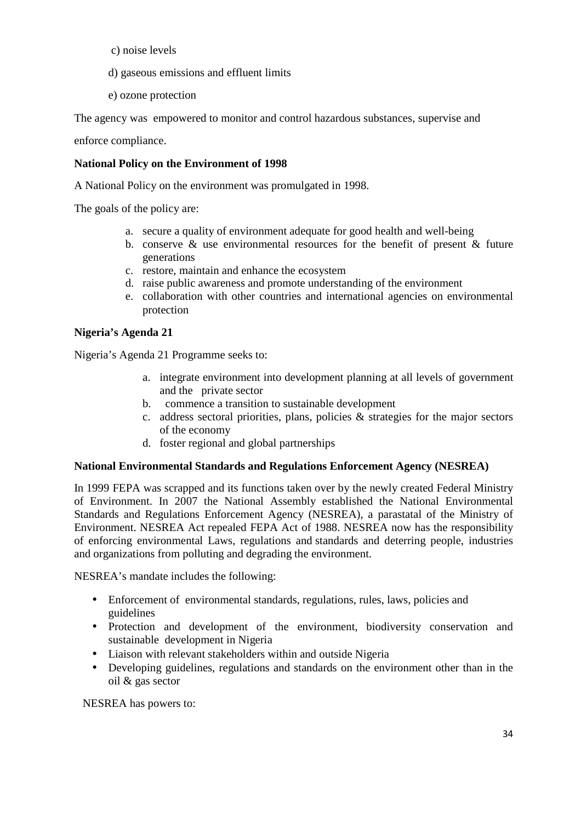- c) noise levels
- d) gaseous emissions and effluent limits
- e) ozone protection

The agency was empowered to monitor and control hazardous substances, supervise and

enforce compliance.

# **National Policy on the Environment of 1998**

A National Policy on the environment was promulgated in 1998.

The goals of the policy are:

- a. secure a quality of environment adequate for good health and well-being
- b. conserve  $\&$  use environmental resources for the benefit of present  $\&$  future generations
- c. restore, maintain and enhance the ecosystem
- d. raise public awareness and promote understanding of the environment
- e. collaboration with other countries and international agencies on environmental protection

# **Nigeria's Agenda 21**

Nigeria's Agenda 21 Programme seeks to:

- a. integrate environment into development planning at all levels of government and the private sector
- b. commence a transition to sustainable development
- c. address sectoral priorities, plans, policies & strategies for the major sectors of the economy
- d. foster regional and global partnerships

## **National Environmental Standards and Regulations Enforcement Agency (NESREA)**

In 1999 FEPA was scrapped and its functions taken over by the newly created Federal Ministry of Environment. In 2007 the National Assembly established the National Environmental Standards and Regulations Enforcement Agency (NESREA), a parastatal of the Ministry of Environment. NESREA Act repealed FEPA Act of 1988. NESREA now has the responsibility of enforcing environmental Laws, regulations and standards and deterring people, industries and organizations from polluting and degrading the environment.

NESREA's mandate includes the following:

- Enforcement of environmental standards, regulations, rules, laws, policies and guidelines
- Protection and development of the environment, biodiversity conservation and sustainable development in Nigeria
- Liaison with relevant stakeholders within and outside Nigeria
- Developing guidelines, regulations and standards on the environment other than in the oil & gas sector

NESREA has powers to: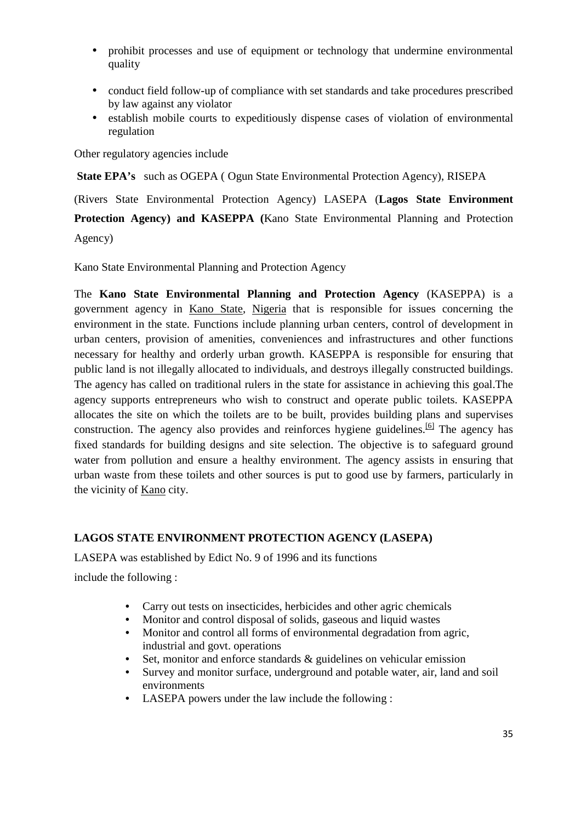- prohibit processes and use of equipment or technology that undermine environmental quality
- conduct field follow-up of compliance with set standards and take procedures prescribed by law against any violator
- establish mobile courts to expeditiously dispense cases of violation of environmental regulation

Other regulatory agencies include

**State EPA's** such as OGEPA ( Ogun State Environmental Protection Agency), RISEPA

(Rivers State Environmental Protection Agency) LASEPA (**Lagos State Environment Protection Agency) and KASEPPA (**Kano State Environmental Planning and Protection Agency)

Kano State Environmental Planning and Protection Agency

The **Kano State Environmental Planning and Protection Agency** (KASEPPA) is a government agency in Kano State, Nigeria that is responsible for issues concerning the environment in the state. Functions include planning urban centers, control of development in urban centers, provision of amenities, conveniences and infrastructures and other functions necessary for healthy and orderly urban growth. KASEPPA is responsible for ensuring that public land is not illegally allocated to individuals, and destroys illegally constructed buildings. The agency has called on traditional rulers in the state for assistance in achieving this goal.The agency supports entrepreneurs who wish to construct and operate public toilets. KASEPPA allocates the site on which the toilets are to be built, provides building plans and supervises construction. The agency also provides and reinforces hygiene guidelines.<sup>[6]</sup> The agency has fixed standards for building designs and site selection. The objective is to safeguard ground water from pollution and ensure a healthy environment. The agency assists in ensuring that urban waste from these toilets and other sources is put to good use by farmers, particularly in the vicinity of Kano city.

# **LAGOS STATE ENVIRONMENT PROTECTION AGENCY (LASEPA)**

LASEPA was established by Edict No. 9 of 1996 and its functions include the following :

- Carry out tests on insecticides, herbicides and other agric chemicals
- Monitor and control disposal of solids, gaseous and liquid wastes
- Monitor and control all forms of environmental degradation from agric, industrial and govt. operations
- Set, monitor and enforce standards & guidelines on vehicular emission
- Survey and monitor surface, underground and potable water, air, land and soil environments
- LASEPA powers under the law include the following :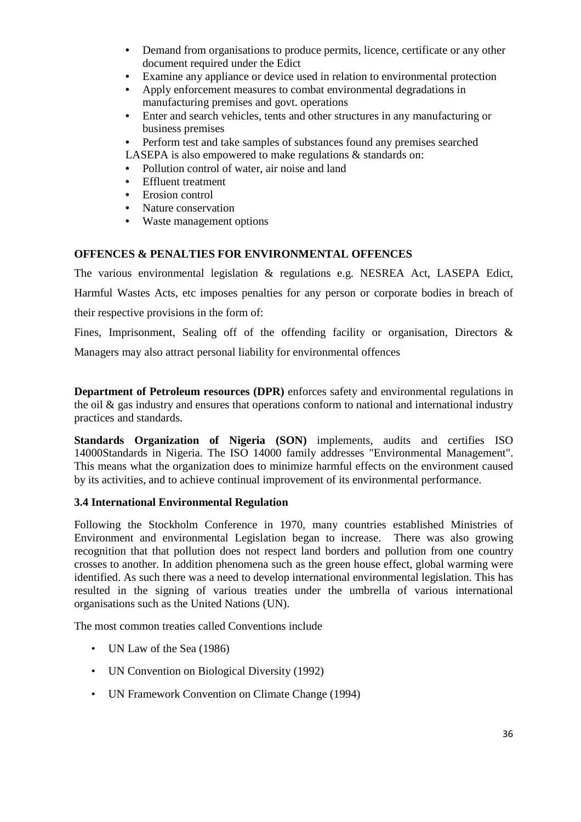- Demand from organisations to produce permits, licence, certificate or any other document required under the Edict
- Examine any appliance or device used in relation to environmental protection
- Apply enforcement measures to combat environmental degradations in manufacturing premises and govt. operations
- Enter and search vehicles, tents and other structures in any manufacturing or business premises
- Perform test and take samples of substances found any premises searched

LASEPA is also empowered to make regulations & standards on:

- Pollution control of water, air noise and land
- Effluent treatment
- Erosion control
- Nature conservation
- Waste management options

# **OFFENCES & PENALTIES FOR ENVIRONMENTAL OFFENCES**

The various environmental legislation & regulations e.g. NESREA Act, LASEPA Edict, Harmful Wastes Acts, etc imposes penalties for any person or corporate bodies in breach of their respective provisions in the form of:

Fines, Imprisonment, Sealing off of the offending facility or organisation, Directors & Managers may also attract personal liability for environmental offences

**Department of Petroleum resources (DPR)** enforces safety and environmental regulations in the oil  $\&$  gas industry and ensures that operations conform to national and international industry practices and standards.

**Standards Organization of Nigeria (SON)** implements, audits and certifies ISO 14000Standards in Nigeria. The ISO 14000 family addresses "Environmental Management". This means what the organization does to minimize harmful effects on the environment caused by its activities, and to achieve continual improvement of its environmental performance.

## **3.4 International Environmental Regulation**

Following the Stockholm Conference in 1970, many countries established Ministries of Environment and environmental Legislation began to increase. There was also growing recognition that that pollution does not respect land borders and pollution from one country crosses to another. In addition phenomena such as the green house effect, global warming were identified. As such there was a need to develop international environmental legislation. This has resulted in the signing of various treaties under the umbrella of various international organisations such as the United Nations (UN).

The most common treaties called Conventions include

- UN Law of the Sea (1986)
- UN Convention on Biological Diversity (1992)
- UN Framework Convention on Climate Change (1994)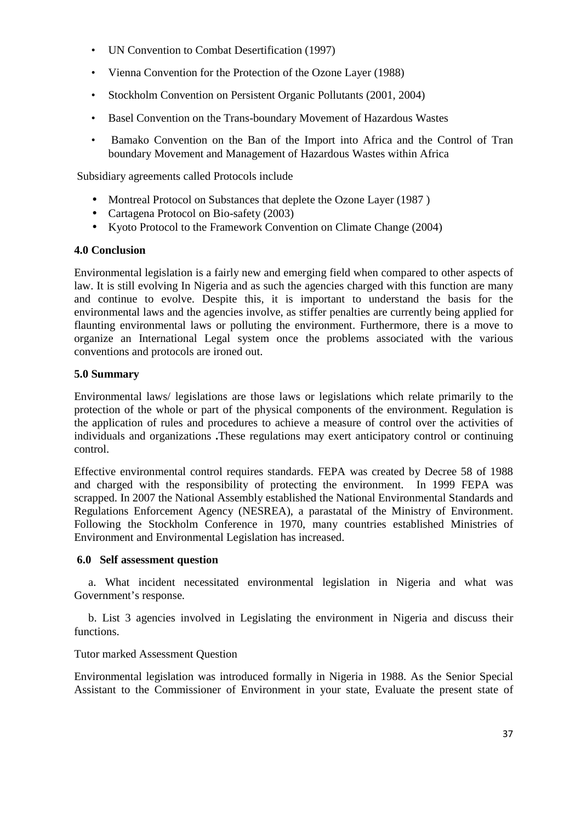- UN Convention to Combat Desertification (1997)
- Vienna Convention for the Protection of the Ozone Layer (1988)
- Stockholm Convention on Persistent Organic Pollutants (2001, 2004)
- Basel Convention on the Trans-boundary Movement of Hazardous Wastes
- Bamako Convention on the Ban of the Import into Africa and the Control of Tran boundary Movement and Management of Hazardous Wastes within Africa

Subsidiary agreements called Protocols include

- Montreal Protocol on Substances that deplete the Ozone Layer (1987)
- Cartagena Protocol on Bio-safety (2003)
- Kyoto Protocol to the Framework Convention on Climate Change (2004)

# **4.0 Conclusion**

Environmental legislation is a fairly new and emerging field when compared to other aspects of law. It is still evolving In Nigeria and as such the agencies charged with this function are many and continue to evolve. Despite this, it is important to understand the basis for the environmental laws and the agencies involve, as stiffer penalties are currently being applied for flaunting environmental laws or polluting the environment. Furthermore, there is a move to organize an International Legal system once the problems associated with the various conventions and protocols are ironed out.

# **5.0 Summary**

Environmental laws/ legislations are those laws or legislations which relate primarily to the protection of the whole or part of the physical components of the environment. Regulation is the application of rules and procedures to achieve a measure of control over the activities of individuals and organizations **.**These regulations may exert anticipatory control or continuing control.

Effective environmental control requires standards. FEPA was created by Decree 58 of 1988 and charged with the responsibility of protecting the environment. In 1999 FEPA was scrapped. In 2007 the National Assembly established the National Environmental Standards and Regulations Enforcement Agency (NESREA), a parastatal of the Ministry of Environment. Following the Stockholm Conference in 1970, many countries established Ministries of Environment and Environmental Legislation has increased.

#### **6.0 Self assessment question**

 a. What incident necessitated environmental legislation in Nigeria and what was Government's response.

 b. List 3 agencies involved in Legislating the environment in Nigeria and discuss their functions.

# Tutor marked Assessment Question

Environmental legislation was introduced formally in Nigeria in 1988. As the Senior Special Assistant to the Commissioner of Environment in your state, Evaluate the present state of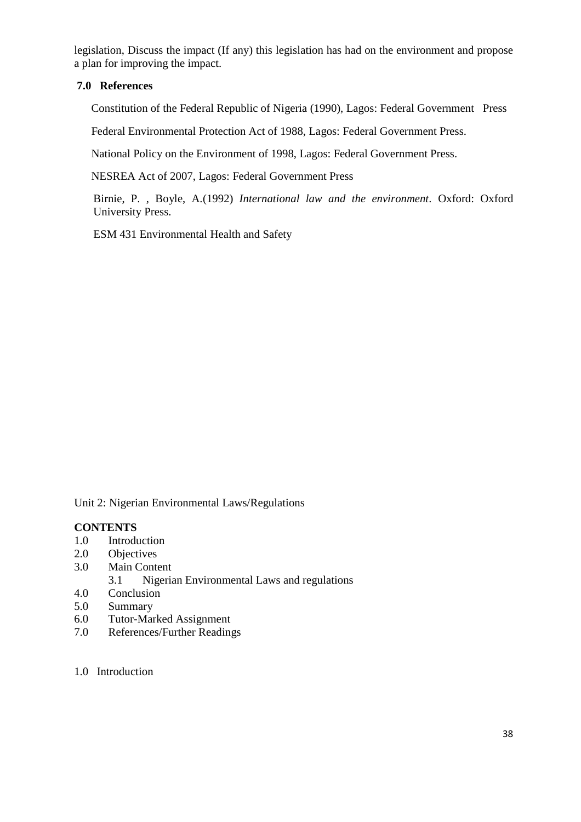legislation, Discuss the impact (If any) this legislation has had on the environment and propose a plan for improving the impact.

# **7.0 References**

Constitution of the Federal Republic of Nigeria (1990), Lagos: Federal Government Press

Federal Environmental Protection Act of 1988, Lagos: Federal Government Press.

National Policy on the Environment of 1998, Lagos: Federal Government Press.

NESREA Act of 2007, Lagos: Federal Government Press

Birnie, P. , Boyle, A.(1992) *International law and the environment*. Oxford: Oxford University Press.

ESM 431 Environmental Health and Safety

Unit 2: Nigerian Environmental Laws/Regulations

### **CONTENTS**

- 1.0 Introduction
- 2.0 Objectives
- 3.0 Main Content
	- 3.1 Nigerian Environmental Laws and regulations
- 4.0 Conclusion
- 5.0 Summary
- 6.0 Tutor-Marked Assignment
- 7.0 References/Further Readings
- 1.0 Introduction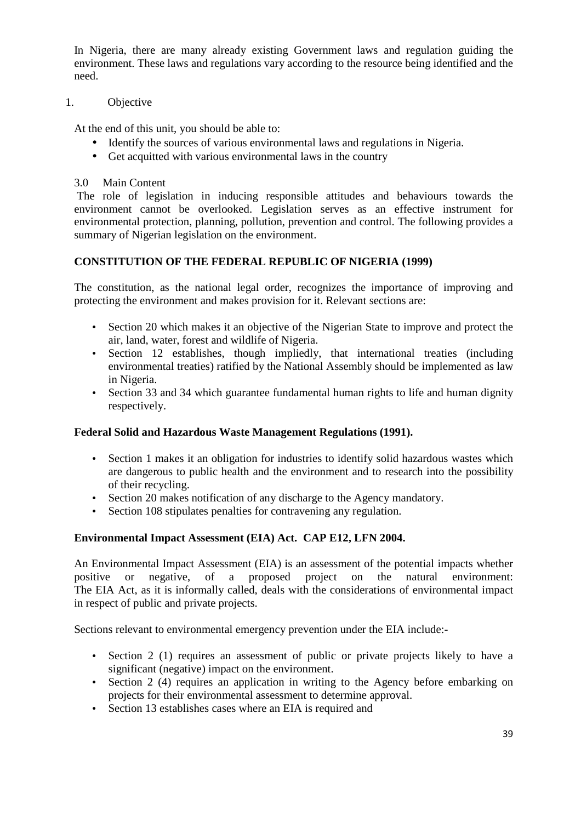In Nigeria, there are many already existing Government laws and regulation guiding the environment. These laws and regulations vary according to the resource being identified and the need.

# 1. Objective

At the end of this unit, you should be able to:

- Identify the sources of various environmental laws and regulations in Nigeria.
- Get acquitted with various environmental laws in the country
- 3.0 Main Content

 The role of legislation in inducing responsible attitudes and behaviours towards the environment cannot be overlooked. Legislation serves as an effective instrument for environmental protection, planning, pollution, prevention and control. The following provides a summary of Nigerian legislation on the environment.

# **CONSTITUTION OF THE FEDERAL REPUBLIC OF NIGERIA (1999)**

The constitution, as the national legal order, recognizes the importance of improving and protecting the environment and makes provision for it. Relevant sections are:

- Section 20 which makes it an objective of the Nigerian State to improve and protect the air, land, water, forest and wildlife of Nigeria.
- Section 12 establishes, though impliedly, that international treaties (including environmental treaties) ratified by the National Assembly should be implemented as law in Nigeria.
- Section 33 and 34 which guarantee fundamental human rights to life and human dignity respectively.

# **Federal Solid and Hazardous Waste Management Regulations (1991).**

- Section 1 makes it an obligation for industries to identify solid hazardous wastes which are dangerous to public health and the environment and to research into the possibility of their recycling.
- Section 20 makes notification of any discharge to the Agency mandatory.
- Section 108 stipulates penalties for contravening any regulation.

# **Environmental Impact Assessment (EIA) Act. CAP E12, LFN 2004.**

An Environmental Impact Assessment (EIA) is an assessment of the potential impacts whether positive or negative, of a proposed project on the natural environment: The EIA Act, as it is informally called, deals with the considerations of environmental impact in respect of public and private projects.

Sections relevant to environmental emergency prevention under the EIA include:-

- Section 2 (1) requires an assessment of public or private projects likely to have a significant (negative) impact on the environment.
- Section 2 (4) requires an application in writing to the Agency before embarking on projects for their environmental assessment to determine approval.
- Section 13 establishes cases where an EIA is required and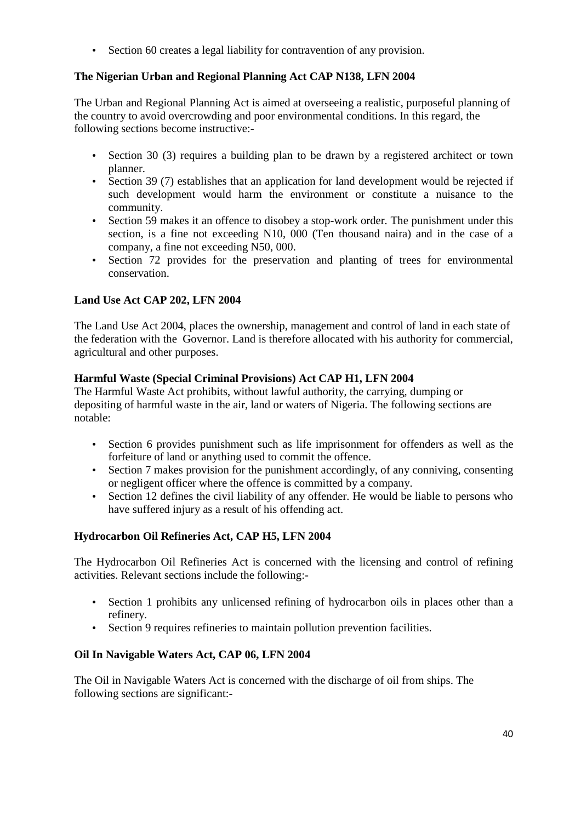• Section 60 creates a legal liability for contravention of any provision.

# **The Nigerian Urban and Regional Planning Act CAP N138, LFN 2004**

The Urban and Regional Planning Act is aimed at overseeing a realistic, purposeful planning of the country to avoid overcrowding and poor environmental conditions. In this regard, the following sections become instructive:-

- Section 30 (3) requires a building plan to be drawn by a registered architect or town planner.
- Section 39 (7) establishes that an application for land development would be rejected if such development would harm the environment or constitute a nuisance to the community.
- Section 59 makes it an offence to disobey a stop-work order. The punishment under this section, is a fine not exceeding N10, 000 (Ten thousand naira) and in the case of a company, a fine not exceeding N50, 000.
- Section 72 provides for the preservation and planting of trees for environmental conservation.

# **Land Use Act CAP 202, LFN 2004**

The Land Use Act 2004, places the ownership, management and control of land in each state of the federation with the Governor. Land is therefore allocated with his authority for commercial, agricultural and other purposes.

# **Harmful Waste (Special Criminal Provisions) Act CAP H1, LFN 2004**

The Harmful Waste Act prohibits, without lawful authority, the carrying, dumping or depositing of harmful waste in the air, land or waters of Nigeria. The following sections are notable:

- Section 6 provides punishment such as life imprisonment for offenders as well as the forfeiture of land or anything used to commit the offence.
- Section 7 makes provision for the punishment accordingly, of any conniving, consenting or negligent officer where the offence is committed by a company.
- Section 12 defines the civil liability of any offender. He would be liable to persons who have suffered injury as a result of his offending act.

# **Hydrocarbon Oil Refineries Act, CAP H5, LFN 2004**

The Hydrocarbon Oil Refineries Act is concerned with the licensing and control of refining activities. Relevant sections include the following:-

- Section 1 prohibits any unlicensed refining of hydrocarbon oils in places other than a refinery.
- Section 9 requires refineries to maintain pollution prevention facilities.

# **Oil In Navigable Waters Act, CAP 06, LFN 2004**

The Oil in Navigable Waters Act is concerned with the discharge of oil from ships. The following sections are significant:-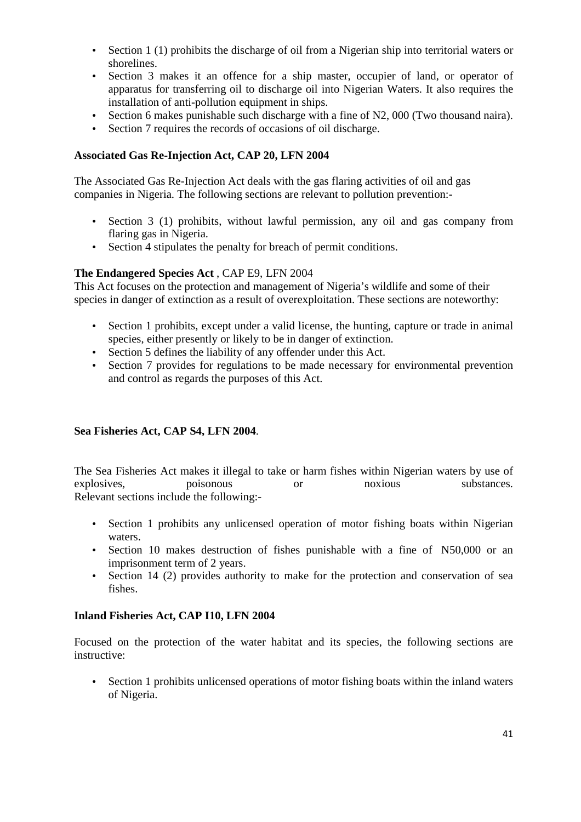- Section 1 (1) prohibits the discharge of oil from a Nigerian ship into territorial waters or shorelines.
- Section 3 makes it an offence for a ship master, occupier of land, or operator of apparatus for transferring oil to discharge oil into Nigerian Waters. It also requires the installation of anti-pollution equipment in ships.
- Section 6 makes punishable such discharge with a fine of N2, 000 (Two thousand naira).
- Section 7 requires the records of occasions of oil discharge.

# **Associated Gas Re-Injection Act, CAP 20, LFN 2004**

The Associated Gas Re-Injection Act deals with the gas flaring activities of oil and gas companies in Nigeria. The following sections are relevant to pollution prevention:-

- Section 3 (1) prohibits, without lawful permission, any oil and gas company from flaring gas in Nigeria.
- Section 4 stipulates the penalty for breach of permit conditions.

# **The Endangered Species Act** , CAP E9, LFN 2004

This Act focuses on the protection and management of Nigeria's wildlife and some of their species in danger of extinction as a result of overexploitation. These sections are noteworthy:

- Section 1 prohibits, except under a valid license, the hunting, capture or trade in animal species, either presently or likely to be in danger of extinction.
- Section 5 defines the liability of any offender under this Act.
- Section 7 provides for regulations to be made necessary for environmental prevention and control as regards the purposes of this Act.

# **Sea Fisheries Act, CAP S4, LFN 2004**.

The Sea Fisheries Act makes it illegal to take or harm fishes within Nigerian waters by use of explosives, poisonous or noxious substances. Relevant sections include the following:-

- Section 1 prohibits any unlicensed operation of motor fishing boats within Nigerian waters.
- Section 10 makes destruction of fishes punishable with a fine of N50,000 or an imprisonment term of 2 years.
- Section 14 (2) provides authority to make for the protection and conservation of sea fishes.

# **Inland Fisheries Act, CAP I10, LFN 2004**

Focused on the protection of the water habitat and its species, the following sections are instructive:

• Section 1 prohibits unlicensed operations of motor fishing boats within the inland waters of Nigeria.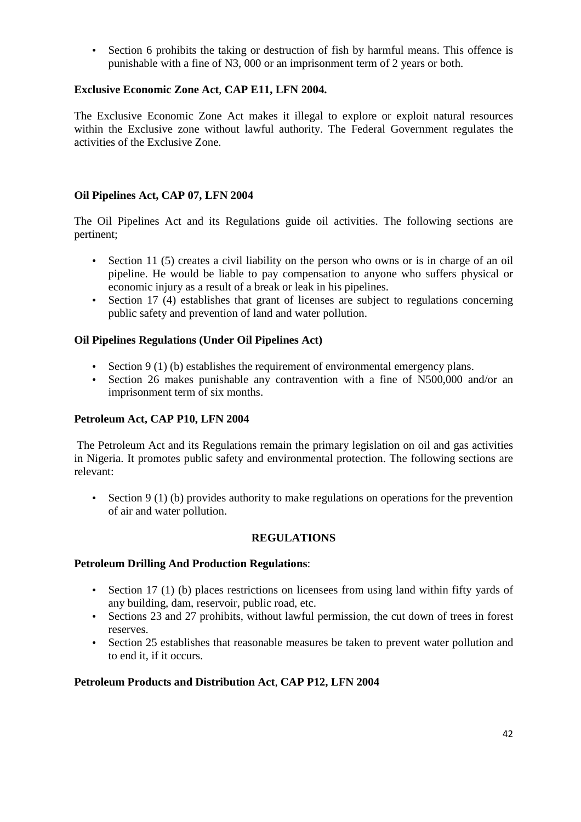• Section 6 prohibits the taking or destruction of fish by harmful means. This offence is punishable with a fine of N3, 000 or an imprisonment term of 2 years or both.

# **Exclusive Economic Zone Act**, **CAP E11, LFN 2004.**

The Exclusive Economic Zone Act makes it illegal to explore or exploit natural resources within the Exclusive zone without lawful authority. The Federal Government regulates the activities of the Exclusive Zone.

# **Oil Pipelines Act, CAP 07, LFN 2004**

The Oil Pipelines Act and its Regulations guide oil activities. The following sections are pertinent;

- Section 11 (5) creates a civil liability on the person who owns or is in charge of an oil pipeline. He would be liable to pay compensation to anyone who suffers physical or economic injury as a result of a break or leak in his pipelines.
- Section 17 (4) establishes that grant of licenses are subject to regulations concerning public safety and prevention of land and water pollution.

# **Oil Pipelines Regulations (Under Oil Pipelines Act)**

- Section 9 (1) (b) establishes the requirement of environmental emergency plans.
- Section 26 makes punishable any contravention with a fine of N500,000 and/or an imprisonment term of six months.

# **Petroleum Act, CAP P10, LFN 2004**

 The Petroleum Act and its Regulations remain the primary legislation on oil and gas activities in Nigeria. It promotes public safety and environmental protection. The following sections are relevant:

• Section 9 (1) (b) provides authority to make regulations on operations for the prevention of air and water pollution.

# **REGULATIONS**

#### **Petroleum Drilling And Production Regulations**:

- Section 17 (1) (b) places restrictions on licensees from using land within fifty yards of any building, dam, reservoir, public road, etc.
- Sections 23 and 27 prohibits, without lawful permission, the cut down of trees in forest reserves.
- Section 25 establishes that reasonable measures be taken to prevent water pollution and to end it, if it occurs.

# **Petroleum Products and Distribution Act**, **CAP P12, LFN 2004**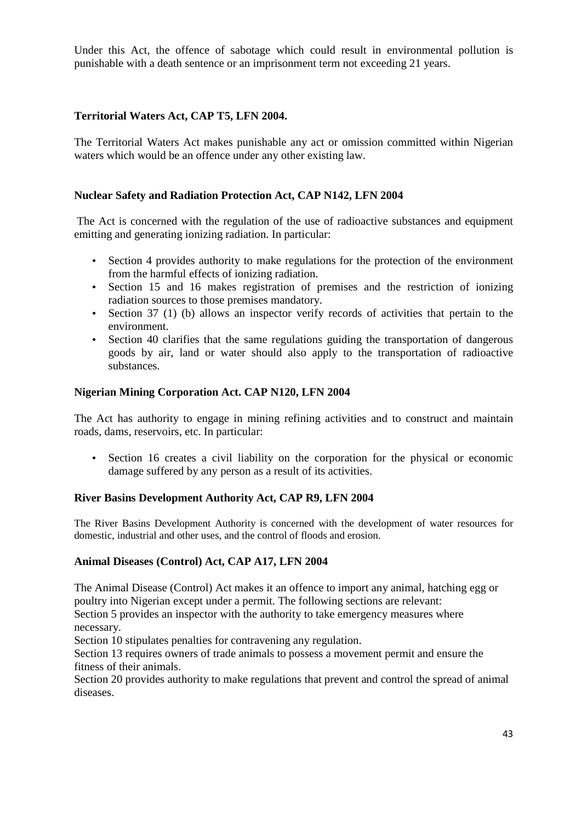Under this Act, the offence of sabotage which could result in environmental pollution is punishable with a death sentence or an imprisonment term not exceeding 21 years.

# **Territorial Waters Act, CAP T5, LFN 2004.**

The Territorial Waters Act makes punishable any act or omission committed within Nigerian waters which would be an offence under any other existing law.

# **Nuclear Safety and Radiation Protection Act, CAP N142, LFN 2004**

 The Act is concerned with the regulation of the use of radioactive substances and equipment emitting and generating ionizing radiation. In particular:

- Section 4 provides authority to make regulations for the protection of the environment from the harmful effects of ionizing radiation.
- Section 15 and 16 makes registration of premises and the restriction of ionizing radiation sources to those premises mandatory.
- Section 37 (1) (b) allows an inspector verify records of activities that pertain to the environment.
- Section 40 clarifies that the same regulations guiding the transportation of dangerous goods by air, land or water should also apply to the transportation of radioactive substances.

### **Nigerian Mining Corporation Act. CAP N120, LFN 2004**

The Act has authority to engage in mining refining activities and to construct and maintain roads, dams, reservoirs, etc. In particular:

• Section 16 creates a civil liability on the corporation for the physical or economic damage suffered by any person as a result of its activities.

# **River Basins Development Authority Act, CAP R9, LFN 2004**

The River Basins Development Authority is concerned with the development of water resources for domestic, industrial and other uses, and the control of floods and erosion.

# **Animal Diseases (Control) Act, CAP A17, LFN 2004**

The Animal Disease (Control) Act makes it an offence to import any animal, hatching egg or poultry into Nigerian except under a permit. The following sections are relevant:

Section 5 provides an inspector with the authority to take emergency measures where necessary.

Section 10 stipulates penalties for contravening any regulation.

Section 13 requires owners of trade animals to possess a movement permit and ensure the fitness of their animals.

Section 20 provides authority to make regulations that prevent and control the spread of animal diseases.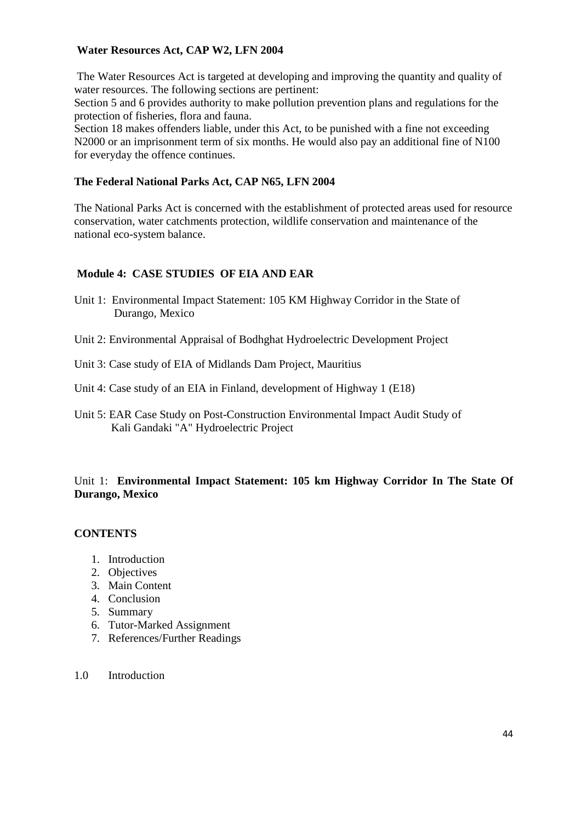# **Water Resources Act, CAP W2, LFN 2004**

 The Water Resources Act is targeted at developing and improving the quantity and quality of water resources. The following sections are pertinent:

Section 5 and 6 provides authority to make pollution prevention plans and regulations for the protection of fisheries, flora and fauna.

Section 18 makes offenders liable, under this Act, to be punished with a fine not exceeding N2000 or an imprisonment term of six months. He would also pay an additional fine of N100 for everyday the offence continues.

# **The Federal National Parks Act, CAP N65, LFN 2004**

The National Parks Act is concerned with the establishment of protected areas used for resource conservation, water catchments protection, wildlife conservation and maintenance of the national eco-system balance.

# **Module 4: CASE STUDIES OF EIA AND EAR**

- Unit 1: Environmental Impact Statement: 105 KM Highway Corridor in the State of Durango, Mexico
- Unit 2: Environmental Appraisal of Bodhghat Hydroelectric Development Project
- Unit 3: Case study of EIA of Midlands Dam Project, Mauritius

Unit 4: Case study of an EIA in Finland, development of Highway 1 (E18)

Unit 5: EAR Case Study on Post-Construction Environmental Impact Audit Study of Kali Gandaki "A" Hydroelectric Project

# Unit 1: **Environmental Impact Statement: 105 km Highway Corridor In The State Of Durango, Mexico**

# **CONTENTS**

- 1. Introduction
- 2. Objectives
- 3. Main Content
- 4. Conclusion
- 5. Summary
- 6. Tutor-Marked Assignment
- 7. References/Further Readings

### 1.0 Introduction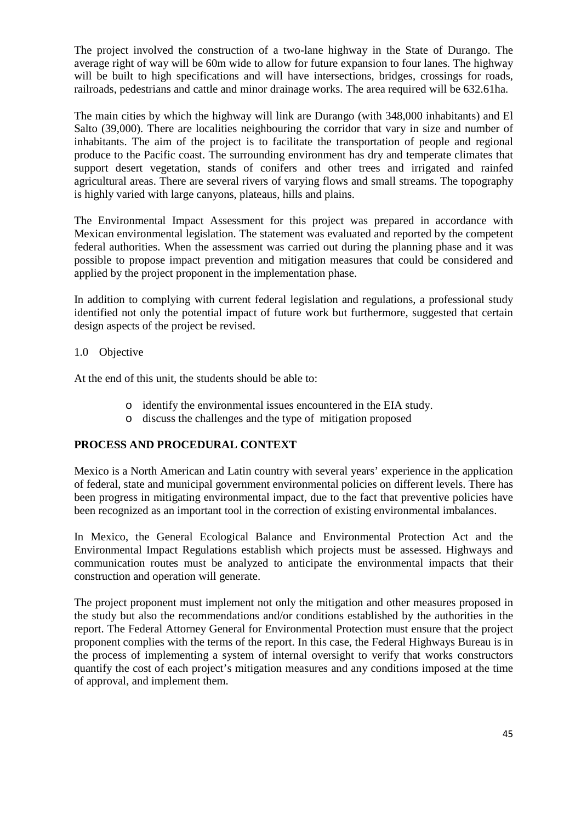The project involved the construction of a two-lane highway in the State of Durango. The average right of way will be 60m wide to allow for future expansion to four lanes. The highway will be built to high specifications and will have intersections, bridges, crossings for roads, railroads, pedestrians and cattle and minor drainage works. The area required will be 632.61ha.

The main cities by which the highway will link are Durango (with 348,000 inhabitants) and El Salto (39,000). There are localities neighbouring the corridor that vary in size and number of inhabitants. The aim of the project is to facilitate the transportation of people and regional produce to the Pacific coast. The surrounding environment has dry and temperate climates that support desert vegetation, stands of conifers and other trees and irrigated and rainfed agricultural areas. There are several rivers of varying flows and small streams. The topography is highly varied with large canyons, plateaus, hills and plains.

The Environmental Impact Assessment for this project was prepared in accordance with Mexican environmental legislation. The statement was evaluated and reported by the competent federal authorities. When the assessment was carried out during the planning phase and it was possible to propose impact prevention and mitigation measures that could be considered and applied by the project proponent in the implementation phase.

In addition to complying with current federal legislation and regulations, a professional study identified not only the potential impact of future work but furthermore, suggested that certain design aspects of the project be revised.

# 1.0 Objective

At the end of this unit, the students should be able to:

- o identify the environmental issues encountered in the EIA study.
- o discuss the challenges and the type of mitigation proposed

# **PROCESS AND PROCEDURAL CONTEXT**

Mexico is a North American and Latin country with several years' experience in the application of federal, state and municipal government environmental policies on different levels. There has been progress in mitigating environmental impact, due to the fact that preventive policies have been recognized as an important tool in the correction of existing environmental imbalances.

In Mexico, the General Ecological Balance and Environmental Protection Act and the Environmental Impact Regulations establish which projects must be assessed. Highways and communication routes must be analyzed to anticipate the environmental impacts that their construction and operation will generate.

The project proponent must implement not only the mitigation and other measures proposed in the study but also the recommendations and/or conditions established by the authorities in the report. The Federal Attorney General for Environmental Protection must ensure that the project proponent complies with the terms of the report. In this case, the Federal Highways Bureau is in the process of implementing a system of internal oversight to verify that works constructors quantify the cost of each project's mitigation measures and any conditions imposed at the time of approval, and implement them.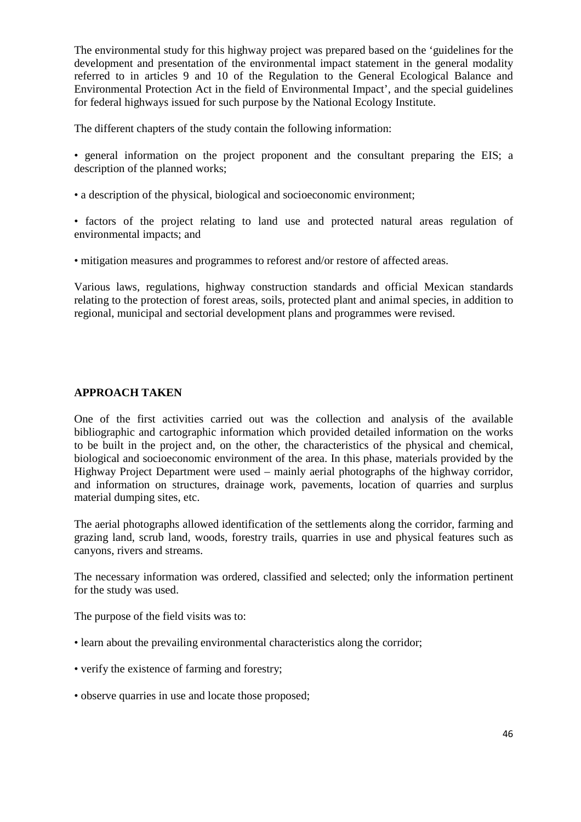The environmental study for this highway project was prepared based on the 'guidelines for the development and presentation of the environmental impact statement in the general modality referred to in articles 9 and 10 of the Regulation to the General Ecological Balance and Environmental Protection Act in the field of Environmental Impact', and the special guidelines for federal highways issued for such purpose by the National Ecology Institute.

The different chapters of the study contain the following information:

• general information on the project proponent and the consultant preparing the EIS; a description of the planned works;

• a description of the physical, biological and socioeconomic environment;

• factors of the project relating to land use and protected natural areas regulation of environmental impacts; and

• mitigation measures and programmes to reforest and/or restore of affected areas.

Various laws, regulations, highway construction standards and official Mexican standards relating to the protection of forest areas, soils, protected plant and animal species, in addition to regional, municipal and sectorial development plans and programmes were revised.

# **APPROACH TAKEN**

One of the first activities carried out was the collection and analysis of the available bibliographic and cartographic information which provided detailed information on the works to be built in the project and, on the other, the characteristics of the physical and chemical, biological and socioeconomic environment of the area. In this phase, materials provided by the Highway Project Department were used – mainly aerial photographs of the highway corridor, and information on structures, drainage work, pavements, location of quarries and surplus material dumping sites, etc.

The aerial photographs allowed identification of the settlements along the corridor, farming and grazing land, scrub land, woods, forestry trails, quarries in use and physical features such as canyons, rivers and streams.

The necessary information was ordered, classified and selected; only the information pertinent for the study was used.

The purpose of the field visits was to:

- learn about the prevailing environmental characteristics along the corridor;
- verify the existence of farming and forestry;
- observe quarries in use and locate those proposed;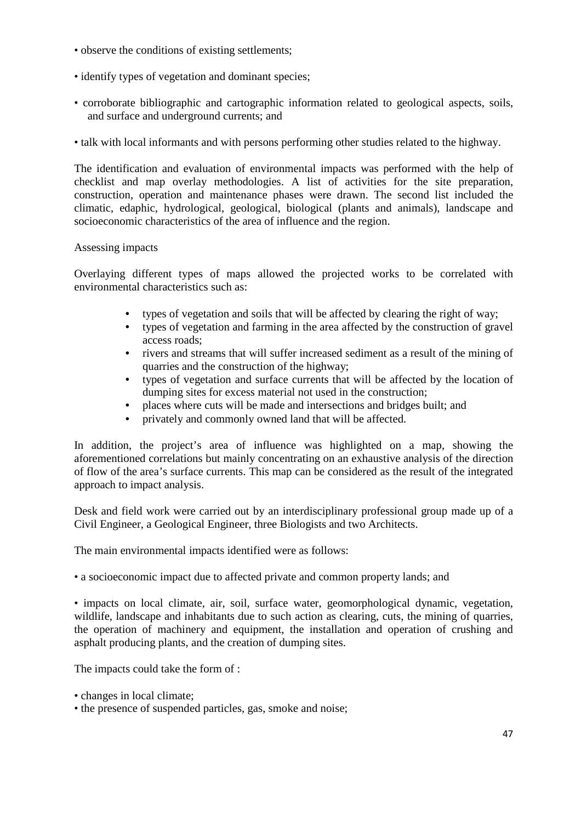- observe the conditions of existing settlements;
- identify types of vegetation and dominant species;
- corroborate bibliographic and cartographic information related to geological aspects, soils, and surface and underground currents; and
- talk with local informants and with persons performing other studies related to the highway.

The identification and evaluation of environmental impacts was performed with the help of checklist and map overlay methodologies. A list of activities for the site preparation, construction, operation and maintenance phases were drawn. The second list included the climatic, edaphic, hydrological, geological, biological (plants and animals), landscape and socioeconomic characteristics of the area of influence and the region.

### Assessing impacts

Overlaying different types of maps allowed the projected works to be correlated with environmental characteristics such as:

- types of vegetation and soils that will be affected by clearing the right of way;
- types of vegetation and farming in the area affected by the construction of gravel access roads;
- rivers and streams that will suffer increased sediment as a result of the mining of quarries and the construction of the highway;
- types of vegetation and surface currents that will be affected by the location of dumping sites for excess material not used in the construction;
- places where cuts will be made and intersections and bridges built; and
- privately and commonly owned land that will be affected.

In addition, the project's area of influence was highlighted on a map, showing the aforementioned correlations but mainly concentrating on an exhaustive analysis of the direction of flow of the area's surface currents. This map can be considered as the result of the integrated approach to impact analysis.

Desk and field work were carried out by an interdisciplinary professional group made up of a Civil Engineer, a Geological Engineer, three Biologists and two Architects.

The main environmental impacts identified were as follows:

• a socioeconomic impact due to affected private and common property lands; and

• impacts on local climate, air, soil, surface water, geomorphological dynamic, vegetation, wildlife, landscape and inhabitants due to such action as clearing, cuts, the mining of quarries, the operation of machinery and equipment, the installation and operation of crushing and asphalt producing plants, and the creation of dumping sites.

The impacts could take the form of :

- changes in local climate;
- the presence of suspended particles, gas, smoke and noise;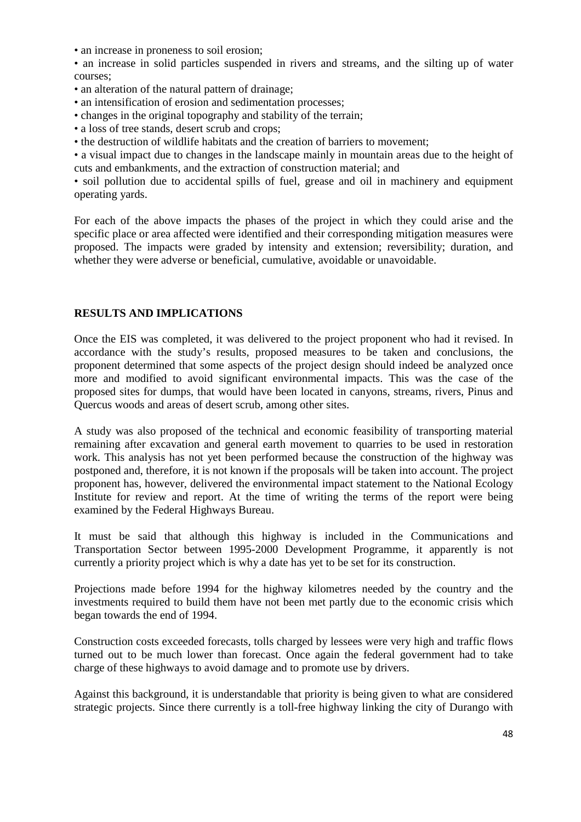• an increase in proneness to soil erosion:

• an increase in solid particles suspended in rivers and streams, and the silting up of water courses;

- an alteration of the natural pattern of drainage;
- an intensification of erosion and sedimentation processes;
- changes in the original topography and stability of the terrain;
- a loss of tree stands, desert scrub and crops;
- the destruction of wildlife habitats and the creation of barriers to movement;

• a visual impact due to changes in the landscape mainly in mountain areas due to the height of cuts and embankments, and the extraction of construction material; and

• soil pollution due to accidental spills of fuel, grease and oil in machinery and equipment operating yards.

For each of the above impacts the phases of the project in which they could arise and the specific place or area affected were identified and their corresponding mitigation measures were proposed. The impacts were graded by intensity and extension; reversibility; duration, and whether they were adverse or beneficial, cumulative, avoidable or unavoidable.

### **RESULTS AND IMPLICATIONS**

Once the EIS was completed, it was delivered to the project proponent who had it revised. In accordance with the study's results, proposed measures to be taken and conclusions, the proponent determined that some aspects of the project design should indeed be analyzed once more and modified to avoid significant environmental impacts. This was the case of the proposed sites for dumps, that would have been located in canyons, streams, rivers, Pinus and Quercus woods and areas of desert scrub, among other sites.

A study was also proposed of the technical and economic feasibility of transporting material remaining after excavation and general earth movement to quarries to be used in restoration work. This analysis has not yet been performed because the construction of the highway was postponed and, therefore, it is not known if the proposals will be taken into account. The project proponent has, however, delivered the environmental impact statement to the National Ecology Institute for review and report. At the time of writing the terms of the report were being examined by the Federal Highways Bureau.

It must be said that although this highway is included in the Communications and Transportation Sector between 1995-2000 Development Programme, it apparently is not currently a priority project which is why a date has yet to be set for its construction.

Projections made before 1994 for the highway kilometres needed by the country and the investments required to build them have not been met partly due to the economic crisis which began towards the end of 1994.

Construction costs exceeded forecasts, tolls charged by lessees were very high and traffic flows turned out to be much lower than forecast. Once again the federal government had to take charge of these highways to avoid damage and to promote use by drivers.

Against this background, it is understandable that priority is being given to what are considered strategic projects. Since there currently is a toll-free highway linking the city of Durango with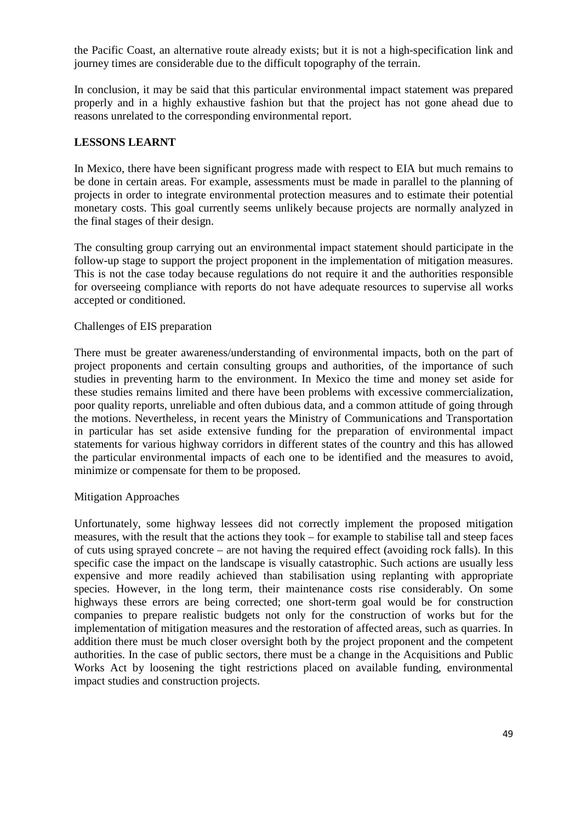the Pacific Coast, an alternative route already exists; but it is not a high-specification link and journey times are considerable due to the difficult topography of the terrain.

In conclusion, it may be said that this particular environmental impact statement was prepared properly and in a highly exhaustive fashion but that the project has not gone ahead due to reasons unrelated to the corresponding environmental report.

### **LESSONS LEARNT**

In Mexico, there have been significant progress made with respect to EIA but much remains to be done in certain areas. For example, assessments must be made in parallel to the planning of projects in order to integrate environmental protection measures and to estimate their potential monetary costs. This goal currently seems unlikely because projects are normally analyzed in the final stages of their design.

The consulting group carrying out an environmental impact statement should participate in the follow-up stage to support the project proponent in the implementation of mitigation measures. This is not the case today because regulations do not require it and the authorities responsible for overseeing compliance with reports do not have adequate resources to supervise all works accepted or conditioned.

#### Challenges of EIS preparation

There must be greater awareness/understanding of environmental impacts, both on the part of project proponents and certain consulting groups and authorities, of the importance of such studies in preventing harm to the environment. In Mexico the time and money set aside for these studies remains limited and there have been problems with excessive commercialization, poor quality reports, unreliable and often dubious data, and a common attitude of going through the motions. Nevertheless, in recent years the Ministry of Communications and Transportation in particular has set aside extensive funding for the preparation of environmental impact statements for various highway corridors in different states of the country and this has allowed the particular environmental impacts of each one to be identified and the measures to avoid, minimize or compensate for them to be proposed.

#### Mitigation Approaches

Unfortunately, some highway lessees did not correctly implement the proposed mitigation measures, with the result that the actions they took – for example to stabilise tall and steep faces of cuts using sprayed concrete – are not having the required effect (avoiding rock falls). In this specific case the impact on the landscape is visually catastrophic. Such actions are usually less expensive and more readily achieved than stabilisation using replanting with appropriate species. However, in the long term, their maintenance costs rise considerably. On some highways these errors are being corrected; one short-term goal would be for construction companies to prepare realistic budgets not only for the construction of works but for the implementation of mitigation measures and the restoration of affected areas, such as quarries. In addition there must be much closer oversight both by the project proponent and the competent authorities. In the case of public sectors, there must be a change in the Acquisitions and Public Works Act by loosening the tight restrictions placed on available funding, environmental impact studies and construction projects.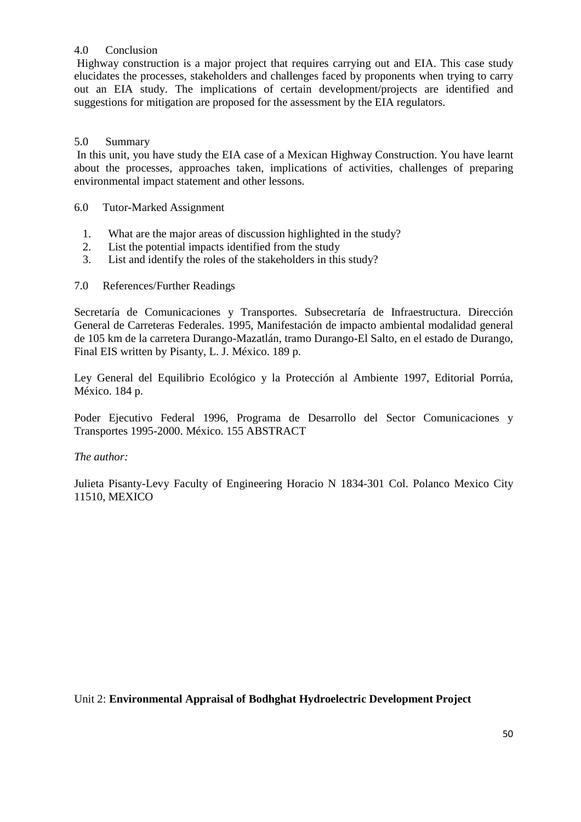# 4.0 Conclusion

 Highway construction is a major project that requires carrying out and EIA. This case study elucidates the processes, stakeholders and challenges faced by proponents when trying to carry out an EIA study. The implications of certain development/projects are identified and suggestions for mitigation are proposed for the assessment by the EIA regulators.

# 5.0 Summary

 In this unit, you have study the EIA case of a Mexican Highway Construction. You have learnt about the processes, approaches taken, implications of activities, challenges of preparing environmental impact statement and other lessons.

- 6.0 Tutor-Marked Assignment
	- 1. What are the major areas of discussion highlighted in the study?
	- 2. List the potential impacts identified from the study
	- 3. List and identify the roles of the stakeholders in this study?
- 7.0 References/Further Readings

Secretaría de Comunicaciones y Transportes. Subsecretaría de Infraestructura. Dirección General de Carreteras Federales. 1995, Manifestación de impacto ambiental modalidad general de 105 km de la carretera Durango-Mazatlán, tramo Durango-El Salto, en el estado de Durango, Final EIS written by Pisanty, L. J. México. 189 p.

Ley General del Equilibrio Ecológico y la Protección al Ambiente 1997, Editorial Porrúa, México. 184 p.

Poder Ejecutivo Federal 1996, Programa de Desarrollo del Sector Comunicaciones y Transportes 1995-2000. México. 155 ABSTRACT

# *The author:*

Julieta Pisanty-Levy Faculty of Engineering Horacio N 1834-301 Col. Polanco Mexico City 11510, MEXICO

Unit 2: **Environmental Appraisal of Bodhghat Hydroelectric Development Project**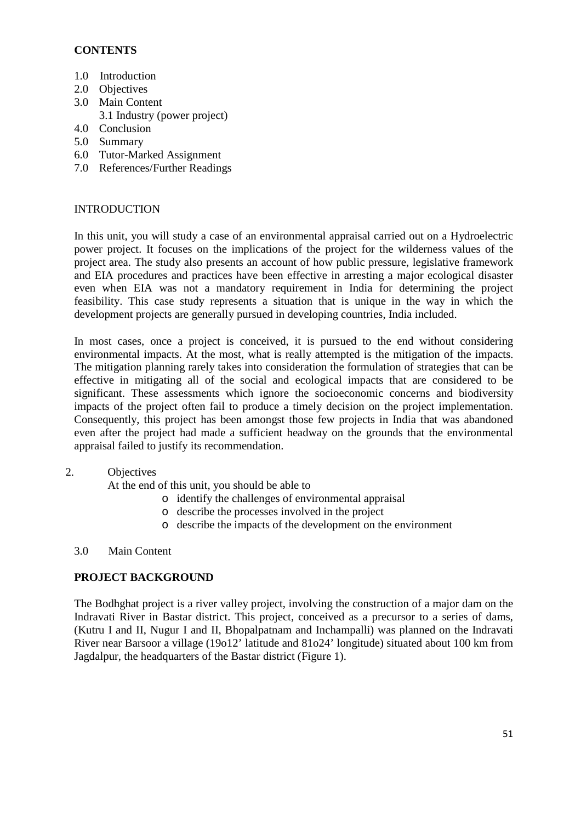# **CONTENTS**

- 1.0 Introduction
- 2.0 Objectives
- 3.0 Main Content
- 3.1 Industry (power project)
- 4.0 Conclusion
- 5.0 Summary
- 6.0 Tutor-Marked Assignment
- 7.0 References/Further Readings

# INTRODUCTION

In this unit, you will study a case of an environmental appraisal carried out on a Hydroelectric power project. It focuses on the implications of the project for the wilderness values of the project area. The study also presents an account of how public pressure, legislative framework and EIA procedures and practices have been effective in arresting a major ecological disaster even when EIA was not a mandatory requirement in India for determining the project feasibility. This case study represents a situation that is unique in the way in which the development projects are generally pursued in developing countries, India included.

In most cases, once a project is conceived, it is pursued to the end without considering environmental impacts. At the most, what is really attempted is the mitigation of the impacts. The mitigation planning rarely takes into consideration the formulation of strategies that can be effective in mitigating all of the social and ecological impacts that are considered to be significant. These assessments which ignore the socioeconomic concerns and biodiversity impacts of the project often fail to produce a timely decision on the project implementation. Consequently, this project has been amongst those few projects in India that was abandoned even after the project had made a sufficient headway on the grounds that the environmental appraisal failed to justify its recommendation.

# 2. Objectives

At the end of this unit, you should be able to

- o identify the challenges of environmental appraisal
- o describe the processes involved in the project
- o describe the impacts of the development on the environment

# 3.0 Main Content

# **PROJECT BACKGROUND**

The Bodhghat project is a river valley project, involving the construction of a major dam on the Indravati River in Bastar district. This project, conceived as a precursor to a series of dams, (Kutru I and II, Nugur I and II, Bhopalpatnam and Inchampalli) was planned on the Indravati River near Barsoor a village (19o12' latitude and 81o24' longitude) situated about 100 km from Jagdalpur, the headquarters of the Bastar district (Figure 1).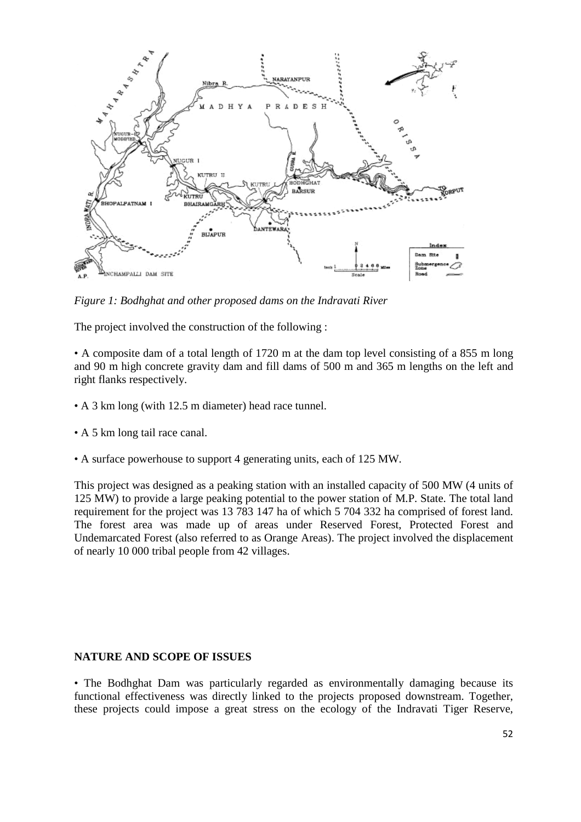

*Figure 1: Bodhghat and other proposed dams on the Indravati River*

The project involved the construction of the following :

• A composite dam of a total length of 1720 m at the dam top level consisting of a 855 m long and 90 m high concrete gravity dam and fill dams of 500 m and 365 m lengths on the left and right flanks respectively.

- A 3 km long (with 12.5 m diameter) head race tunnel.
- A 5 km long tail race canal.
- A surface powerhouse to support 4 generating units, each of 125 MW.

This project was designed as a peaking station with an installed capacity of 500 MW (4 units of 125 MW) to provide a large peaking potential to the power station of M.P. State. The total land requirement for the project was 13 783 147 ha of which 5 704 332 ha comprised of forest land. The forest area was made up of areas under Reserved Forest, Protected Forest and Undemarcated Forest (also referred to as Orange Areas). The project involved the displacement of nearly 10 000 tribal people from 42 villages.

#### **NATURE AND SCOPE OF ISSUES**

• The Bodhghat Dam was particularly regarded as environmentally damaging because its functional effectiveness was directly linked to the projects proposed downstream. Together, these projects could impose a great stress on the ecology of the Indravati Tiger Reserve,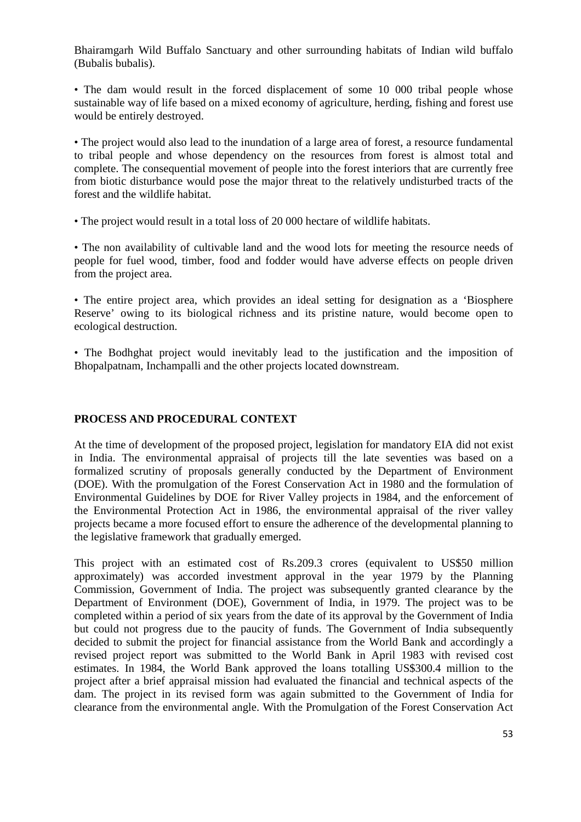Bhairamgarh Wild Buffalo Sanctuary and other surrounding habitats of Indian wild buffalo (Bubalis bubalis).

• The dam would result in the forced displacement of some 10 000 tribal people whose sustainable way of life based on a mixed economy of agriculture, herding, fishing and forest use would be entirely destroyed.

• The project would also lead to the inundation of a large area of forest, a resource fundamental to tribal people and whose dependency on the resources from forest is almost total and complete. The consequential movement of people into the forest interiors that are currently free from biotic disturbance would pose the major threat to the relatively undisturbed tracts of the forest and the wildlife habitat.

• The project would result in a total loss of 20 000 hectare of wildlife habitats.

• The non availability of cultivable land and the wood lots for meeting the resource needs of people for fuel wood, timber, food and fodder would have adverse effects on people driven from the project area.

• The entire project area, which provides an ideal setting for designation as a 'Biosphere Reserve' owing to its biological richness and its pristine nature, would become open to ecological destruction.

• The Bodhghat project would inevitably lead to the justification and the imposition of Bhopalpatnam, Inchampalli and the other projects located downstream.

# **PROCESS AND PROCEDURAL CONTEXT**

At the time of development of the proposed project, legislation for mandatory EIA did not exist in India. The environmental appraisal of projects till the late seventies was based on a formalized scrutiny of proposals generally conducted by the Department of Environment (DOE). With the promulgation of the Forest Conservation Act in 1980 and the formulation of Environmental Guidelines by DOE for River Valley projects in 1984, and the enforcement of the Environmental Protection Act in 1986, the environmental appraisal of the river valley projects became a more focused effort to ensure the adherence of the developmental planning to the legislative framework that gradually emerged.

This project with an estimated cost of Rs.209.3 crores (equivalent to US\$50 million approximately) was accorded investment approval in the year 1979 by the Planning Commission, Government of India. The project was subsequently granted clearance by the Department of Environment (DOE), Government of India, in 1979. The project was to be completed within a period of six years from the date of its approval by the Government of India but could not progress due to the paucity of funds. The Government of India subsequently decided to submit the project for financial assistance from the World Bank and accordingly a revised project report was submitted to the World Bank in April 1983 with revised cost estimates. In 1984, the World Bank approved the loans totalling US\$300.4 million to the project after a brief appraisal mission had evaluated the financial and technical aspects of the dam. The project in its revised form was again submitted to the Government of India for clearance from the environmental angle. With the Promulgation of the Forest Conservation Act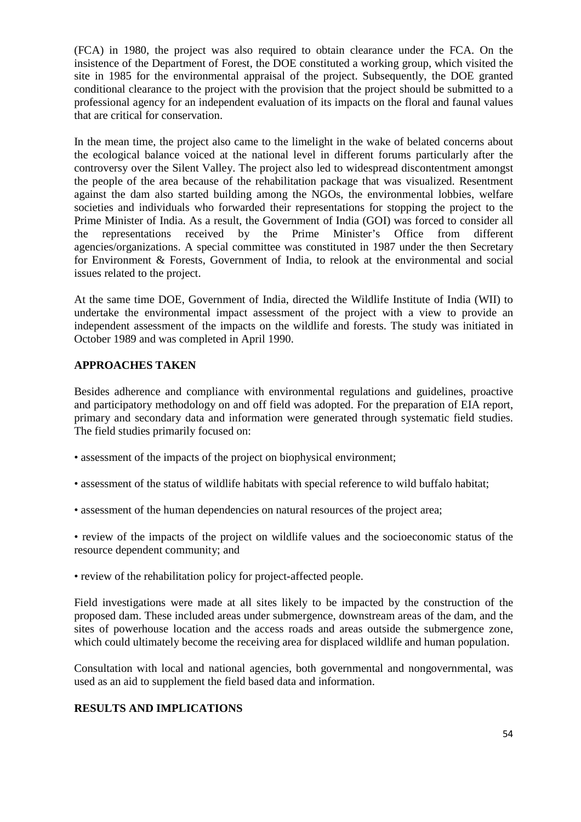(FCA) in 1980, the project was also required to obtain clearance under the FCA. On the insistence of the Department of Forest, the DOE constituted a working group, which visited the site in 1985 for the environmental appraisal of the project. Subsequently, the DOE granted conditional clearance to the project with the provision that the project should be submitted to a professional agency for an independent evaluation of its impacts on the floral and faunal values that are critical for conservation.

In the mean time, the project also came to the limelight in the wake of belated concerns about the ecological balance voiced at the national level in different forums particularly after the controversy over the Silent Valley. The project also led to widespread discontentment amongst the people of the area because of the rehabilitation package that was visualized. Resentment against the dam also started building among the NGOs, the environmental lobbies, welfare societies and individuals who forwarded their representations for stopping the project to the Prime Minister of India. As a result, the Government of India (GOI) was forced to consider all the representations received by the Prime Minister's Office from different agencies/organizations. A special committee was constituted in 1987 under the then Secretary for Environment & Forests, Government of India, to relook at the environmental and social issues related to the project.

At the same time DOE, Government of India, directed the Wildlife Institute of India (WII) to undertake the environmental impact assessment of the project with a view to provide an independent assessment of the impacts on the wildlife and forests. The study was initiated in October 1989 and was completed in April 1990.

# **APPROACHES TAKEN**

Besides adherence and compliance with environmental regulations and guidelines, proactive and participatory methodology on and off field was adopted. For the preparation of EIA report, primary and secondary data and information were generated through systematic field studies. The field studies primarily focused on:

- assessment of the impacts of the project on biophysical environment;
- assessment of the status of wildlife habitats with special reference to wild buffalo habitat;
- assessment of the human dependencies on natural resources of the project area;

• review of the impacts of the project on wildlife values and the socioeconomic status of the resource dependent community; and

• review of the rehabilitation policy for project-affected people.

Field investigations were made at all sites likely to be impacted by the construction of the proposed dam. These included areas under submergence, downstream areas of the dam, and the sites of powerhouse location and the access roads and areas outside the submergence zone, which could ultimately become the receiving area for displaced wildlife and human population.

Consultation with local and national agencies, both governmental and nongovernmental, was used as an aid to supplement the field based data and information.

# **RESULTS AND IMPLICATIONS**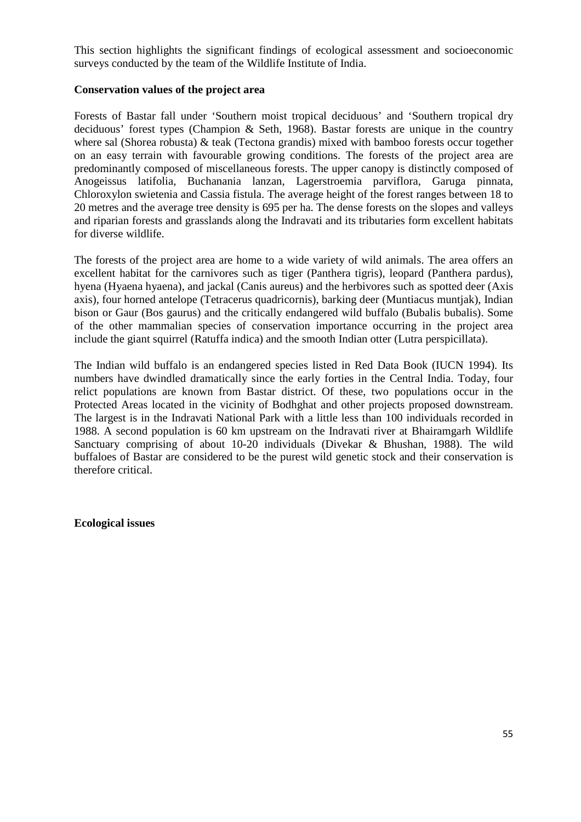This section highlights the significant findings of ecological assessment and socioeconomic surveys conducted by the team of the Wildlife Institute of India.

#### **Conservation values of the project area**

Forests of Bastar fall under 'Southern moist tropical deciduous' and 'Southern tropical dry deciduous' forest types (Champion & Seth, 1968). Bastar forests are unique in the country where sal (Shorea robusta) & teak (Tectona grandis) mixed with bamboo forests occur together on an easy terrain with favourable growing conditions. The forests of the project area are predominantly composed of miscellaneous forests. The upper canopy is distinctly composed of Anogeissus latifolia, Buchanania lanzan, Lagerstroemia parviflora, Garuga pinnata, Chloroxylon swietenia and Cassia fistula. The average height of the forest ranges between 18 to 20 metres and the average tree density is 695 per ha. The dense forests on the slopes and valleys and riparian forests and grasslands along the Indravati and its tributaries form excellent habitats for diverse wildlife.

The forests of the project area are home to a wide variety of wild animals. The area offers an excellent habitat for the carnivores such as tiger (Panthera tigris), leopard (Panthera pardus), hyena (Hyaena hyaena), and jackal (Canis aureus) and the herbivores such as spotted deer (Axis axis), four horned antelope (Tetracerus quadricornis), barking deer (Muntiacus muntjak), Indian bison or Gaur (Bos gaurus) and the critically endangered wild buffalo (Bubalis bubalis). Some of the other mammalian species of conservation importance occurring in the project area include the giant squirrel (Ratuffa indica) and the smooth Indian otter (Lutra perspicillata).

The Indian wild buffalo is an endangered species listed in Red Data Book (IUCN 1994). Its numbers have dwindled dramatically since the early forties in the Central India. Today, four relict populations are known from Bastar district. Of these, two populations occur in the Protected Areas located in the vicinity of Bodhghat and other projects proposed downstream. The largest is in the Indravati National Park with a little less than 100 individuals recorded in 1988. A second population is 60 km upstream on the Indravati river at Bhairamgarh Wildlife Sanctuary comprising of about 10-20 individuals (Divekar & Bhushan, 1988). The wild buffaloes of Bastar are considered to be the purest wild genetic stock and their conservation is therefore critical.

**Ecological issues**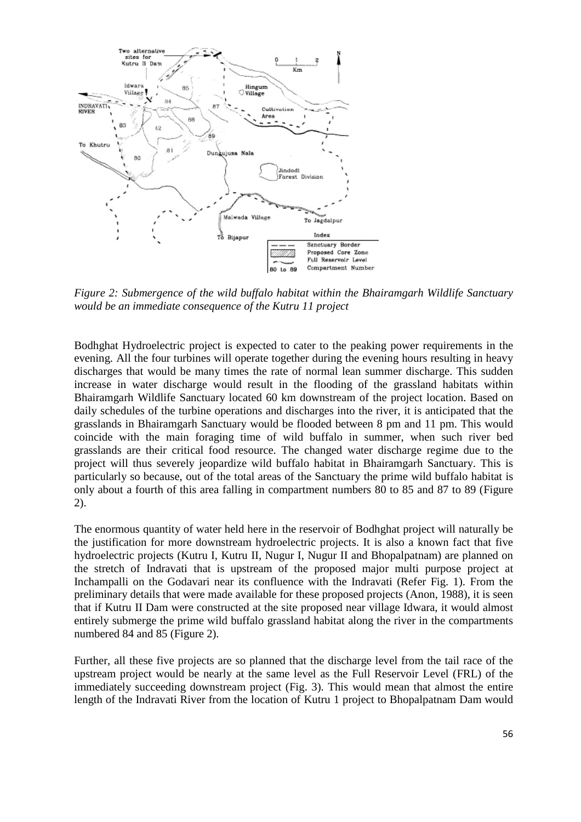

*Figure 2: Submergence of the wild buffalo habitat within the Bhairamgarh Wildlife Sanctuary would be an immediate consequence of the Kutru 11 project*

Bodhghat Hydroelectric project is expected to cater to the peaking power requirements in the evening. All the four turbines will operate together during the evening hours resulting in heavy discharges that would be many times the rate of normal lean summer discharge. This sudden increase in water discharge would result in the flooding of the grassland habitats within Bhairamgarh Wildlife Sanctuary located 60 km downstream of the project location. Based on daily schedules of the turbine operations and discharges into the river, it is anticipated that the grasslands in Bhairamgarh Sanctuary would be flooded between 8 pm and 11 pm. This would coincide with the main foraging time of wild buffalo in summer, when such river bed grasslands are their critical food resource. The changed water discharge regime due to the project will thus severely jeopardize wild buffalo habitat in Bhairamgarh Sanctuary. This is particularly so because, out of the total areas of the Sanctuary the prime wild buffalo habitat is only about a fourth of this area falling in compartment numbers 80 to 85 and 87 to 89 (Figure 2).

The enormous quantity of water held here in the reservoir of Bodhghat project will naturally be the justification for more downstream hydroelectric projects. It is also a known fact that five hydroelectric projects (Kutru I, Kutru II, Nugur I, Nugur II and Bhopalpatnam) are planned on the stretch of Indravati that is upstream of the proposed major multi purpose project at Inchampalli on the Godavari near its confluence with the Indravati (Refer Fig. 1). From the preliminary details that were made available for these proposed projects (Anon, 1988), it is seen that if Kutru II Dam were constructed at the site proposed near village Idwara, it would almost entirely submerge the prime wild buffalo grassland habitat along the river in the compartments numbered 84 and 85 (Figure 2).

Further, all these five projects are so planned that the discharge level from the tail race of the upstream project would be nearly at the same level as the Full Reservoir Level (FRL) of the immediately succeeding downstream project (Fig. 3). This would mean that almost the entire length of the Indravati River from the location of Kutru 1 project to Bhopalpatnam Dam would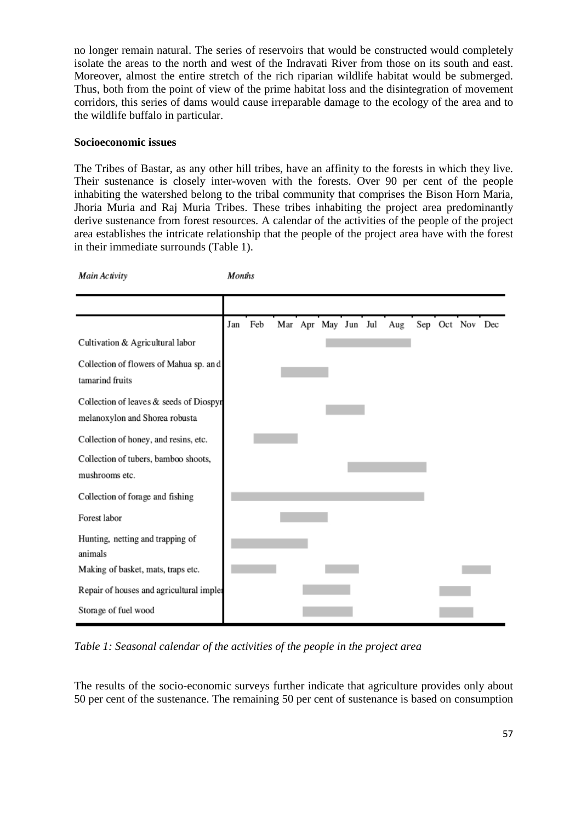no longer remain natural. The series of reservoirs that would be constructed would completely isolate the areas to the north and west of the Indravati River from those on its south and east. Moreover, almost the entire stretch of the rich riparian wildlife habitat would be submerged. Thus, both from the point of view of the prime habitat loss and the disintegration of movement corridors, this series of dams would cause irreparable damage to the ecology of the area and to the wildlife buffalo in particular.

### **Socioeconomic issues**

Main Activity

The Tribes of Bastar, as any other hill tribes, have an affinity to the forests in which they live. Their sustenance is closely inter-woven with the forests. Over 90 per cent of the people inhabiting the watershed belong to the tribal community that comprises the Bison Horn Maria, Jhoria Muria and Raj Muria Tribes. These tribes inhabiting the project area predominantly derive sustenance from forest resources. A calendar of the activities of the people of the project area establishes the intricate relationship that the people of the project area have with the forest in their immediate surrounds (Table 1).

**Months** 

Jan Feb Mar Apr May Jun Jul Sep Oct Nov Dec Aug Cultivation & Agricultural labor Collection of flowers of Mahua sp. and tamarind fruits Collection of leaves & seeds of Diospyr melanoxylon and Shorea robusta Collection of honey, and resins, etc. Collection of tubers, bamboo shoots, mushrooms etc. Collection of forage and fishing Forest labor Hunting, netting and trapping of animals Making of basket, mats, traps etc. Repair of houses and agricultural impler Storage of fuel wood

*Table 1: Seasonal calendar of the activities of the people in the project area*

The results of the socio-economic surveys further indicate that agriculture provides only about 50 per cent of the sustenance. The remaining 50 per cent of sustenance is based on consumption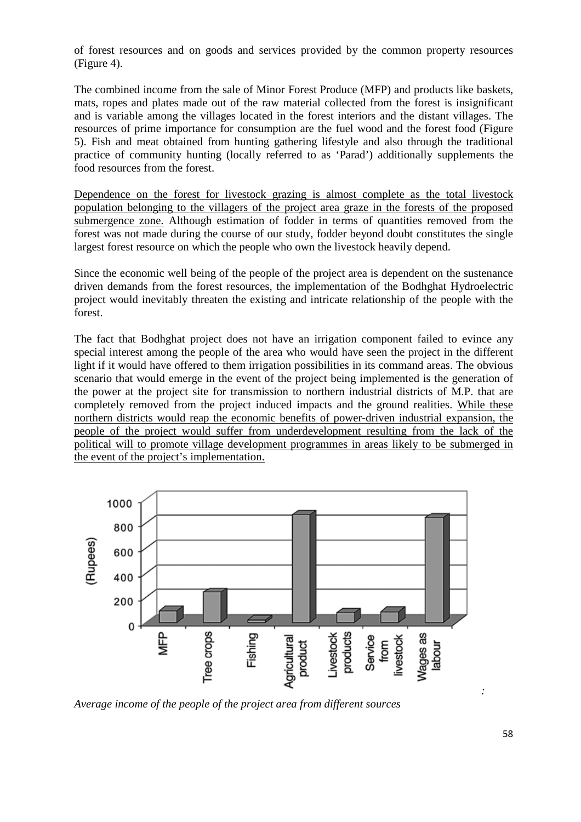of forest resources and on goods and services provided by the common property resources (Figure 4).

The combined income from the sale of Minor Forest Produce (MFP) and products like baskets, mats, ropes and plates made out of the raw material collected from the forest is insignificant and is variable among the villages located in the forest interiors and the distant villages. The resources of prime importance for consumption are the fuel wood and the forest food (Figure 5). Fish and meat obtained from hunting gathering lifestyle and also through the traditional practice of community hunting (locally referred to as 'Parad') additionally supplements the food resources from the forest.

Dependence on the forest for livestock grazing is almost complete as the total livestock population belonging to the villagers of the project area graze in the forests of the proposed submergence zone. Although estimation of fodder in terms of quantities removed from the forest was not made during the course of our study, fodder beyond doubt constitutes the single largest forest resource on which the people who own the livestock heavily depend.

Since the economic well being of the people of the project area is dependent on the sustenance driven demands from the forest resources, the implementation of the Bodhghat Hydroelectric project would inevitably threaten the existing and intricate relationship of the people with the forest.

The fact that Bodhghat project does not have an irrigation component failed to evince any special interest among the people of the area who would have seen the project in the different light if it would have offered to them irrigation possibilities in its command areas. The obvious scenario that would emerge in the event of the project being implemented is the generation of the power at the project site for transmission to northern industrial districts of M.P. that are completely removed from the project induced impacts and the ground realities. While these northern districts would reap the economic benefits of power-driven industrial expansion, the people of the project would suffer from underdevelopment resulting from the lack of the political will to promote village development programmes in areas likely to be submerged in the event of the project's implementation.



*Average income of the people of the project area from different sources*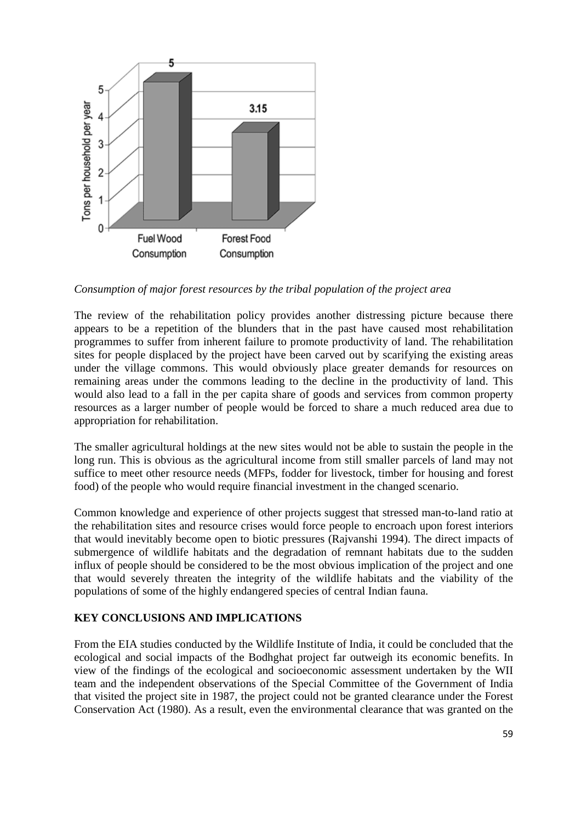

*Consumption of major forest resources by the tribal population of the project area*

The review of the rehabilitation policy provides another distressing picture because there appears to be a repetition of the blunders that in the past have caused most rehabilitation programmes to suffer from inherent failure to promote productivity of land. The rehabilitation sites for people displaced by the project have been carved out by scarifying the existing areas under the village commons. This would obviously place greater demands for resources on remaining areas under the commons leading to the decline in the productivity of land. This would also lead to a fall in the per capita share of goods and services from common property resources as a larger number of people would be forced to share a much reduced area due to appropriation for rehabilitation.

The smaller agricultural holdings at the new sites would not be able to sustain the people in the long run. This is obvious as the agricultural income from still smaller parcels of land may not suffice to meet other resource needs (MFPs, fodder for livestock, timber for housing and forest food) of the people who would require financial investment in the changed scenario.

Common knowledge and experience of other projects suggest that stressed man-to-land ratio at the rehabilitation sites and resource crises would force people to encroach upon forest interiors that would inevitably become open to biotic pressures (Rajvanshi 1994). The direct impacts of submergence of wildlife habitats and the degradation of remnant habitats due to the sudden influx of people should be considered to be the most obvious implication of the project and one that would severely threaten the integrity of the wildlife habitats and the viability of the populations of some of the highly endangered species of central Indian fauna.

# **KEY CONCLUSIONS AND IMPLICATIONS**

From the EIA studies conducted by the Wildlife Institute of India, it could be concluded that the ecological and social impacts of the Bodhghat project far outweigh its economic benefits. In view of the findings of the ecological and socioeconomic assessment undertaken by the WII team and the independent observations of the Special Committee of the Government of India that visited the project site in 1987, the project could not be granted clearance under the Forest Conservation Act (1980). As a result, even the environmental clearance that was granted on the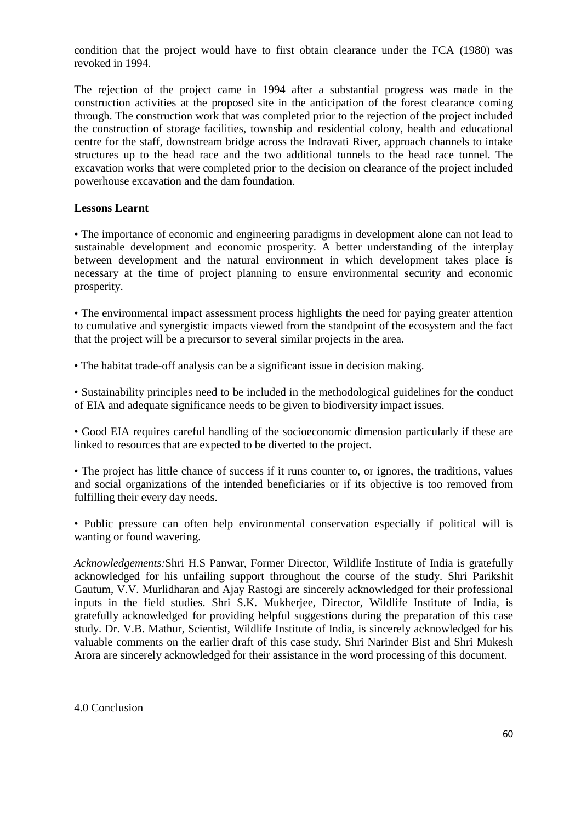condition that the project would have to first obtain clearance under the FCA (1980) was revoked in 1994.

The rejection of the project came in 1994 after a substantial progress was made in the construction activities at the proposed site in the anticipation of the forest clearance coming through. The construction work that was completed prior to the rejection of the project included the construction of storage facilities, township and residential colony, health and educational centre for the staff, downstream bridge across the Indravati River, approach channels to intake structures up to the head race and the two additional tunnels to the head race tunnel. The excavation works that were completed prior to the decision on clearance of the project included powerhouse excavation and the dam foundation.

# **Lessons Learnt**

• The importance of economic and engineering paradigms in development alone can not lead to sustainable development and economic prosperity. A better understanding of the interplay between development and the natural environment in which development takes place is necessary at the time of project planning to ensure environmental security and economic prosperity.

• The environmental impact assessment process highlights the need for paying greater attention to cumulative and synergistic impacts viewed from the standpoint of the ecosystem and the fact that the project will be a precursor to several similar projects in the area.

• The habitat trade-off analysis can be a significant issue in decision making.

• Sustainability principles need to be included in the methodological guidelines for the conduct of EIA and adequate significance needs to be given to biodiversity impact issues.

• Good EIA requires careful handling of the socioeconomic dimension particularly if these are linked to resources that are expected to be diverted to the project.

• The project has little chance of success if it runs counter to, or ignores, the traditions, values and social organizations of the intended beneficiaries or if its objective is too removed from fulfilling their every day needs.

• Public pressure can often help environmental conservation especially if political will is wanting or found wavering.

*Acknowledgements:*Shri H.S Panwar, Former Director, Wildlife Institute of India is gratefully acknowledged for his unfailing support throughout the course of the study. Shri Parikshit Gautum, V.V. Murlidharan and Ajay Rastogi are sincerely acknowledged for their professional inputs in the field studies. Shri S.K. Mukherjee, Director, Wildlife Institute of India, is gratefully acknowledged for providing helpful suggestions during the preparation of this case study. Dr. V.B. Mathur, Scientist, Wildlife Institute of India, is sincerely acknowledged for his valuable comments on the earlier draft of this case study. Shri Narinder Bist and Shri Mukesh Arora are sincerely acknowledged for their assistance in the word processing of this document.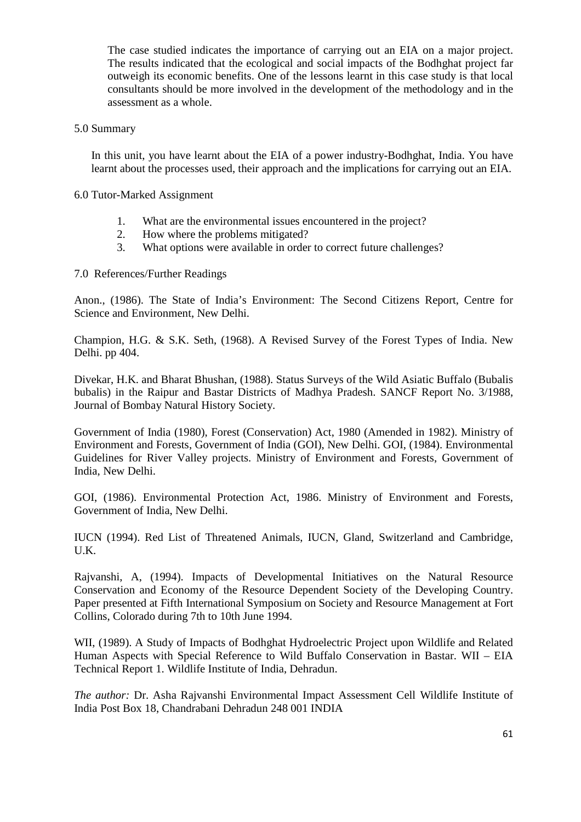The case studied indicates the importance of carrying out an EIA on a major project. The results indicated that the ecological and social impacts of the Bodhghat project far outweigh its economic benefits. One of the lessons learnt in this case study is that local consultants should be more involved in the development of the methodology and in the assessment as a whole.

#### 5.0 Summary

In this unit, you have learnt about the EIA of a power industry-Bodhghat, India. You have learnt about the processes used, their approach and the implications for carrying out an EIA.

#### 6.0 Tutor-Marked Assignment

- 1. What are the environmental issues encountered in the project?
- 2. How where the problems mitigated?
- 3. What options were available in order to correct future challenges?

7.0 References/Further Readings

Anon., (1986). The State of India's Environment: The Second Citizens Report, Centre for Science and Environment, New Delhi.

Champion, H.G. & S.K. Seth, (1968). A Revised Survey of the Forest Types of India. New Delhi. pp 404.

Divekar, H.K. and Bharat Bhushan, (1988). Status Surveys of the Wild Asiatic Buffalo (Bubalis bubalis) in the Raipur and Bastar Districts of Madhya Pradesh. SANCF Report No. 3/1988, Journal of Bombay Natural History Society.

Government of India (1980), Forest (Conservation) Act, 1980 (Amended in 1982). Ministry of Environment and Forests, Government of India (GOI), New Delhi. GOI, (1984). Environmental Guidelines for River Valley projects. Ministry of Environment and Forests, Government of India, New Delhi.

GOI, (1986). Environmental Protection Act, 1986. Ministry of Environment and Forests, Government of India, New Delhi.

IUCN (1994). Red List of Threatened Animals, IUCN, Gland, Switzerland and Cambridge, U.K.

Rajvanshi, A, (1994). Impacts of Developmental Initiatives on the Natural Resource Conservation and Economy of the Resource Dependent Society of the Developing Country. Paper presented at Fifth International Symposium on Society and Resource Management at Fort Collins, Colorado during 7th to 10th June 1994.

WII, (1989). A Study of Impacts of Bodhghat Hydroelectric Project upon Wildlife and Related Human Aspects with Special Reference to Wild Buffalo Conservation in Bastar. WII – EIA Technical Report 1. Wildlife Institute of India, Dehradun.

*The author:* Dr. Asha Rajvanshi Environmental Impact Assessment Cell Wildlife Institute of India Post Box 18, Chandrabani Dehradun 248 001 INDIA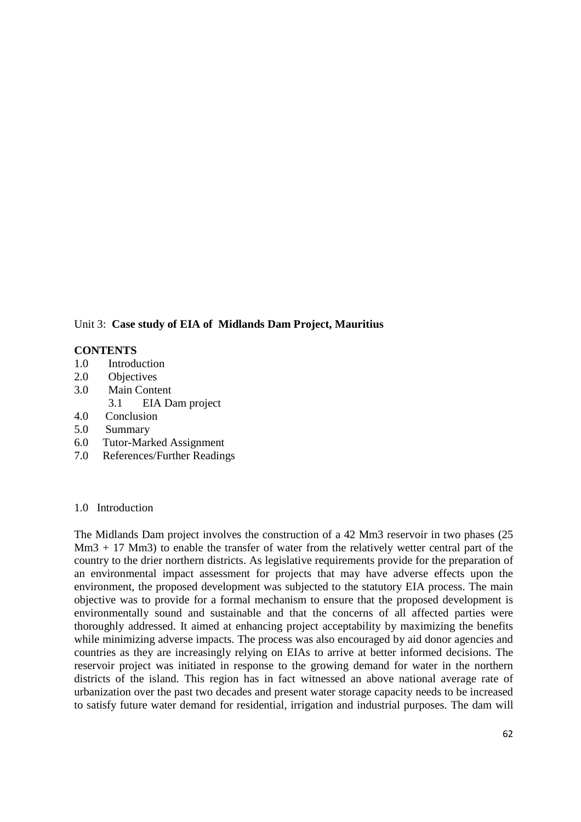# Unit 3: **Case study of EIA of Midlands Dam Project, Mauritius**

### **CONTENTS**

- 1.0 Introduction
- 2.0 Objectives
- 3.0 Main Content
	- 3.1 EIA Dam project
- 4.0 Conclusion
- 5.0 Summary
- 6.0 Tutor-Marked Assignment
- 7.0 References/Further Readings

#### 1.0 Introduction

The Midlands Dam project involves the construction of a 42 Mm3 reservoir in two phases (25 Mm3 + 17 Mm3) to enable the transfer of water from the relatively wetter central part of the country to the drier northern districts. As legislative requirements provide for the preparation of an environmental impact assessment for projects that may have adverse effects upon the environment, the proposed development was subjected to the statutory EIA process. The main objective was to provide for a formal mechanism to ensure that the proposed development is environmentally sound and sustainable and that the concerns of all affected parties were thoroughly addressed. It aimed at enhancing project acceptability by maximizing the benefits while minimizing adverse impacts. The process was also encouraged by aid donor agencies and countries as they are increasingly relying on EIAs to arrive at better informed decisions. The reservoir project was initiated in response to the growing demand for water in the northern districts of the island. This region has in fact witnessed an above national average rate of urbanization over the past two decades and present water storage capacity needs to be increased to satisfy future water demand for residential, irrigation and industrial purposes. The dam will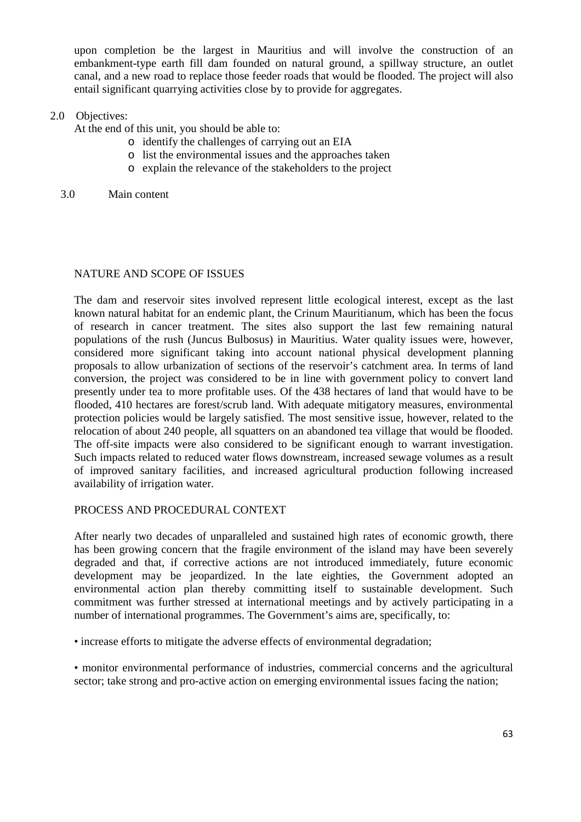upon completion be the largest in Mauritius and will involve the construction of an embankment-type earth fill dam founded on natural ground, a spillway structure, an outlet canal, and a new road to replace those feeder roads that would be flooded. The project will also entail significant quarrying activities close by to provide for aggregates.

### 2.0 Objectives:

At the end of this unit, you should be able to:

- o identify the challenges of carrying out an EIA
- o list the environmental issues and the approaches taken
- o explain the relevance of the stakeholders to the project
- 3.0 Main content

### NATURE AND SCOPE OF ISSUES

The dam and reservoir sites involved represent little ecological interest, except as the last known natural habitat for an endemic plant, the Crinum Mauritianum, which has been the focus of research in cancer treatment. The sites also support the last few remaining natural populations of the rush (Juncus Bulbosus) in Mauritius. Water quality issues were, however, considered more significant taking into account national physical development planning proposals to allow urbanization of sections of the reservoir's catchment area. In terms of land conversion, the project was considered to be in line with government policy to convert land presently under tea to more profitable uses. Of the 438 hectares of land that would have to be flooded, 410 hectares are forest/scrub land. With adequate mitigatory measures, environmental protection policies would be largely satisfied. The most sensitive issue, however, related to the relocation of about 240 people, all squatters on an abandoned tea village that would be flooded. The off-site impacts were also considered to be significant enough to warrant investigation. Such impacts related to reduced water flows downstream, increased sewage volumes as a result of improved sanitary facilities, and increased agricultural production following increased availability of irrigation water.

# PROCESS AND PROCEDURAL CONTEXT

After nearly two decades of unparalleled and sustained high rates of economic growth, there has been growing concern that the fragile environment of the island may have been severely degraded and that, if corrective actions are not introduced immediately, future economic development may be jeopardized. In the late eighties, the Government adopted an environmental action plan thereby committing itself to sustainable development. Such commitment was further stressed at international meetings and by actively participating in a number of international programmes. The Government's aims are, specifically, to:

• increase efforts to mitigate the adverse effects of environmental degradation;

• monitor environmental performance of industries, commercial concerns and the agricultural sector; take strong and pro-active action on emerging environmental issues facing the nation;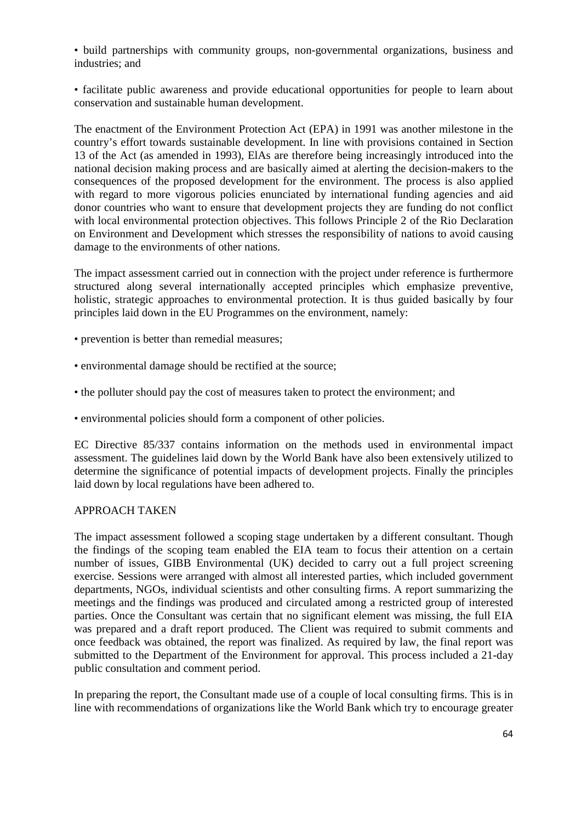• build partnerships with community groups, non-governmental organizations, business and industries; and

• facilitate public awareness and provide educational opportunities for people to learn about conservation and sustainable human development.

The enactment of the Environment Protection Act (EPA) in 1991 was another milestone in the country's effort towards sustainable development. In line with provisions contained in Section 13 of the Act (as amended in 1993), ElAs are therefore being increasingly introduced into the national decision making process and are basically aimed at alerting the decision-makers to the consequences of the proposed development for the environment. The process is also applied with regard to more vigorous policies enunciated by international funding agencies and aid donor countries who want to ensure that development projects they are funding do not conflict with local environmental protection objectives. This follows Principle 2 of the Rio Declaration on Environment and Development which stresses the responsibility of nations to avoid causing damage to the environments of other nations.

The impact assessment carried out in connection with the project under reference is furthermore structured along several internationally accepted principles which emphasize preventive, holistic, strategic approaches to environmental protection. It is thus guided basically by four principles laid down in the EU Programmes on the environment, namely:

- prevention is better than remedial measures;
- environmental damage should be rectified at the source;
- the polluter should pay the cost of measures taken to protect the environment; and
- environmental policies should form a component of other policies.

EC Directive 85/337 contains information on the methods used in environmental impact assessment. The guidelines laid down by the World Bank have also been extensively utilized to determine the significance of potential impacts of development projects. Finally the principles laid down by local regulations have been adhered to.

#### APPROACH TAKEN

The impact assessment followed a scoping stage undertaken by a different consultant. Though the findings of the scoping team enabled the EIA team to focus their attention on a certain number of issues, GIBB Environmental (UK) decided to carry out a full project screening exercise. Sessions were arranged with almost all interested parties, which included government departments, NGOs, individual scientists and other consulting firms. A report summarizing the meetings and the findings was produced and circulated among a restricted group of interested parties. Once the Consultant was certain that no significant element was missing, the full EIA was prepared and a draft report produced. The Client was required to submit comments and once feedback was obtained, the report was finalized. As required by law, the final report was submitted to the Department of the Environment for approval. This process included a 21-day public consultation and comment period.

In preparing the report, the Consultant made use of a couple of local consulting firms. This is in line with recommendations of organizations like the World Bank which try to encourage greater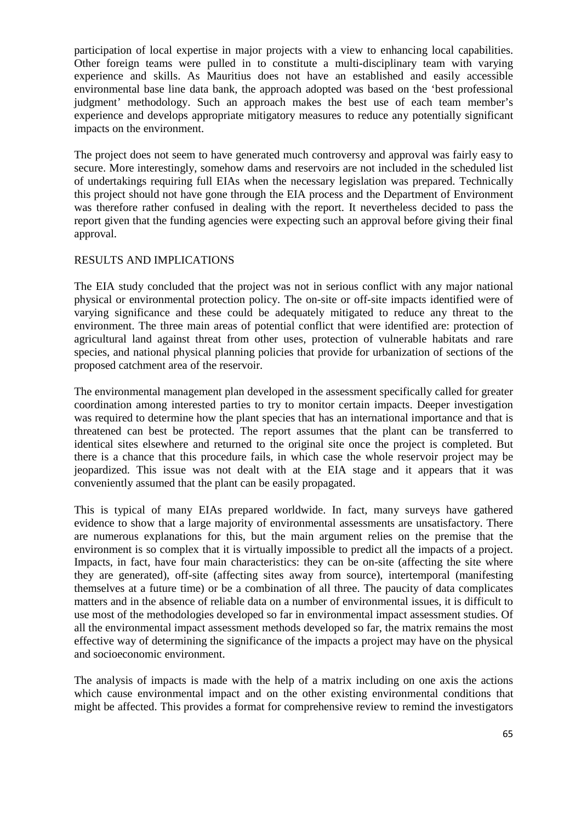participation of local expertise in major projects with a view to enhancing local capabilities. Other foreign teams were pulled in to constitute a multi-disciplinary team with varying experience and skills. As Mauritius does not have an established and easily accessible environmental base line data bank, the approach adopted was based on the 'best professional judgment' methodology. Such an approach makes the best use of each team member's experience and develops appropriate mitigatory measures to reduce any potentially significant impacts on the environment.

The project does not seem to have generated much controversy and approval was fairly easy to secure. More interestingly, somehow dams and reservoirs are not included in the scheduled list of undertakings requiring full EIAs when the necessary legislation was prepared. Technically this project should not have gone through the EIA process and the Department of Environment was therefore rather confused in dealing with the report. It nevertheless decided to pass the report given that the funding agencies were expecting such an approval before giving their final approval.

### RESULTS AND IMPLICATIONS

The EIA study concluded that the project was not in serious conflict with any major national physical or environmental protection policy. The on-site or off-site impacts identified were of varying significance and these could be adequately mitigated to reduce any threat to the environment. The three main areas of potential conflict that were identified are: protection of agricultural land against threat from other uses, protection of vulnerable habitats and rare species, and national physical planning policies that provide for urbanization of sections of the proposed catchment area of the reservoir.

The environmental management plan developed in the assessment specifically called for greater coordination among interested parties to try to monitor certain impacts. Deeper investigation was required to determine how the plant species that has an international importance and that is threatened can best be protected. The report assumes that the plant can be transferred to identical sites elsewhere and returned to the original site once the project is completed. But there is a chance that this procedure fails, in which case the whole reservoir project may be jeopardized. This issue was not dealt with at the EIA stage and it appears that it was conveniently assumed that the plant can be easily propagated.

This is typical of many EIAs prepared worldwide. In fact, many surveys have gathered evidence to show that a large majority of environmental assessments are unsatisfactory. There are numerous explanations for this, but the main argument relies on the premise that the environment is so complex that it is virtually impossible to predict all the impacts of a project. Impacts, in fact, have four main characteristics: they can be on-site (affecting the site where they are generated), off-site (affecting sites away from source), intertemporal (manifesting themselves at a future time) or be a combination of all three. The paucity of data complicates matters and in the absence of reliable data on a number of environmental issues, it is difficult to use most of the methodologies developed so far in environmental impact assessment studies. Of all the environmental impact assessment methods developed so far, the matrix remains the most effective way of determining the significance of the impacts a project may have on the physical and socioeconomic environment.

The analysis of impacts is made with the help of a matrix including on one axis the actions which cause environmental impact and on the other existing environmental conditions that might be affected. This provides a format for comprehensive review to remind the investigators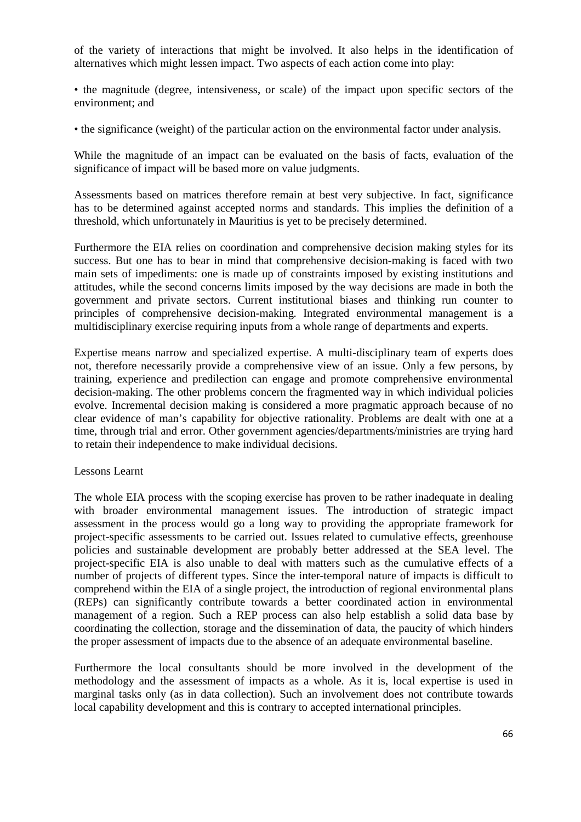of the variety of interactions that might be involved. It also helps in the identification of alternatives which might lessen impact. Two aspects of each action come into play:

• the magnitude (degree, intensiveness, or scale) of the impact upon specific sectors of the environment; and

• the significance (weight) of the particular action on the environmental factor under analysis.

While the magnitude of an impact can be evaluated on the basis of facts, evaluation of the significance of impact will be based more on value judgments.

Assessments based on matrices therefore remain at best very subjective. In fact, significance has to be determined against accepted norms and standards. This implies the definition of a threshold, which unfortunately in Mauritius is yet to be precisely determined.

Furthermore the EIA relies on coordination and comprehensive decision making styles for its success. But one has to bear in mind that comprehensive decision-making is faced with two main sets of impediments: one is made up of constraints imposed by existing institutions and attitudes, while the second concerns limits imposed by the way decisions are made in both the government and private sectors. Current institutional biases and thinking run counter to principles of comprehensive decision-making. Integrated environmental management is a multidisciplinary exercise requiring inputs from a whole range of departments and experts.

Expertise means narrow and specialized expertise. A multi-disciplinary team of experts does not, therefore necessarily provide a comprehensive view of an issue. Only a few persons, by training, experience and predilection can engage and promote comprehensive environmental decision-making. The other problems concern the fragmented way in which individual policies evolve. Incremental decision making is considered a more pragmatic approach because of no clear evidence of man's capability for objective rationality. Problems are dealt with one at a time, through trial and error. Other government agencies/departments/ministries are trying hard to retain their independence to make individual decisions.

#### Lessons Learnt

The whole EIA process with the scoping exercise has proven to be rather inadequate in dealing with broader environmental management issues. The introduction of strategic impact assessment in the process would go a long way to providing the appropriate framework for project-specific assessments to be carried out. Issues related to cumulative effects, greenhouse policies and sustainable development are probably better addressed at the SEA level. The project-specific EIA is also unable to deal with matters such as the cumulative effects of a number of projects of different types. Since the inter-temporal nature of impacts is difficult to comprehend within the EIA of a single project, the introduction of regional environmental plans (REPs) can significantly contribute towards a better coordinated action in environmental management of a region. Such a REP process can also help establish a solid data base by coordinating the collection, storage and the dissemination of data, the paucity of which hinders the proper assessment of impacts due to the absence of an adequate environmental baseline.

Furthermore the local consultants should be more involved in the development of the methodology and the assessment of impacts as a whole. As it is, local expertise is used in marginal tasks only (as in data collection). Such an involvement does not contribute towards local capability development and this is contrary to accepted international principles.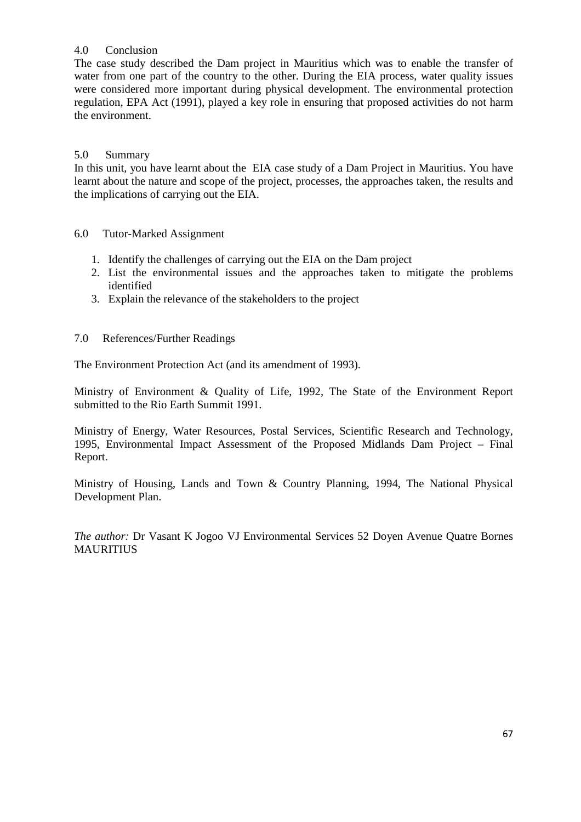# 4.0 Conclusion

The case study described the Dam project in Mauritius which was to enable the transfer of water from one part of the country to the other. During the EIA process, water quality issues were considered more important during physical development. The environmental protection regulation, EPA Act (1991), played a key role in ensuring that proposed activities do not harm the environment.

# 5.0 Summary

In this unit, you have learnt about the EIA case study of a Dam Project in Mauritius. You have learnt about the nature and scope of the project, processes, the approaches taken, the results and the implications of carrying out the EIA.

6.0 Tutor-Marked Assignment

- 1. Identify the challenges of carrying out the EIA on the Dam project
- 2. List the environmental issues and the approaches taken to mitigate the problems identified
- 3. Explain the relevance of the stakeholders to the project

# 7.0 References/Further Readings

The Environment Protection Act (and its amendment of 1993).

Ministry of Environment & Quality of Life, 1992, The State of the Environment Report submitted to the Rio Earth Summit 1991.

Ministry of Energy, Water Resources, Postal Services, Scientific Research and Technology, 1995, Environmental Impact Assessment of the Proposed Midlands Dam Project – Final Report.

Ministry of Housing, Lands and Town & Country Planning, 1994, The National Physical Development Plan.

*The author:* Dr Vasant K Jogoo VJ Environmental Services 52 Doyen Avenue Quatre Bornes MAURITIUS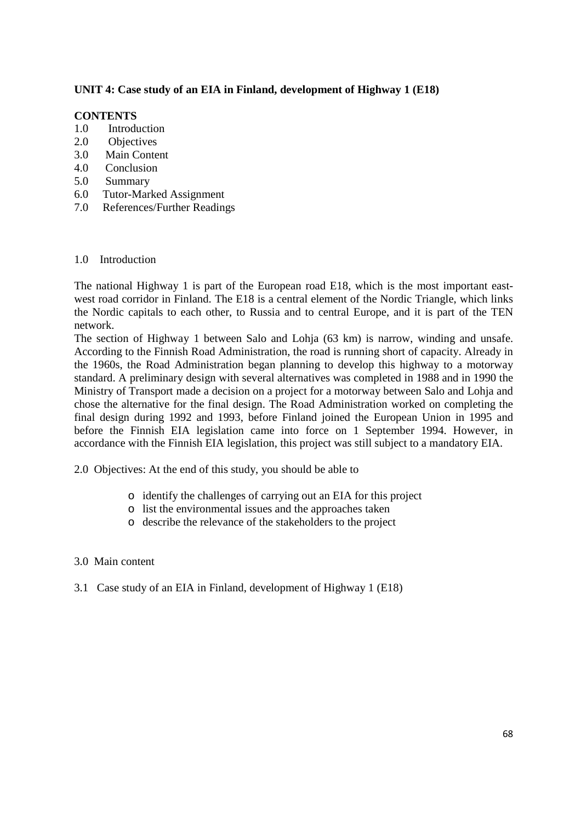# **UNIT 4: Case study of an EIA in Finland, development of Highway 1 (E18)**

### **CONTENTS**

- 1.0 Introduction
- 2.0 Objectives
- 3.0 Main Content
- 4.0 Conclusion
- 5.0 Summary
- 6.0 Tutor-Marked Assignment
- 7.0 References/Further Readings

#### 1.0 Introduction

The national Highway 1 is part of the European road E18, which is the most important eastwest road corridor in Finland. The E18 is a central element of the Nordic Triangle, which links the Nordic capitals to each other, to Russia and to central Europe, and it is part of the TEN network.

The section of Highway 1 between Salo and Lohja (63 km) is narrow, winding and unsafe. According to the Finnish Road Administration, the road is running short of capacity. Already in the 1960s, the Road Administration began planning to develop this highway to a motorway standard. A preliminary design with several alternatives was completed in 1988 and in 1990 the Ministry of Transport made a decision on a project for a motorway between Salo and Lohja and chose the alternative for the final design. The Road Administration worked on completing the final design during 1992 and 1993, before Finland joined the European Union in 1995 and before the Finnish EIA legislation came into force on 1 September 1994. However, in accordance with the Finnish EIA legislation, this project was still subject to a mandatory EIA.

2.0 Objectives: At the end of this study, you should be able to

- o identify the challenges of carrying out an EIA for this project
- o list the environmental issues and the approaches taken
- o describe the relevance of the stakeholders to the project

#### 3.0 Main content

3.1 Case study of an EIA in Finland, development of Highway 1 (E18)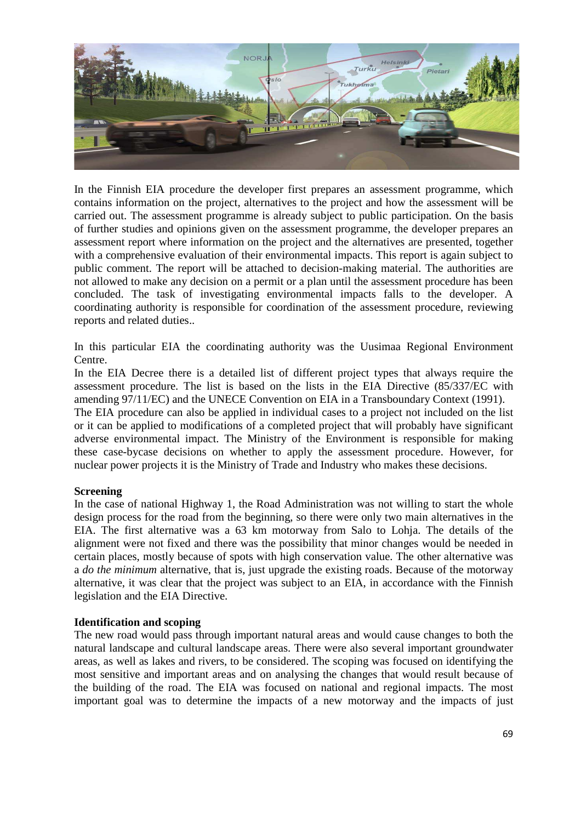

In the Finnish EIA procedure the developer first prepares an assessment programme, which contains information on the project, alternatives to the project and how the assessment will be carried out. The assessment programme is already subject to public participation. On the basis of further studies and opinions given on the assessment programme, the developer prepares an assessment report where information on the project and the alternatives are presented, together with a comprehensive evaluation of their environmental impacts. This report is again subject to public comment. The report will be attached to decision-making material. The authorities are not allowed to make any decision on a permit or a plan until the assessment procedure has been concluded. The task of investigating environmental impacts falls to the developer. A coordinating authority is responsible for coordination of the assessment procedure, reviewing reports and related duties..

In this particular EIA the coordinating authority was the Uusimaa Regional Environment Centre.

In the EIA Decree there is a detailed list of different project types that always require the assessment procedure. The list is based on the lists in the EIA Directive (85/337/EC with amending 97/11/EC) and the UNECE Convention on EIA in a Transboundary Context (1991).

The EIA procedure can also be applied in individual cases to a project not included on the list or it can be applied to modifications of a completed project that will probably have significant adverse environmental impact. The Ministry of the Environment is responsible for making these case-bycase decisions on whether to apply the assessment procedure. However, for nuclear power projects it is the Ministry of Trade and Industry who makes these decisions.

#### **Screening**

In the case of national Highway 1, the Road Administration was not willing to start the whole design process for the road from the beginning, so there were only two main alternatives in the EIA. The first alternative was a 63 km motorway from Salo to Lohja. The details of the alignment were not fixed and there was the possibility that minor changes would be needed in certain places, mostly because of spots with high conservation value. The other alternative was a *do the minimum* alternative, that is, just upgrade the existing roads. Because of the motorway alternative, it was clear that the project was subject to an EIA, in accordance with the Finnish legislation and the EIA Directive.

#### **Identification and scoping**

The new road would pass through important natural areas and would cause changes to both the natural landscape and cultural landscape areas. There were also several important groundwater areas, as well as lakes and rivers, to be considered. The scoping was focused on identifying the most sensitive and important areas and on analysing the changes that would result because of the building of the road. The EIA was focused on national and regional impacts. The most important goal was to determine the impacts of a new motorway and the impacts of just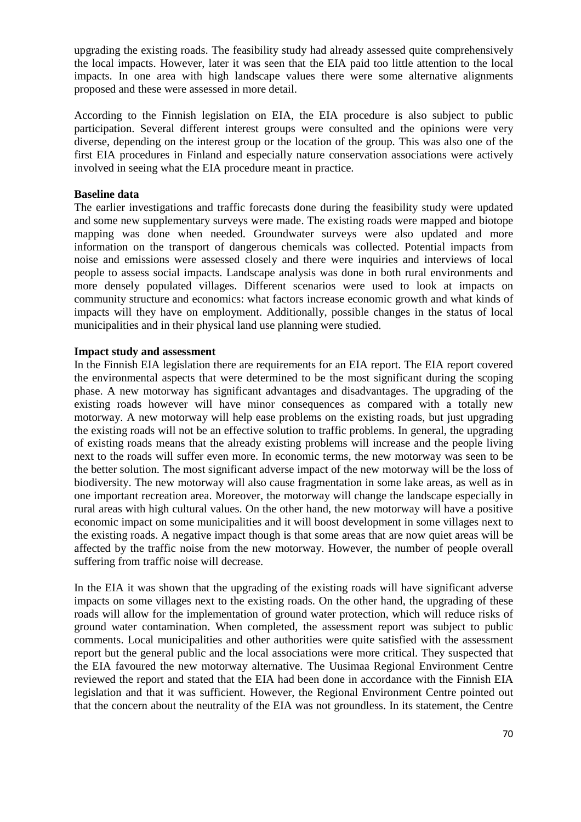upgrading the existing roads. The feasibility study had already assessed quite comprehensively the local impacts. However, later it was seen that the EIA paid too little attention to the local impacts. In one area with high landscape values there were some alternative alignments proposed and these were assessed in more detail.

According to the Finnish legislation on EIA, the EIA procedure is also subject to public participation. Several different interest groups were consulted and the opinions were very diverse, depending on the interest group or the location of the group. This was also one of the first EIA procedures in Finland and especially nature conservation associations were actively involved in seeing what the EIA procedure meant in practice.

#### **Baseline data**

The earlier investigations and traffic forecasts done during the feasibility study were updated and some new supplementary surveys were made. The existing roads were mapped and biotope mapping was done when needed. Groundwater surveys were also updated and more information on the transport of dangerous chemicals was collected. Potential impacts from noise and emissions were assessed closely and there were inquiries and interviews of local people to assess social impacts. Landscape analysis was done in both rural environments and more densely populated villages. Different scenarios were used to look at impacts on community structure and economics: what factors increase economic growth and what kinds of impacts will they have on employment. Additionally, possible changes in the status of local municipalities and in their physical land use planning were studied.

### **Impact study and assessment**

In the Finnish EIA legislation there are requirements for an EIA report. The EIA report covered the environmental aspects that were determined to be the most significant during the scoping phase. A new motorway has significant advantages and disadvantages. The upgrading of the existing roads however will have minor consequences as compared with a totally new motorway. A new motorway will help ease problems on the existing roads, but just upgrading the existing roads will not be an effective solution to traffic problems. In general, the upgrading of existing roads means that the already existing problems will increase and the people living next to the roads will suffer even more. In economic terms, the new motorway was seen to be the better solution. The most significant adverse impact of the new motorway will be the loss of biodiversity. The new motorway will also cause fragmentation in some lake areas, as well as in one important recreation area. Moreover, the motorway will change the landscape especially in rural areas with high cultural values. On the other hand, the new motorway will have a positive economic impact on some municipalities and it will boost development in some villages next to the existing roads. A negative impact though is that some areas that are now quiet areas will be affected by the traffic noise from the new motorway. However, the number of people overall suffering from traffic noise will decrease.

In the EIA it was shown that the upgrading of the existing roads will have significant adverse impacts on some villages next to the existing roads. On the other hand, the upgrading of these roads will allow for the implementation of ground water protection, which will reduce risks of ground water contamination. When completed, the assessment report was subject to public comments. Local municipalities and other authorities were quite satisfied with the assessment report but the general public and the local associations were more critical. They suspected that the EIA favoured the new motorway alternative. The Uusimaa Regional Environment Centre reviewed the report and stated that the EIA had been done in accordance with the Finnish EIA legislation and that it was sufficient. However, the Regional Environment Centre pointed out that the concern about the neutrality of the EIA was not groundless. In its statement, the Centre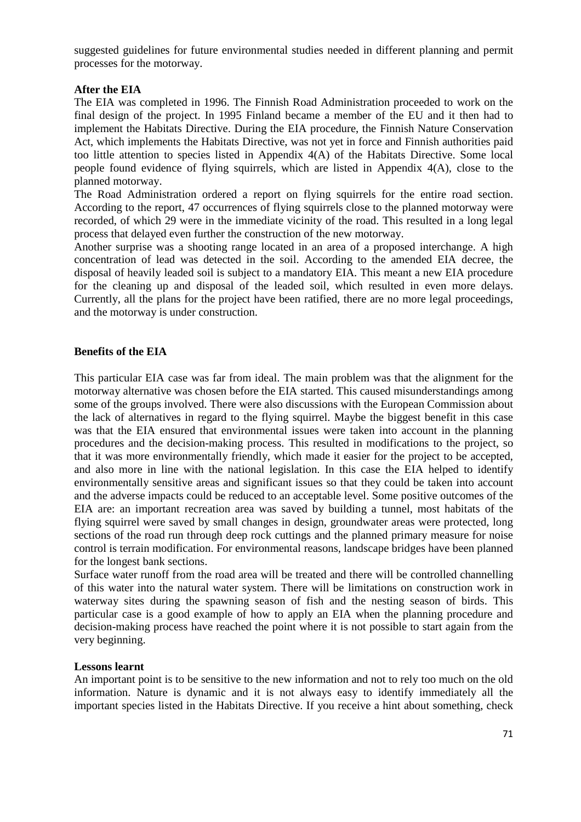suggested guidelines for future environmental studies needed in different planning and permit processes for the motorway.

### **After the EIA**

The EIA was completed in 1996. The Finnish Road Administration proceeded to work on the final design of the project. In 1995 Finland became a member of the EU and it then had to implement the Habitats Directive. During the EIA procedure, the Finnish Nature Conservation Act, which implements the Habitats Directive, was not yet in force and Finnish authorities paid too little attention to species listed in Appendix 4(A) of the Habitats Directive. Some local people found evidence of flying squirrels, which are listed in Appendix 4(A), close to the planned motorway.

The Road Administration ordered a report on flying squirrels for the entire road section. According to the report, 47 occurrences of flying squirrels close to the planned motorway were recorded, of which 29 were in the immediate vicinity of the road. This resulted in a long legal process that delayed even further the construction of the new motorway.

Another surprise was a shooting range located in an area of a proposed interchange. A high concentration of lead was detected in the soil. According to the amended EIA decree, the disposal of heavily leaded soil is subject to a mandatory EIA. This meant a new EIA procedure for the cleaning up and disposal of the leaded soil, which resulted in even more delays. Currently, all the plans for the project have been ratified, there are no more legal proceedings, and the motorway is under construction.

### **Benefits of the EIA**

This particular EIA case was far from ideal. The main problem was that the alignment for the motorway alternative was chosen before the EIA started. This caused misunderstandings among some of the groups involved. There were also discussions with the European Commission about the lack of alternatives in regard to the flying squirrel. Maybe the biggest benefit in this case was that the EIA ensured that environmental issues were taken into account in the planning procedures and the decision-making process. This resulted in modifications to the project, so that it was more environmentally friendly, which made it easier for the project to be accepted, and also more in line with the national legislation. In this case the EIA helped to identify environmentally sensitive areas and significant issues so that they could be taken into account and the adverse impacts could be reduced to an acceptable level. Some positive outcomes of the EIA are: an important recreation area was saved by building a tunnel, most habitats of the flying squirrel were saved by small changes in design, groundwater areas were protected, long sections of the road run through deep rock cuttings and the planned primary measure for noise control is terrain modification. For environmental reasons, landscape bridges have been planned for the longest bank sections.

Surface water runoff from the road area will be treated and there will be controlled channelling of this water into the natural water system. There will be limitations on construction work in waterway sites during the spawning season of fish and the nesting season of birds. This particular case is a good example of how to apply an EIA when the planning procedure and decision-making process have reached the point where it is not possible to start again from the very beginning.

#### **Lessons learnt**

An important point is to be sensitive to the new information and not to rely too much on the old information. Nature is dynamic and it is not always easy to identify immediately all the important species listed in the Habitats Directive. If you receive a hint about something, check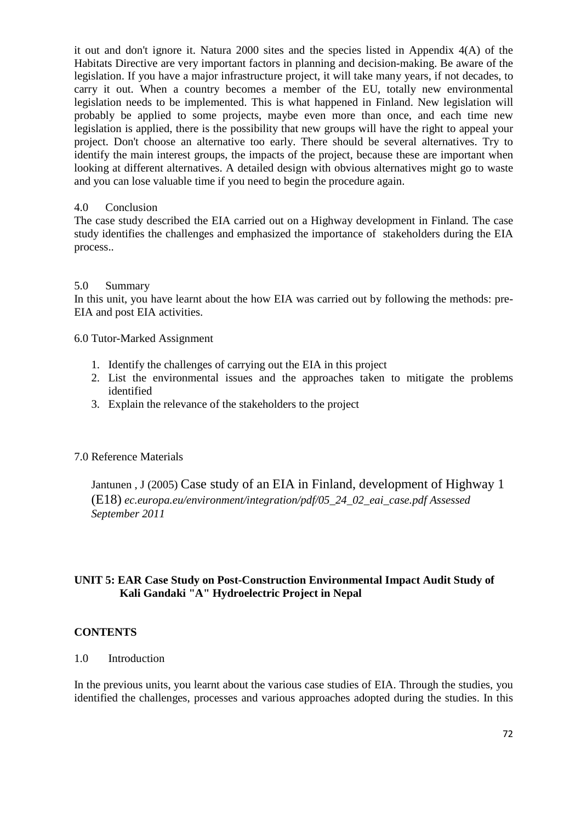it out and don't ignore it. Natura 2000 sites and the species listed in Appendix 4(A) of the Habitats Directive are very important factors in planning and decision-making. Be aware of the legislation. If you have a major infrastructure project, it will take many years, if not decades, to carry it out. When a country becomes a member of the EU, totally new environmental legislation needs to be implemented. This is what happened in Finland. New legislation will probably be applied to some projects, maybe even more than once, and each time new legislation is applied, there is the possibility that new groups will have the right to appeal your project. Don't choose an alternative too early. There should be several alternatives. Try to identify the main interest groups, the impacts of the project, because these are important when looking at different alternatives. A detailed design with obvious alternatives might go to waste and you can lose valuable time if you need to begin the procedure again.

# 4.0 Conclusion

The case study described the EIA carried out on a Highway development in Finland. The case study identifies the challenges and emphasized the importance of stakeholders during the EIA process..

# 5.0 Summary

In this unit, you have learnt about the how EIA was carried out by following the methods: pre-EIA and post EIA activities.

6.0 Tutor-Marked Assignment

- 1. Identify the challenges of carrying out the EIA in this project
- 2. List the environmental issues and the approaches taken to mitigate the problems identified
- 3. Explain the relevance of the stakeholders to the project

# 7.0 Reference Materials

Jantunen , J (2005) Case study of an EIA in Finland, development of Highway 1 (E18) *ec.europa.eu/environment/integration/pdf/05\_24\_02\_eai\_case.pdf Assessed September 2011*

# **UNIT 5: EAR Case Study on Post-Construction Environmental Impact Audit Study of Kali Gandaki "A" Hydroelectric Project in Nepal**

# **CONTENTS**

1.0 Introduction

In the previous units, you learnt about the various case studies of EIA. Through the studies, you identified the challenges, processes and various approaches adopted during the studies. In this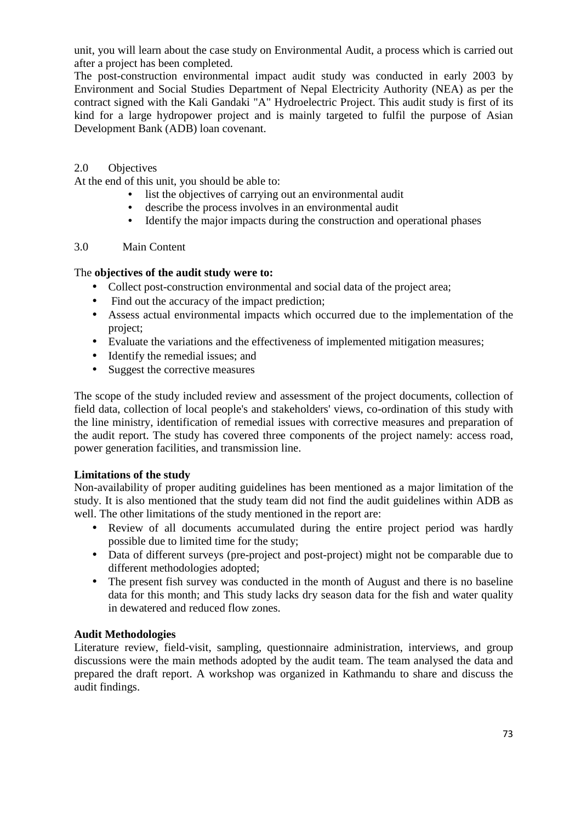unit, you will learn about the case study on Environmental Audit, a process which is carried out after a project has been completed.

The post-construction environmental impact audit study was conducted in early 2003 by Environment and Social Studies Department of Nepal Electricity Authority (NEA) as per the contract signed with the Kali Gandaki "A" Hydroelectric Project. This audit study is first of its kind for a large hydropower project and is mainly targeted to fulfil the purpose of Asian Development Bank (ADB) loan covenant.

### 2.0 Objectives

At the end of this unit, you should be able to:

- list the objectives of carrying out an environmental audit
- describe the process involves in an environmental audit
- Identify the major impacts during the construction and operational phases

### 3.0 Main Content

### The **objectives of the audit study were to:**

- Collect post-construction environmental and social data of the project area;
- Find out the accuracy of the impact prediction;
- Assess actual environmental impacts which occurred due to the implementation of the project;
- Evaluate the variations and the effectiveness of implemented mitigation measures;
- Identify the remedial issues: and
- Suggest the corrective measures

The scope of the study included review and assessment of the project documents, collection of field data, collection of local people's and stakeholders' views, co-ordination of this study with the line ministry, identification of remedial issues with corrective measures and preparation of the audit report. The study has covered three components of the project namely: access road, power generation facilities, and transmission line.

### **Limitations of the study**

Non-availability of proper auditing guidelines has been mentioned as a major limitation of the study. It is also mentioned that the study team did not find the audit guidelines within ADB as well. The other limitations of the study mentioned in the report are:

- Review of all documents accumulated during the entire project period was hardly possible due to limited time for the study;
- Data of different surveys (pre-project and post-project) might not be comparable due to different methodologies adopted;
- The present fish survey was conducted in the month of August and there is no baseline data for this month; and This study lacks dry season data for the fish and water quality in dewatered and reduced flow zones.

### **Audit Methodologies**

Literature review, field-visit, sampling, questionnaire administration, interviews, and group discussions were the main methods adopted by the audit team. The team analysed the data and prepared the draft report. A workshop was organized in Kathmandu to share and discuss the audit findings.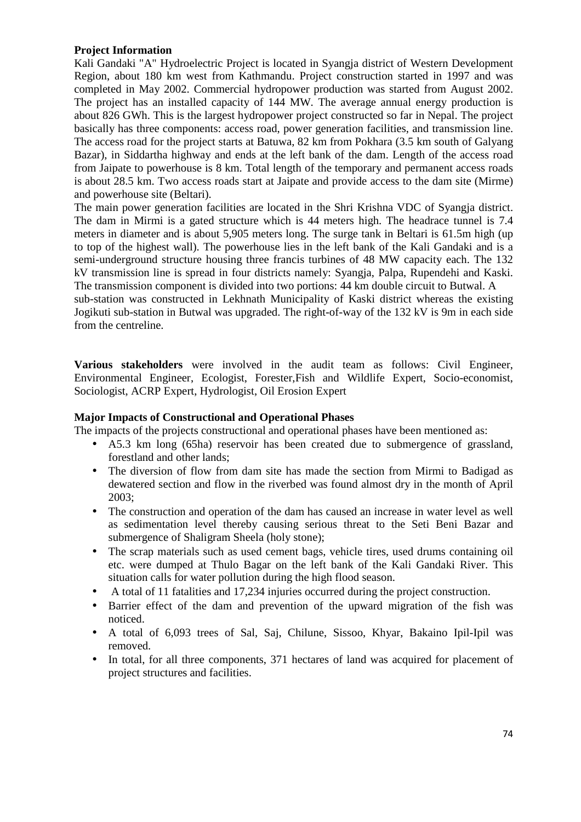### **Project Information**

Kali Gandaki "A" Hydroelectric Project is located in Syangja district of Western Development Region, about 180 km west from Kathmandu. Project construction started in 1997 and was completed in May 2002. Commercial hydropower production was started from August 2002. The project has an installed capacity of 144 MW. The average annual energy production is about 826 GWh. This is the largest hydropower project constructed so far in Nepal. The project basically has three components: access road, power generation facilities, and transmission line. The access road for the project starts at Batuwa, 82 km from Pokhara (3.5 km south of Galyang Bazar), in Siddartha highway and ends at the left bank of the dam. Length of the access road from Jaipate to powerhouse is 8 km. Total length of the temporary and permanent access roads is about 28.5 km. Two access roads start at Jaipate and provide access to the dam site (Mirme) and powerhouse site (Beltari).

The main power generation facilities are located in the Shri Krishna VDC of Syangja district. The dam in Mirmi is a gated structure which is 44 meters high. The headrace tunnel is 7.4 meters in diameter and is about 5,905 meters long. The surge tank in Beltari is 61.5m high (up to top of the highest wall). The powerhouse lies in the left bank of the Kali Gandaki and is a semi-underground structure housing three francis turbines of 48 MW capacity each. The 132 kV transmission line is spread in four districts namely: Syangja, Palpa, Rupendehi and Kaski. The transmission component is divided into two portions: 44 km double circuit to Butwal. A

sub-station was constructed in Lekhnath Municipality of Kaski district whereas the existing Jogikuti sub-station in Butwal was upgraded. The right-of-way of the 132 kV is 9m in each side from the centreline.

**Various stakeholders** were involved in the audit team as follows: Civil Engineer, Environmental Engineer, Ecologist, Forester,Fish and Wildlife Expert, Socio-economist, Sociologist, ACRP Expert, Hydrologist, Oil Erosion Expert

### **Major Impacts of Constructional and Operational Phases**

The impacts of the projects constructional and operational phases have been mentioned as:

- A5.3 km long (65ha) reservoir has been created due to submergence of grassland, forestland and other lands;
- The diversion of flow from dam site has made the section from Mirmi to Badigad as dewatered section and flow in the riverbed was found almost dry in the month of April 2003;
- The construction and operation of the dam has caused an increase in water level as well as sedimentation level thereby causing serious threat to the Seti Beni Bazar and submergence of Shaligram Sheela (holy stone);
- The scrap materials such as used cement bags, vehicle tires, used drums containing oil etc. were dumped at Thulo Bagar on the left bank of the Kali Gandaki River. This situation calls for water pollution during the high flood season.
- A total of 11 fatalities and 17,234 injuries occurred during the project construction.
- Barrier effect of the dam and prevention of the upward migration of the fish was noticed.
- A total of 6,093 trees of Sal, Saj, Chilune, Sissoo, Khyar, Bakaino Ipil-Ipil was removed.
- In total, for all three components, 371 hectares of land was acquired for placement of project structures and facilities.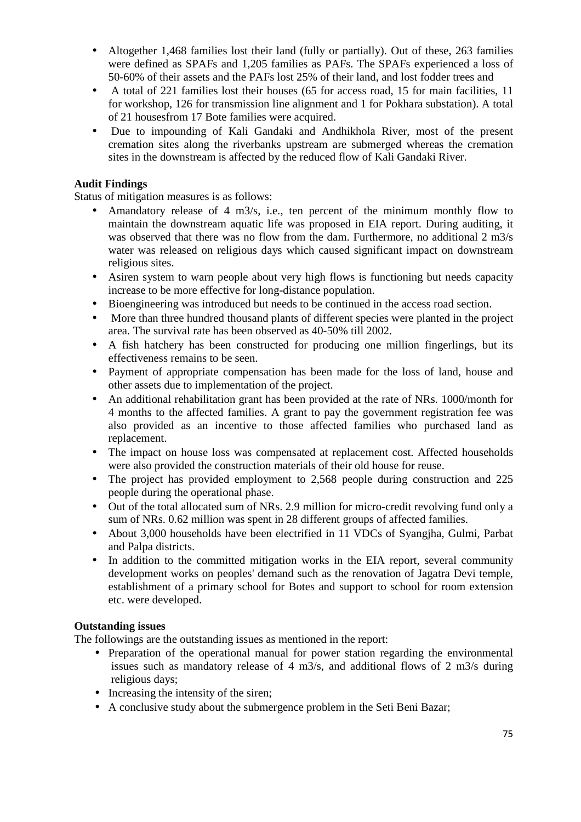- Altogether 1,468 families lost their land (fully or partially). Out of these, 263 families were defined as SPAFs and 1,205 families as PAFs. The SPAFs experienced a loss of 50-60% of their assets and the PAFs lost 25% of their land, and lost fodder trees and
- A total of 221 families lost their houses (65 for access road, 15 for main facilities, 11 for workshop, 126 for transmission line alignment and 1 for Pokhara substation). A total of 21 housesfrom 17 Bote families were acquired.
- Due to impounding of Kali Gandaki and Andhikhola River, most of the present cremation sites along the riverbanks upstream are submerged whereas the cremation sites in the downstream is affected by the reduced flow of Kali Gandaki River.

# **Audit Findings**

Status of mitigation measures is as follows:

- Amandatory release of 4 m3/s, i.e., ten percent of the minimum monthly flow to maintain the downstream aquatic life was proposed in EIA report. During auditing, it was observed that there was no flow from the dam. Furthermore, no additional 2 m3/s water was released on religious days which caused significant impact on downstream religious sites.
- Asiren system to warn people about very high flows is functioning but needs capacity increase to be more effective for long-distance population.
- Bioengineering was introduced but needs to be continued in the access road section.
- More than three hundred thousand plants of different species were planted in the project area. The survival rate has been observed as 40-50% till 2002.
- A fish hatchery has been constructed for producing one million fingerlings, but its effectiveness remains to be seen.
- Payment of appropriate compensation has been made for the loss of land, house and other assets due to implementation of the project.
- An additional rehabilitation grant has been provided at the rate of NRs. 1000/month for 4 months to the affected families. A grant to pay the government registration fee was also provided as an incentive to those affected families who purchased land as replacement.
- The impact on house loss was compensated at replacement cost. Affected households were also provided the construction materials of their old house for reuse.
- The project has provided employment to 2,568 people during construction and 225 people during the operational phase.
- Out of the total allocated sum of NRs. 2.9 million for micro-credit revolving fund only a sum of NRs. 0.62 million was spent in 28 different groups of affected families.
- About 3,000 households have been electrified in 11 VDCs of Syangjha, Gulmi, Parbat and Palpa districts.
- In addition to the committed mitigation works in the EIA report, several community development works on peoples' demand such as the renovation of Jagatra Devi temple, establishment of a primary school for Botes and support to school for room extension etc. were developed.

# **Outstanding issues**

The followings are the outstanding issues as mentioned in the report:

- Preparation of the operational manual for power station regarding the environmental issues such as mandatory release of 4 m3/s, and additional flows of 2 m3/s during religious days;
- Increasing the intensity of the siren:
- A conclusive study about the submergence problem in the Seti Beni Bazar;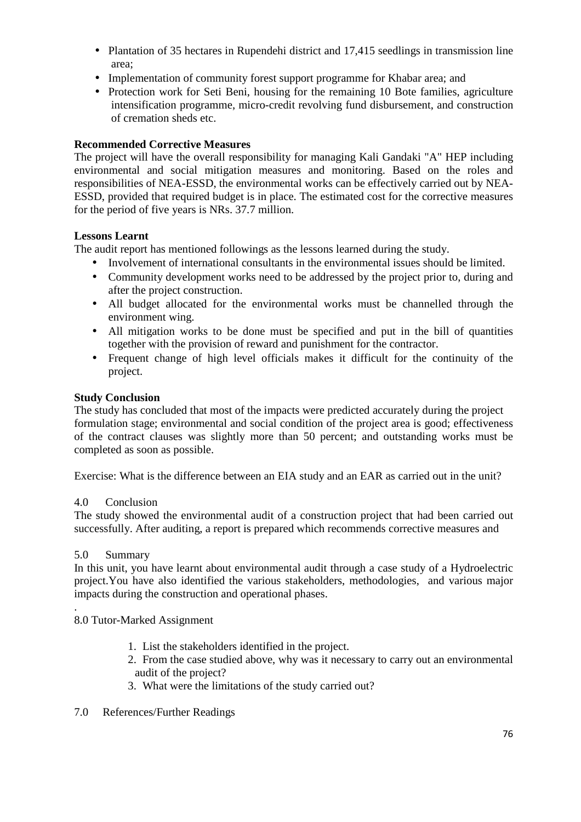- Plantation of 35 hectares in Rupendehi district and 17,415 seedlings in transmission line area;
- Implementation of community forest support programme for Khabar area; and
- Protection work for Seti Beni, housing for the remaining 10 Bote families, agriculture intensification programme, micro-credit revolving fund disbursement, and construction of cremation sheds etc.

## **Recommended Corrective Measures**

The project will have the overall responsibility for managing Kali Gandaki "A" HEP including environmental and social mitigation measures and monitoring. Based on the roles and responsibilities of NEA-ESSD, the environmental works can be effectively carried out by NEA-ESSD, provided that required budget is in place. The estimated cost for the corrective measures for the period of five years is NRs. 37.7 million.

### **Lessons Learnt**

The audit report has mentioned followings as the lessons learned during the study.

- Involvement of international consultants in the environmental issues should be limited.
- Community development works need to be addressed by the project prior to, during and after the project construction.
- All budget allocated for the environmental works must be channelled through the environment wing.
- All mitigation works to be done must be specified and put in the bill of quantities together with the provision of reward and punishment for the contractor.
- Frequent change of high level officials makes it difficult for the continuity of the project.

### **Study Conclusion**

The study has concluded that most of the impacts were predicted accurately during the project formulation stage; environmental and social condition of the project area is good; effectiveness of the contract clauses was slightly more than 50 percent; and outstanding works must be completed as soon as possible.

Exercise: What is the difference between an EIA study and an EAR as carried out in the unit?

### 4.0 Conclusion

The study showed the environmental audit of a construction project that had been carried out successfully. After auditing, a report is prepared which recommends corrective measures and

### 5.0 Summary

.

In this unit, you have learnt about environmental audit through a case study of a Hydroelectric project.You have also identified the various stakeholders, methodologies, and various major impacts during the construction and operational phases.

### 8.0 Tutor-Marked Assignment

- 1. List the stakeholders identified in the project.
- 2. From the case studied above, why was it necessary to carry out an environmental audit of the project?
- 3. What were the limitations of the study carried out?
- 7.0 References/Further Readings